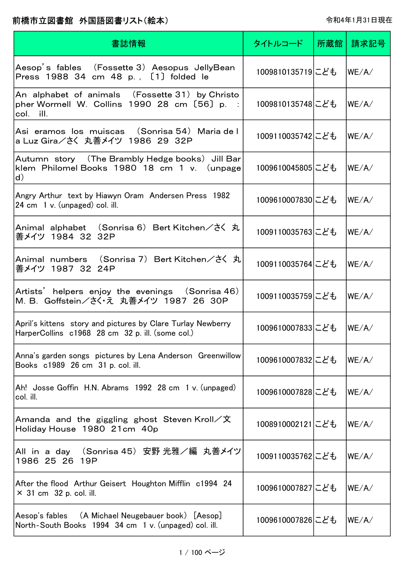| 書誌情報                                                                                                            | タイトルコード          | 所蔵館   請求記号                  |
|-----------------------------------------------------------------------------------------------------------------|------------------|-----------------------------|
| Aesop's fables (Fossette 3) Aesopus JellyBean<br>Press 1988 34 cm 48 p., [1] folded le                          | 1009810135719にども | $ \mathsf{WE}/\mathsf{A}/ $ |
| An alphabet of animals (Fossette 31)by Christo<br>pher Wormell W. Collins $1990$ 28 cm $[56]$ p. :<br>col. ill. | 1009810135748にども | $ \mathsf{WE}/\mathsf{A}/ $ |
| Asi eramos los muiscas (Sonrisa 54)Maria de l<br>a Luz Gira/さく 丸善メイツ 1986 29 32P                                | 1009110035742にども | WE/A/                       |
| Autumn story (The Brambly Hedge books) Jill Bar<br>klem Philomel Books 1980 18 cm 1 v. (unpage<br>d)            | 1009610045805にども | WE/A/                       |
| Angry Arthur text by Hiawyn Oram Andersen Press 1982<br>24 cm 1 v. (unpaged) col. ill.                          | 1009610007830にども | WE/A/                       |
| Animal alphabet (Sonrisa 6) Bert Kitchen/さく 丸<br>善メイツ 1984 32 32P                                               | 1009110035763にども | WE/A/                       |
| Animal numbers (Sonrisa 7)Bert Kitchen/さく 丸<br>善メイツ 1987 32 24P                                                 | 1009110035764にども | WE/A/                       |
| Artists' helpers enjoy the evenings (Sonrisa 46)<br>M. B. Goffstein/さく・え 丸善メイツ 1987 26 30P                      | 1009110035759にども | WE/A/                       |
| April's kittens story and pictures by Clare Turlay Newberry<br>HarperCollins c1968 28 cm 32 p. ill. (some col.) | 1009610007833にども | WE/A/                       |
| Anna's garden songs pictures by Lena Anderson Greenwillow<br>Books c1989 26 cm 31 p. col. ill.                  | 1009610007832にども | WE/A/                       |
| Ah! Josse Goffin H.N. Abrams 1992 28 cm 1 v. (unpaged)<br>col. ill.                                             | 1009610007828にども | WE/A/                       |
| Amanda and the giggling ghost Steven Kroll $\angle \chi$<br>Holiday House 1980 21cm 40p                         | 1008910002121にども | WE/A/                       |
| All in a day (Sonrisa 45) 安野 光雅/編 丸善メイツ<br>1986 25 26 19P                                                       | 1009110035762にども | WE/A/                       |
| After the flood Arthur Geisert Houghton Mifflin c1994 24<br>$\times$ 31 cm 32 p. col. ill.                      | 1009610007827にども | WE/A/                       |
| Aesop's fables (A Michael Neugebauer book) [Aesop]<br>North-South Books 1994 34 cm 1 v. (unpaged) col. ill.     | 1009610007826にども | WE/A/                       |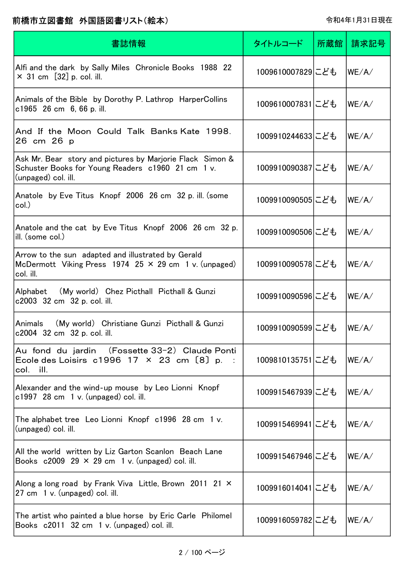| 書誌情報                                                                                                                                  | タイトルコード          | 所蔵館 | 請求記号   |
|---------------------------------------------------------------------------------------------------------------------------------------|------------------|-----|--------|
| Alfi and the dark by Sally Miles Chronicle Books 1988 22<br>$\times$ 31 cm [32] p. col. ill.                                          | 1009610007829にども |     | WE/A/  |
| Animals of the Bible by Dorothy P. Lathrop HarperCollins<br>c1965 26 cm $6, 66$ p. ill.                                               | 1009610007831にども |     | WE/A/  |
| And If the Moon Could Talk Banks Kate 1998.<br>26 cm 26 p                                                                             | 1009910244633にども |     | WE/A/  |
| Ask Mr. Bear story and pictures by Marjorie Flack Simon &<br>Schuster Books for Young Readers c1960 21 cm 1 v.<br>(unpaged) col. ill. | 1009910090387にども |     | WE/A/  |
| Anatole by Eve Titus Knopf 2006 26 cm 32 p. ill. (some<br>col.)                                                                       | 1009910090505にども |     | WE/ A/ |
| Anatole and the cat by Eve Titus Knopf 2006 26 cm 32 p.<br>ill. (some col.)                                                           | 1009910090506にども |     | WE/A/  |
| Arrow to the sun adapted and illustrated by Gerald<br>McDermott Viking Press 1974 25 $\times$ 29 cm 1 v. (unpaged)<br>col. ill.       | 1009910090578にども |     | WE/A/  |
| Alphabet (My world) Chez Picthall Picthall & Gunzi<br>c2003 32 cm 32 p. col. ill.                                                     | 1009910090596にども |     | WE/A/  |
| Animals<br>(My world) Christiane Gunzi Picthall & Gunzi<br>c2004 32 cm 32 p. col. ill.                                                | 1009910090599にども |     | WE/A/  |
| Au fond du jardin (Fossette 33-2) Claude Ponti<br>Ecole des Loisirs $c1996$ 17 $\times$ 23 cm $[8]$ p.<br>col. ill.                   | 1009810135751にども |     | WE/A/  |
| Alexander and the wind-up mouse by Leo Lionni Knopf<br>$c1997$ 28 cm 1 v. (unpaged) col. ill.                                         | 1009915467939にども |     | WE/A/  |
| The alphabet tree Leo Lionni Knopf c1996 28 cm 1 v.<br>(unpaged) col. ill.                                                            | 1009915469941にども |     | WE/A/  |
| All the world written by Liz Garton Scanlon Beach Lane<br>Books $c2009$ 29 $\times$ 29 cm 1 v. (unpaged) col. ill.                    | 1009915467946にども |     | WE/A/  |
| Along a long road by Frank Viva Little, Brown 2011 21 X<br>27 cm 1 v. (unpaged) col. ill.                                             | 1009916014041にども |     | WE/A/  |
| The artist who painted a blue horse by Eric Carle Philomel<br>Books c2011 32 cm 1 v. (unpaged) col. ill.                              | 1009916059782にども |     | WE/A/  |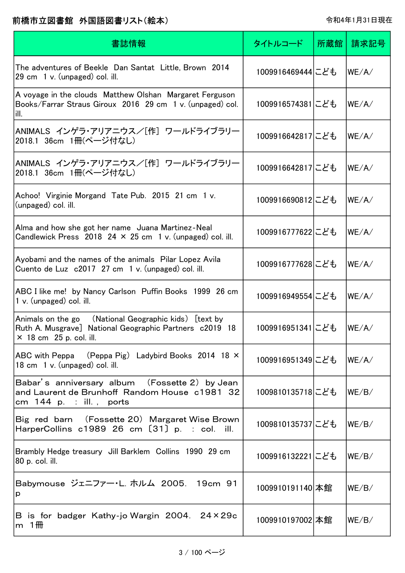| 書誌情報                                                                                                                                               | タイトルコード           | 所蔵館 | 請求記号  |
|----------------------------------------------------------------------------------------------------------------------------------------------------|-------------------|-----|-------|
| The adventures of Beekle Dan Santat Little, Brown 2014<br>29 cm 1 v. (unpaged) col. ill.                                                           | 1009916469444にども  |     | WE/A/ |
| A voyage in the clouds Matthew Olshan Margaret Ferguson<br>Books/Farrar Straus Giroux 2016 29 cm 1 v. (unpaged) col.<br>ill.                       | 1009916574381にども  |     | WE/A/ |
| ANIMALS インゲラ・アリアニウス/[作] ワールドライブラリー<br>2018.1 36cm 1冊(ページ付なし)                                                                                       | 1009916642817にども  |     | WE/A/ |
| ANIMALS インゲラ・アリアニウス/[作] ワールドライブラリー<br>2018.1 36cm 1冊(ページ付なし)                                                                                       | 1009916642817にども  |     | WE/A/ |
| Achoo! Virginie Morgand Tate Pub. 2015 21 cm 1 v.<br>(unpaged) col. ill.                                                                           | 1009916690812にども  |     | WE/A/ |
| Alma and how she got her name Juana Martinez-Neal<br>Candlewick Press 2018 24 $\times$ 25 cm 1 v. (unpaged) col. ill.                              | 1009916777622にども  |     | WE/A/ |
| Ayobami and the names of the animals Pilar Lopez Avila<br>Cuento de Luz c2017 27 cm 1 v. (unpaged) col. ill.                                       | 1009916777628にども  |     | WE/A/ |
| ABC I like me! by Nancy Carlson Puffin Books 1999 26 cm<br>1 v. (unpaged) col. ill.                                                                | 1009916949554 こども |     | WE/A/ |
| Animals on the go (National Geographic kids) [text by<br>Ruth A. Musgrave] National Geographic Partners c2019 18<br>$\times$ 18 cm 25 p. col. ill. | 1009916951341にども  |     | WE/A/ |
| (Peppa Pig) Ladybird Books 2014 18 $\times$<br>ABC with Peppa<br>18 cm 1 v. (unpaged) col. ill.                                                    | 1009916951349にども  |     | WE/A/ |
| Babar's anniversary album (Fossette 2) by Jean<br>and Laurent de Brunhoff Random House c1981 32<br>cm 144 p. : ill., ports                         | 1009810135718にども  |     | WE/B/ |
| Big red barn (Fossette 20) Margaret Wise Brown<br>HarperCollins $c1989$ 26 cm $[31]$ p. : col. ill.                                                | 1009810135737にども  |     | WE/B/ |
| Brambly Hedge treasury Jill Barklem Collins 1990 29 cm<br>80 p. col. ill.                                                                          | 1009916132221にども  |     | WE/B/ |
| Babymouse ジェニファー・L. ホルム 2005. 19cm 91<br>p                                                                                                         | 1009910191140 本館  |     | WE/B/ |
| B is for badger Kathy-jo Wargin 2004. 24×29c<br>m $1$ <del>m</del>                                                                                 | 1009910197002 本館  |     | WE/B/ |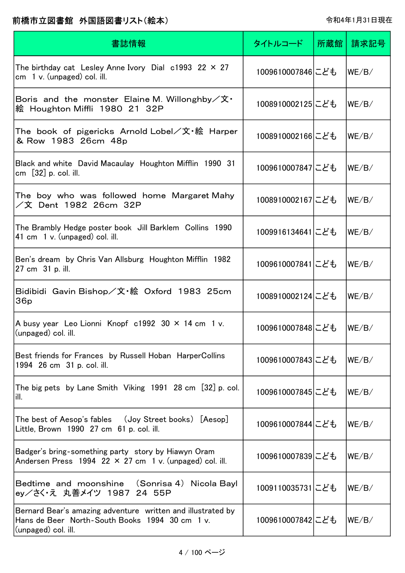| 書誌情報                                                                                                                                 | タイトルコード          | 所蔵館 | 請求記号  |
|--------------------------------------------------------------------------------------------------------------------------------------|------------------|-----|-------|
| The birthday cat Lesley Anne Ivory Dial c1993 22 $\times$ 27<br>$cm \quad 1 \, v.$ (unpaged) col. ill.                               | 1009610007846にども |     | WE/B/ |
| Boris and the monster Elaine M. Willonghby $\angle x$ .<br>絵 Houghton Miffli 1980 21 32P                                             | 1008910002125にども |     | WE/B/ |
| The book of pigericks Arnold Lobel/文・絵 Harper<br>& Row 1983 26cm 48p                                                                 | 1008910002166にども |     | WE/B/ |
| Black and white David Macaulay Houghton Mifflin 1990 31<br>cm $[32]$ p. col. ill.                                                    | 1009610007847にども |     | WE/B/ |
| The boy who was followed home Margaret Mahy<br>/文 Dent 1982 26cm 32P                                                                 | 1008910002167にども |     | WE/B/ |
| The Brambly Hedge poster book Jill Barklem Collins 1990<br>41 cm 1 v. (unpaged) col. ill.                                            | 1009916134641にども |     | WE/B/ |
| Ben's dream by Chris Van Allsburg Houghton Mifflin 1982<br>27 cm 31 p. ill.                                                          | 1009610007841にども |     | WE/B/ |
| Bidibidi Gavin Bishop/文·絵 Oxford 1983 25cm<br>36 <sub>p</sub>                                                                        | 1008910002124にども |     | WE/B/ |
| A busy year Leo Lionni Knopf $c1992$ 30 $\times$ 14 cm 1 v.<br>(unpaged) col. ill.                                                   | 1009610007848にども |     | WE/B/ |
| Best friends for Frances by Russell Hoban HarperCollins<br>1994 26 cm 31 p. col. ill.                                                | 1009610007843にども |     | WE/B/ |
| The big pets by Lane Smith Viking 1991 28 cm [32] p. col.<br>ill.                                                                    | 1009610007845にども |     | WE/B/ |
| The best of Aesop's fables (Joy Street books) [Aesop]<br>Little, Brown 1990 27 cm 61 p. col. ill.                                    | 1009610007844にども |     | WE/B/ |
| Badger's bring-something party story by Hiawyn Oram<br>Andersen Press 1994 22 $\times$ 27 cm 1 v. (unpaged) col. ill.                | 1009610007839にども |     | WE/B/ |
| Bedtime and moonshine (Sonrisa 4) Nicola Bayl<br>ey/さく・え 丸善メイツ 1987 24 55P                                                           | 1009110035731にども |     | WE/B/ |
| Bernard Bear's amazing adventure written and illustrated by<br>Hans de Beer North-South Books 1994 30 cm 1 v.<br>(unpaged) col. ill. | 1009610007842にども |     | WE/B/ |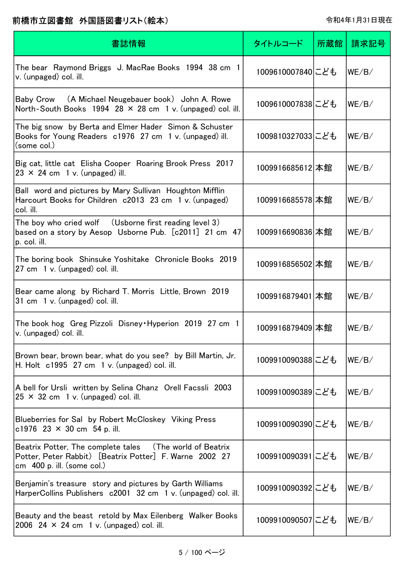| 書誌情報                                                                                                                                                   | タイトルコード          | 所蔵館 | 請求記号  |
|--------------------------------------------------------------------------------------------------------------------------------------------------------|------------------|-----|-------|
| The bear Raymond Briggs J. MacRae Books 1994 38 cm 1<br>v. (unpaged) col. ill.                                                                         | 1009610007840にども |     | WE/B/ |
| Baby Crow (A Michael Neugebauer book) John A. Rowe<br>North-South Books 1994 28 $\times$ 28 cm 1 v. (unpaged) col. ill.                                | 1009610007838にども |     | WE/B/ |
| The big snow by Berta and Elmer Hader Simon & Schuster<br>Books for Young Readers c1976 27 cm 1 v. (unpaged) ill.<br>(some col.)                       | 1009810327033にども |     | WE/B/ |
| Big cat, little cat Elisha Cooper Roaring Brook Press 2017<br>$23 \times 24$ cm 1 v. (unpaged) ill.                                                    | 1009916685612 本館 |     | WE/B/ |
| Ball word and pictures by Mary Sullivan Houghton Mifflin<br>Harcourt Books for Children c2013 23 cm 1 v. (unpaged)<br>col. ill.                        | 1009916685578 本館 |     | WE/B/ |
| The boy who cried wolf (Usborne first reading level 3)<br>based on a story by Aesop Usborne Pub. [c2011] 21 cm 47<br>p. col. ill.                      | 1009916690836 本館 |     | WE/B/ |
| The boring book Shinsuke Yoshitake Chronicle Books 2019<br>27 cm 1 v. (unpaged) col. ill.                                                              | 1009916856502 本館 |     | WE/B/ |
| Bear came along by Richard T. Morris Little, Brown 2019<br>31 cm 1 v. (unpaged) col. ill.                                                              | 1009916879401 本館 |     | WE/B/ |
| The book hog Greg Pizzoli Disney Hyperion 2019 27 cm 1<br>v. (unpaged) col. ill.                                                                       | 1009916879409 本館 |     | WE/B/ |
| Brown bear, brown bear, what do you see? by Bill Martin, Jr.<br>H. Holt $c1995$ 27 cm 1 v. (unpaged) col. ill.                                         | 1009910090388にども |     | WE/B/ |
| A bell for Ursli written by Selina Chanz Orell Facssli 2003<br>$25 \times 32$ cm 1 v. (unpaged) col. ill.                                              | 1009910090389にども |     | WE/B/ |
| Blueberries for Sal by Robert McCloskey Viking Press<br>c1976 23 $\times$ 30 cm 54 p. ill.                                                             | 1009910090390にども |     | WE/B/ |
| Beatrix Potter, The complete tales (The world of Beatrix<br>Potter, Peter Rabbit) [Beatrix Potter] F. Warne 2002 27<br>cm $\,$ 400 p. ill. (some col.) | 1009910090391にども |     | WE/B/ |
| Benjamin's treasure story and pictures by Garth Williams<br>HarperCollins Publishers c2001 32 cm 1 v. (unpaged) col. ill.                              | 1009910090392にども |     | WE/B/ |
| Beauty and the beast retold by Max Eilenberg Walker Books<br>2006 24 $\times$ 24 cm 1 v. (unpaged) col. ill.                                           | 1009910090507にども |     | WE/B/ |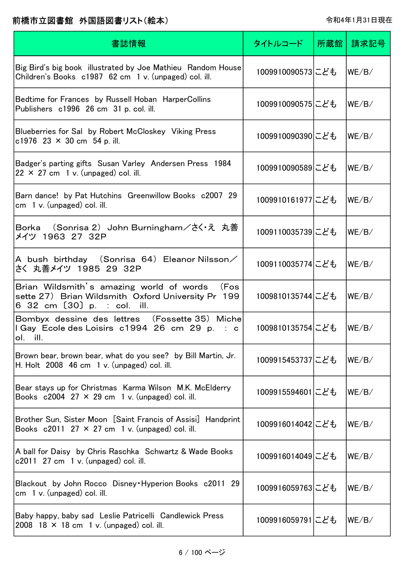| 書誌情報                                                                                                                                  | タイトルコード          | 所蔵館 | 請求記号  |
|---------------------------------------------------------------------------------------------------------------------------------------|------------------|-----|-------|
| Big Bird's big book illustrated by Joe Mathieu Random House<br>Children's Books c1987 62 cm 1 v. (unpaged) col. ill.                  | 1009910090573にども |     | WE/B/ |
| Bedtime for Frances by Russell Hoban HarperCollins<br>Publishers c1996 26 cm 31 p. col. ill.                                          | 1009910090575にども |     | WE/B/ |
| Blueberries for Sal by Robert McCloskey Viking Press<br>c1976 23 $\times$ 30 cm 54 p. ill.                                            | 1009910090390にども |     | WE/B/ |
| Badger's parting gifts Susan Varley Andersen Press 1984<br>$22 \times 27$ cm 1 v. (unpaged) col. ill.                                 | 1009910090589にども |     | WE/B/ |
| Barn dance! by Pat Hutchins Greenwillow Books c2007 29<br>$cm1$ v. (unpaged) col. ill.                                                | 1009910161977にども |     | WE/B/ |
| Borka (Sonrisa 2) John Burningham/さく・え 丸善<br>メイツ 1963 27 32P                                                                          | 1009110035739にども |     | WE/B/ |
| A bush birthday (Sonrisa 64)Eleanor Nilsson $\angle$<br>さく 丸善メイツ 1985 29 32P                                                          | 1009110035774にども |     | WE/B/ |
| Brian Wildsmith's amazing world of words<br>(Fos<br>sette 27) Brian Wildsmith Oxford University Pr 199<br>6 32 cm [30] p. : col. ill. | 1009810135744にども |     | WE/B/ |
| Bombyx dessine des lettres (Fossette 35) Miche<br>I Gay Ecole des Loisirs c1994 26 cm 29 p. : c<br>ol. ill.                           | 1009810135754にども |     | WE/B/ |
| Brown bear, brown bear, what do you see? by Bill Martin, Jr.<br>H. Holt 2008 46 cm 1 v. (unpaged) col. ill.                           | 1009915453737にども |     | WE/B/ |
| Bear stays up for Christmas Karma Wilson M.K. McElderry<br>Books $c2004$ 27 $\times$ 29 cm 1 v. (unpaged) col. ill.                   | 1009915594601にども |     | WE/B/ |
| Brother Sun, Sister Moon [Saint Francis of Assisi] Handprint<br>Books $c2011$ 27 $\times$ 27 cm 1 v. (unpaged) col. ill.              | 1009916014042にども |     | WE/B/ |
| A ball for Daisy by Chris Raschka Schwartz & Wade Books<br>$c2011$ 27 cm 1 v. (unpaged) col. ill.                                     | 1009916014049にども |     | WE/B/ |
| Blackout by John Rocco Disney Hyperion Books c2011 29<br>$cm1$ v. (unpaged) col. ill.                                                 | 1009916059763にども |     | WE/B/ |
| Baby happy, baby sad Leslie Patricelli Candlewick Press<br>2008 18 $\times$ 18 cm 1 v. (unpaged) col. ill.                            | 1009916059791にども |     | WE/B/ |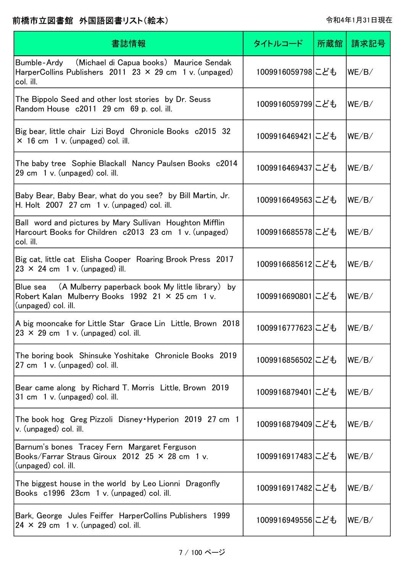| 書誌情報                                                                                                                                          | タイトルコード          | 所蔵館 | 請求記号  |
|-----------------------------------------------------------------------------------------------------------------------------------------------|------------------|-----|-------|
| Bumble-Ardy (Michael di Capua books) Maurice Sendak<br>HarperCollins Publishers 2011 23 $\times$ 29 cm 1 v. (unpaged)<br>col. ill.            | 1009916059798にども |     | WE/B/ |
| The Bippolo Seed and other lost stories by Dr. Seuss<br>Random House c2011 29 cm 69 p. col. ill.                                              | 1009916059799にども |     | WE/B/ |
| Big bear, little chair Lizi Boyd Chronicle Books c2015 32<br>$\times$ 16 cm 1 v. (unpaged) col. ill.                                          | 1009916469421にども |     | WE/B/ |
| The baby tree Sophie Blackall Nancy Paulsen Books c2014<br>29 cm 1 v. (unpaged) col. ill.                                                     | 1009916469437にども |     | WE/B/ |
| Baby Bear, Baby Bear, what do you see? by Bill Martin, Jr.<br>H. Holt $2007$ 27 cm $1$ v. (unpaged) col. ill.                                 | 1009916649563にども |     | WE/B/ |
| Ball word and pictures by Mary Sullivan Houghton Mifflin<br>Harcourt Books for Children c2013 23 cm 1 v. (unpaged)<br>col. ill.               | 1009916685578にども |     | WE/B/ |
| Big cat, little cat Elisha Cooper Roaring Brook Press 2017<br>$23 \times 24$ cm 1 v. (unpaged) ill.                                           | 1009916685612にども |     | WE/B/ |
| Blue sea (A Mulberry paperback book My little library) by<br>Robert Kalan Mulberry Books $1992$ 21 $\times$ 25 cm 1 v.<br>(unpaged) col. ill. | 1009916690801にども |     | WE/B/ |
| A big mooncake for Little Star Grace Lin Little, Brown 2018<br>$23 \times 29$ cm 1 v. (unpaged) col. ill.                                     | 1009916777623にども |     | WE/B/ |
| The boring book Shinsuke Yoshitake Chronicle Books 2019<br>27 cm 1 v. (unpaged) col. ill.                                                     | 1009916856502にども |     | WE/B/ |
| Bear came along by Richard T. Morris Little, Brown 2019<br>31 cm 1 v. (unpaged) col. ill.                                                     | 1009916879401にども |     | WE/B/ |
| The book hog Greg Pizzoli Disney Hyperion 2019 27 cm 1<br>v. (unpaged) col. ill.                                                              | 1009916879409にども |     | WE/B/ |
| Barnum's bones Tracey Fern Margaret Ferguson<br>Books/Farrar Straus Giroux 2012 25 $\times$ 28 cm 1 v.<br>(unpaged) col. ill.                 | 1009916917483にども |     | WE/B/ |
| The biggest house in the world by Leo Lionni Dragonfly<br>Books c1996 23cm 1 v. (unpaged) col. ill.                                           | 1009916917482にども |     | WE/B/ |
| Bark, George Jules Feiffer HarperCollins Publishers 1999<br>$24 \times 29$ cm 1 v. (unpaged) col. ill.                                        | 1009916949556にども |     | WE/B/ |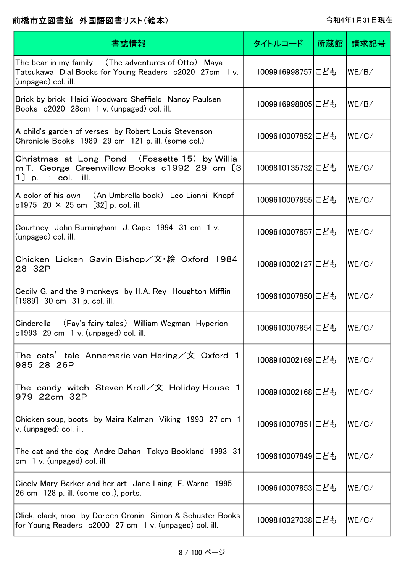| 書誌情報                                                                                                                                  | タイトルコード          | 所蔵館 | 請求記号  |
|---------------------------------------------------------------------------------------------------------------------------------------|------------------|-----|-------|
| The bear in my family  (The adventures of Otto) Maya<br>Tatsukawa Dial Books for Young Readers c2020 27cm 1 v.<br>(unpaged) col. ill. | 1009916998757にども |     | WE/B/ |
| Brick by brick Heidi Woodward Sheffield Nancy Paulsen<br>Books c2020 28cm 1 v. (unpaged) col. ill.                                    | 1009916998805にども |     | WE/B/ |
| A child's garden of verses by Robert Louis Stevenson<br>Chronicle Books 1989 29 cm 121 p. ill. (some col.)                            | 1009610007852にども |     | WE/C/ |
| Christmas at Long Pond (Fossette 15) by Willia<br>m T. George Greenwillow Books c1992 29 cm [3]<br>$1$ p. : col. ill.                 | 1009810135732にども |     | WE/C/ |
| A color of his own (An Umbrella book) Leo Lionni Knopf<br>c1975 20 $\times$ 25 cm [32] p. col. ill.                                   | 1009610007855にども |     | WE/C/ |
| Courtney John Burningham J. Cape 1994 31 cm 1 v.<br>(unpaged) col. ill.                                                               | 1009610007857にども |     | WE/C/ |
| Chicken Licken Gavin Bishop/文・絵 Oxford 1984<br>28 32P                                                                                 | 1008910002127にども |     | WE/C/ |
| Cecily G. and the 9 monkeys by H.A. Rey Houghton Mifflin<br>[1989] 30 cm 31 p. col. ill.                                              | 1009610007850にども |     | WE/C/ |
| (Fay's fairy tales) William Wegman Hyperion<br>Cinderella<br>c1993 29 cm 1 v. (unpaged) col. ill.                                     | 1009610007854にども |     | WE/C/ |
| The cats' tale Annemarie van Hering / 文 Oxford 1<br>985 28 26P                                                                        | 1008910002169にども |     | WE/C/ |
| The candy witch Steven Kroll/文 Holiday House 1<br>979 22cm 32P                                                                        | 1008910002168にども |     | WE/C/ |
| Chicken soup, boots by Maira Kalman Viking 1993 27 cm 1<br>v. (unpaged) col. ill.                                                     | 1009610007851にども |     | WE/C/ |
| The cat and the dog Andre Dahan Tokyo Bookland 1993 31<br>cm $1 v$ . (unpaged) col. ill.                                              | 1009610007849にども |     | WE/C/ |
| Cicely Mary Barker and her art Jane Laing F. Warne 1995<br>26 cm 128 p. ill. (some col.), ports.                                      | 1009610007853にども |     | WE/C/ |
| Click, clack, moo by Doreen Cronin Simon & Schuster Books<br>for Young Readers c2000 27 cm 1 v. (unpaged) col. ill.                   | 1009810327038にども |     | WE/C/ |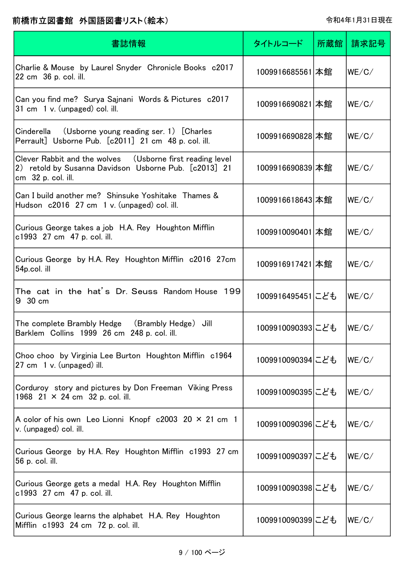| 書誌情報                                                                                                                                     | タイトルコード          | 所蔵館 | 請求記号  |
|------------------------------------------------------------------------------------------------------------------------------------------|------------------|-----|-------|
| Charlie & Mouse by Laurel Snyder Chronicle Books c2017<br>22 cm 36 p. col. ill.                                                          | 1009916685561 本館 |     | WE/C/ |
| Can you find me? Surya Sajnani Words & Pictures c2017<br>31 cm 1 v. (unpaged) col. ill.                                                  | 1009916690821 本館 |     | WE/C/ |
| (Usborne young reading ser. 1) [Charles<br>Cinderella<br>Perrault] Usborne Pub. [c2011] 21 cm 48 p. col. ill.                            | 1009916690828 本館 |     | WE/C/ |
| Clever Rabbit and the wolves (Usborne first reading level<br>2) retold by Susanna Davidson Usborne Pub. [c2013] 21<br>cm 32 p. col. ill. | 1009916690839 本館 |     | WE/C/ |
| Can I build another me? Shinsuke Yoshitake Thames &<br>Hudson c2016 27 cm 1 v. (unpaged) col. ill.                                       | 1009916618643 本館 |     | WE/C/ |
| Curious George takes a job H.A. Rey Houghton Mifflin<br>c1993 27 cm 47 p. col. ill.                                                      | 1009910090401 本館 |     | WE/C/ |
| Curious George by H.A. Rey Houghton Mifflin c2016 27cm<br>54p.col. ill                                                                   | 1009916917421 本館 |     | WE/C/ |
| The cat in the hat's Dr. Seuss Random House 199<br>9 30 cm                                                                               | 1009916495451にども |     | WE/C/ |
| The complete Brambly Hedge<br>(Brambly Hedge)<br>Jill<br>Barklem Collins 1999 26 cm 248 p. col. ill.                                     | 1009910090393にども |     | WE/C/ |
| Choo choo by Virginia Lee Burton Houghton Mifflin c1964<br>27 cm 1 v. (unpaged) ill.                                                     | 1009910090394にども |     | WE/C/ |
| Corduroy story and pictures by Don Freeman Viking Press<br>1968 21 $\times$ 24 cm 32 p. col. ill.                                        | 1009910090395にども |     | WE/C/ |
| A color of his own Leo Lionni Knopf $c2003$ 20 $\times$ 21 cm 1<br>v. (unpaged) col. ill.                                                | 1009910090396にども |     | WE/C/ |
| Curious George by H.A. Rey Houghton Mifflin c1993 27 cm<br>56 p. col. ill.                                                               | 1009910090397にども |     | WE/C/ |
| Curious George gets a medal H.A. Rey Houghton Mifflin<br>c1993 27 cm 47 p. col. ill.                                                     | 1009910090398にども |     | WE/C/ |
| Curious George learns the alphabet H.A. Rey Houghton<br>Mifflin c1993 24 cm 72 p. col. ill.                                              | 1009910090399にども |     | WE/C/ |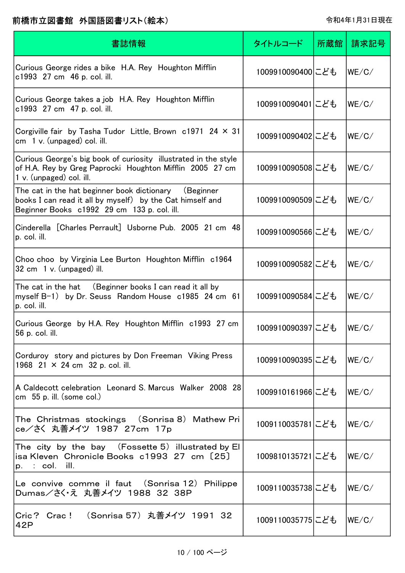| 書誌情報                                                                                                                                                                 | タイトルコード          | 所蔵館 | 請求記号  |
|----------------------------------------------------------------------------------------------------------------------------------------------------------------------|------------------|-----|-------|
| Curious George rides a bike H.A. Rey Houghton Mifflin<br>c1993 27 cm 46 p. col. ill.                                                                                 | 1009910090400にども |     | WE/C/ |
| Curious George takes a job H.A. Rey Houghton Mifflin<br>c1993 27 cm 47 p. col. ill.                                                                                  | 1009910090401にども |     | WE/C/ |
| Corgiville fair by Tasha Tudor Little, Brown $c1971$ 24 $\times$ 31<br>$cm1$ v. (unpaged) col. ill.                                                                  | 1009910090402にども |     | WE/C/ |
| Curious George's big book of curiosity illustrated in the style<br>of H.A. Rey by Greg Paprocki Houghton Mifflin 2005 27 cm<br>1 v. (unpaged) col. ill.              | 1009910090508にども |     | WE/C/ |
| The cat in the hat beginner book dictionary<br>(Beginner<br>books I can read it all by myself) by the Cat himself and<br>Beginner Books c1992 29 cm 133 p. col. ill. | 1009910090509にども |     | WE/C/ |
| Cinderella [Charles Perrault] Usborne Pub. 2005 21 cm 48<br>p. col. ill.                                                                                             | 1009910090566にども |     | WE/C/ |
| Choo choo by Virginia Lee Burton Houghton Mifflin c1964<br>32 cm 1 v. (unpaged) ill.                                                                                 | 1009910090582にども |     | WE/C/ |
| The cat in the hat (Beginner books I can read it all by<br>myself B-1) by Dr. Seuss Random House c1985 24 cm 61<br>p. col. ill.                                      | 1009910090584にども |     | WE/C/ |
| Curious George by H.A. Rey Houghton Mifflin c1993 27 cm<br>56 p. col. ill.                                                                                           | 1009910090397にども |     | WE/C/ |
| Corduroy story and pictures by Don Freeman Viking Press<br>1968 21 $\times$ 24 cm 32 p. col. ill.                                                                    | 1009910090395にども |     | WE/C/ |
| A Caldecott celebration Leonard S. Marcus Walker 2008 28<br>cm $55$ p. ill. (some col.)                                                                              | 1009910161966にども |     | WE/C/ |
| The Christmas stockings (Sonrisa 8) Mathew Pri<br>ce/さく 丸善メイツ 1987 27cm 17p                                                                                          | 1009110035781にども |     | WE/C/ |
| The city by the bay $( Fossette 5)$ illustrated by El<br>isa Kleven Chronicle Books c1993 27 cm [25]<br>p. : col. ill.                                               | 1009810135721にども |     | WE/C/ |
| Le convive comme il faut (Sonrisa 12) Philippe<br>Dumas/さく・え 丸善メイツ 1988 32 38P                                                                                       | 1009110035738にども |     | WE/C/ |
| Cric? Crac! (Sonrisa 57)丸善メイツ 1991_32<br>42P                                                                                                                         | 1009110035775にども |     | WE/C/ |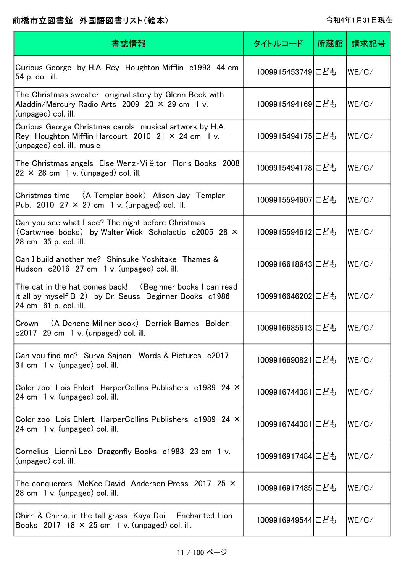| 書誌情報                                                                                                                                               | タイトルコード          | 所蔵館丨 | 請求記号  |
|----------------------------------------------------------------------------------------------------------------------------------------------------|------------------|------|-------|
| Curious George by H.A. Rey Houghton Mifflin c1993 44 cm<br>54 p. col. ill.                                                                         | 1009915453749にども |      | WE/C/ |
| The Christmas sweater original story by Glenn Beck with<br>Aladdin/Mercury Radio Arts 2009 23 $\times$ 29 cm 1 v.<br>(unpaged) col. ill.           | 1009915494169にども |      | WE/C/ |
| Curious George Christmas carols musical artwork by H.A.<br>Rey Houghton Mifflin Harcourt 2010 21 $\times$ 24 cm 1 v.<br>(unpaged) col. ill., music | 1009915494175にども |      | WE/C/ |
| The Christmas angels Else Wenz-Viëtor Floris Books 2008<br>$22 \times 28$ cm 1 v. (unpaged) col. ill.                                              | 1009915494178にども |      | WE/C/ |
| Christmas time (A Templar book) Alison Jay Templar<br>Pub. 2010 27 $\times$ 27 cm 1 v. (unpaged) col. ill.                                         | 1009915594607にども |      | WE/C/ |
| Can you see what I see? The night before Christmas<br>(Cartwheel books) by Walter Wick Scholastic c2005 28 ×<br>28 cm 35 p. col. ill.              | 1009915594612にども |      | WE/C/ |
| Can I build another me? Shinsuke Yoshitake Thames &<br>Hudson c2016 27 cm 1 v. (unpaged) col. ill.                                                 | 1009916618643にども |      | WE/C/ |
| The cat in the hat comes back! (Beginner books I can read<br>it all by myself B-2) by Dr. Seuss Beginner Books c1986<br>24 cm 61 p. col. ill.      | 1009916646202にども |      | WE/C/ |
| (A Denene Millner book) Derrick Barnes Bolden<br>Crown<br>$c2017$ 29 cm 1 v. (unpaged) col. ill.                                                   | 1009916685613にども |      | WE/C/ |
| Can you find me? Surya Sajnani Words & Pictures c2017<br>31 cm 1 v. (unpaged) col. ill.                                                            | 1009916690821にども |      | WE/C/ |
| Color zoo Lois Ehlert HarperCollins Publishers c1989 24 ×<br>24 cm 1 v. (unpaged) col. ill.                                                        | 1009916744381にども |      | WE/C/ |
| Color zoo Lois Ehlert HarperCollins Publishers c1989 24 ×<br>24 cm 1 v. (unpaged) col. ill.                                                        | 1009916744381にども |      | WE/C/ |
| Cornelius Lionni Leo Dragonfly Books c1983 23 cm 1 v.<br>(unpaged) col. ill.                                                                       | 1009916917484にども |      | WE/C/ |
| The conquerors McKee David Andersen Press 2017 25 ×<br>28 cm 1 v. (unpaged) col. ill.                                                              | 1009916917485にども |      | WE/C/ |
| Chirri & Chirra, in the tall grass Kaya Doi Enchanted Lion<br>Books 2017 18 $\times$ 25 cm 1 v. (unpaged) col. ill.                                | 1009916949544にども |      | WE/C/ |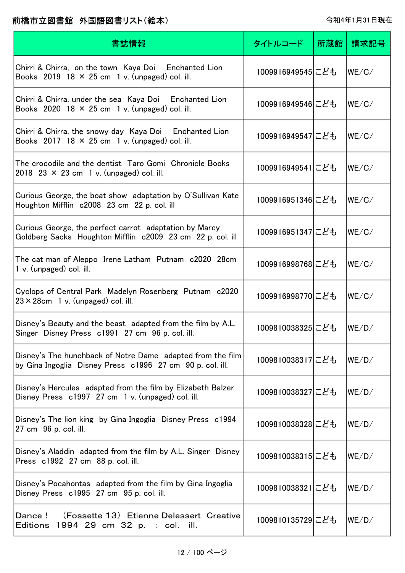| 書誌情報                                                                                                                    | タイトルコード          | 所蔵館 | 請求記号  |
|-------------------------------------------------------------------------------------------------------------------------|------------------|-----|-------|
| Chirri & Chirra, on the town Kaya Doi Enchanted Lion<br>Books 2019 18 $\times$ 25 cm 1 v. (unpaged) col. ill.           | 1009916949545にども |     | WE/C/ |
| Chirri & Chirra, under the sea Kaya Doi Enchanted Lion<br>Books 2020 18 $\times$ 25 cm 1 v. (unpaged) col. ill.         | 1009916949546にども |     | WE/C/ |
| Chirri & Chirra, the snowy day Kaya Doi Enchanted Lion<br>Books 2017 18 $\times$ 25 cm 1 v. (unpaged) col. ill.         | 1009916949547にども |     | WE/C/ |
| The crocodile and the dentist Taro Gomi Chronicle Books<br>2018 23 $\times$ 23 cm 1 v. (unpaged) col. ill.              | 1009916949541にども |     | WE/C/ |
| Curious George, the boat show adaptation by O'Sullivan Kate<br>Houghton Mifflin c2008 23 cm 22 p. col. ill              | 1009916951346にども |     | WE/C/ |
| Curious George, the perfect carrot adaptation by Marcy<br>Goldberg Sacks Houghton Mifflin c2009 23 cm 22 p. col. ill    | 1009916951347にども |     | WE/C/ |
| The cat man of Aleppo Irene Latham Putnam c2020 28cm<br>$1 v.$ (unpaged) col. ill.                                      | 1009916998768にども |     | WE/C/ |
| Cyclops of Central Park Madelyn Rosenberg Putnam c2020<br>$23 \times 28$ cm 1 v. (unpaged) col. ill.                    | 1009916998770にども |     | WE/C/ |
| Disney's Beauty and the beast adapted from the film by A.L.<br>Singer Disney Press c1991 27 cm 96 p. col. ill.          | 1009810038325にども |     | WE/D/ |
| Disney's The hunchback of Notre Dame adapted from the film<br>by Gina Ingoglia Disney Press c1996 27 cm 90 p. col. ill. | 1009810038317にども |     | WE/D/ |
| Disney's Hercules adapted from the film by Elizabeth Balzer<br>Disney Press c1997 27 cm 1 v. (unpaged) col. ill.        | 1009810038327にども |     | WE/D/ |
| Disney's The lion king by Gina Ingoglia Disney Press c1994<br>27 cm 96 p. col. ill.                                     | 1009810038328にども |     | WE/D/ |
| Disney's Aladdin adapted from the film by A.L. Singer Disney<br>Press c1992 27 cm 88 p. col. ill.                       | 1009810038315にども |     | WE/D/ |
| Disney's Pocahontas adapted from the film by Gina Ingoglia<br>Disney Press c1995 27 cm 95 p. col. ill.                  | 1009810038321にども |     | WE/D/ |
| (Fossette 13) Etienne Delessert Creative<br>Dance !<br>Editions 1994 29 cm 32 p. : col. ill.                            | 1009810135729にども |     | WE/D/ |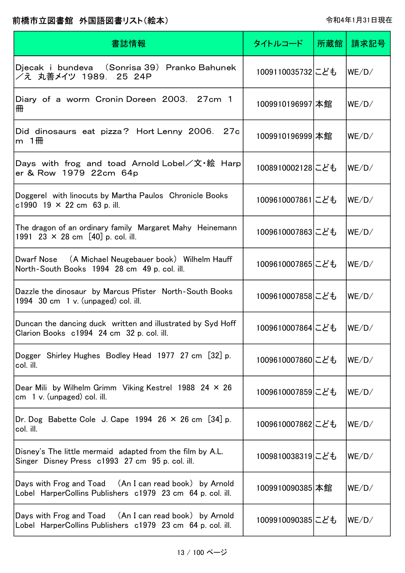| 書誌情報                                                                                                                 | タイトルコード          | 所蔵館 | 請求記号  |
|----------------------------------------------------------------------------------------------------------------------|------------------|-----|-------|
| Djecak i bundeva (Sonrisa 39) Pranko Bahunek<br>/え 丸善メイツ 1989. 25 24P                                                | 1009110035732にども |     | WE/D/ |
| Diary of a worm Cronin Doreen 2003. 27cm 1<br>冊                                                                      | 1009910196997 本館 |     | WE/D/ |
| Did dinosaurs eat pizza? Hort Lenny 2006. 27c<br>m $1$ HH                                                            | 1009910196999 本館 |     | WE/D/ |
| Days with frog and toad Arnold Lobel/文・絵 Harp<br>er & Row 1979 22cm 64p                                              | 1008910002128にども |     | WE/D/ |
| Doggerel with linocuts by Martha Paulos Chronicle Books<br>c1990 19 $\times$ 22 cm 63 p. ill.                        | 1009610007861にども |     | WE/D/ |
| The dragon of an ordinary family Margaret Mahy Heinemann<br>1991 23 $\times$ 28 cm [40] p. col. ill.                 | 1009610007863にども |     | WE/D/ |
| Dwarf Nose (A Michael Neugebauer book) Wilhelm Hauff<br>North-South Books 1994 28 cm 49 p. col. ill.                 | 1009610007865にども |     | WE/D/ |
| Dazzle the dinosaur by Marcus Pfister North-South Books<br>1994 $30 \text{ cm}$ 1 v. (unpaged) col. ill.             | 1009610007858にども |     | WE/D/ |
| Duncan the dancing duck written and illustrated by Syd Hoff<br>Clarion Books c1994 24 cm 32 p. col. ill.             | 1009610007864にども |     | WE/D/ |
| Dogger Shirley Hughes Bodley Head 1977 27 cm [32] p.<br>col. ill.                                                    | 1009610007860にども |     | WE/D/ |
| Dear Mili by Wilhelm Grimm Viking Kestrel 1988 24 $\times$ 26<br>$cm \quad 1 \, v.$ (unpaged) col. ill.              | 1009610007859にども |     | WE/D/ |
| Dr. Dog Babette Cole J. Cape 1994 26 $\times$ 26 cm [34] p.<br>col. ill.                                             | 1009610007862にども |     | WE/D/ |
| Disney's The little mermaid adapted from the film by A.L.<br>Singer Disney Press c1993 27 cm 95 p. col. ill.         | 1009810038319にども |     | WE/D/ |
| Days with Frog and Toad (An I can read book) by Arnold<br>Lobel HarperCollins Publishers c1979 23 cm 64 p. col. ill. | 1009910090385 本館 |     | WE/D/ |
| Days with Frog and Toad (An I can read book) by Arnold<br>Lobel HarperCollins Publishers c1979 23 cm 64 p. col. ill. | 1009910090385にども |     | WE/D/ |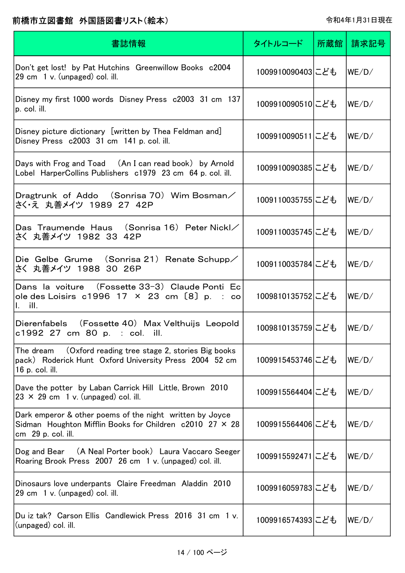| 書誌情報                                                                                                                                                | タイトルコード          | 所蔵館 | 請求記号  |
|-----------------------------------------------------------------------------------------------------------------------------------------------------|------------------|-----|-------|
| Don't get lost! by Pat Hutchins Greenwillow Books c2004<br>29 cm 1 v. (unpaged) col. ill.                                                           | 1009910090403にども |     | WE/D/ |
| Disney my first 1000 words Disney Press c2003 31 cm 137<br>p. col. ill.                                                                             | 1009910090510にども |     | WE/D/ |
| Disney picture dictionary [written by Thea Feldman and]<br>Disney Press c2003 31 cm 141 p. col. ill.                                                | 1009910090511にども |     | WE/D/ |
| Days with Frog and Toad (An I can read book) by Arnold<br>Lobel HarperCollins Publishers c1979 23 cm 64 p. col. ill.                                | 1009910090385にども |     | WE/D/ |
| Dragtrunk of Addo (Sonrisa 70) Wim Bosman/<br>さく・え 丸善メイツ 1989 27 42P                                                                                | 1009110035755にども |     | WE/D/ |
| Das Traumende Haus (Sonrisa 16) Peter Nickl/<br>さく 丸善メイツ 1982 33 42P                                                                                | 1009110035745にども |     | WE/D/ |
| Die Gelbe Grume (Sonrisa 21) Renate Schupp/<br>さく 丸善メイツ 1988 30 26P                                                                                 | 1009110035784にども |     | WE/D/ |
| Dans la voiture (Fossette 33-3) Claude Ponti Ec<br>ole des Loisirs c1996 17 $\times$ 23 cm [8] p. : co<br>$\mathsf{I}$ , ill.                       | 1009810135752にども |     | WE/D/ |
| Dierenfabels (Fossette 40) Max Velthuijs Leopold<br>c1992 27 cm 80 p. : col. ill.                                                                   | 1009810135759にども |     | WE/D/ |
| The dream<br>(Oxford reading tree stage 2, stories Big books)<br>pack) Roderick Hunt Oxford University Press 2004 52 cm<br>16 p. col. ill.          | 1009915453746にども |     | WE/D/ |
| Dave the potter by Laban Carrick Hill Little, Brown 2010<br>$23 \times 29$ cm 1 v. (unpaged) col. ill.                                              | 1009915564404にども |     | WE/D/ |
| Dark emperor & other poems of the night written by Joyce<br>Sidman Houghton Mifflin Books for Children $c2010$ 27 $\times$ 28<br>cm 29 p. col. ill. | 1009915564406にども |     | WE/D/ |
| Dog and Bear (A Neal Porter book) Laura Vaccaro Seeger<br>Roaring Brook Press 2007 26 cm 1 v. (unpaged) col. ill.                                   | 1009915592471にども |     | WE/D/ |
| Dinosaurs love underpants Claire Freedman Aladdin 2010<br>29 cm 1 v. (unpaged) col. ill.                                                            | 1009916059783にども |     | WE/D/ |
| Du iz tak? Carson Ellis Candlewick Press 2016 31 cm 1 v.<br>(unpaged) col. ill.                                                                     | 1009916574393にども |     | WE/D/ |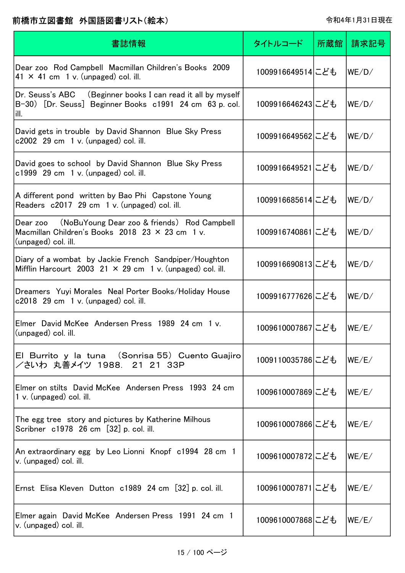| 書誌情報                                                                                                                              | タイトルコード          | 所蔵館 | 請求記号  |
|-----------------------------------------------------------------------------------------------------------------------------------|------------------|-----|-------|
| Dear zoo Rod Campbell Macmillan Children's Books 2009<br>41 $\times$ 41 cm 1 v. (unpaged) col. ill.                               | 1009916649514にども |     | WE/D/ |
| Dr. Seuss's ABC (Beginner books I can read it all by myself<br>B-30) [Dr. Seuss] Beginner Books c1991 24 cm 63 p. col.<br>ill.    | 1009916646243にども |     | WE/D/ |
| David gets in trouble by David Shannon Blue Sky Press<br>$c2002$ 29 cm 1 v. (unpaged) col. ill.                                   | 1009916649562にども |     | WE/D/ |
| David goes to school by David Shannon Blue Sky Press<br>$c1999$ 29 cm 1 v. (unpaged) col. ill.                                    | 1009916649521にども |     | WE/D/ |
| A different pond written by Bao Phi Capstone Young<br>Readers c2017 29 cm 1 v. (unpaged) col. ill.                                | 1009916685614にども |     | WE/D/ |
| (NoBuYoung Dear zoo & friends) Rod Campbell<br>Dear zoo<br>Macmillan Children's Books 2018 23 × 23 cm 1 v.<br>(unpaged) col. ill. | 1009916740861にども |     | WE/D/ |
| Diary of a wombat by Jackie French Sandpiper/Houghton<br>Mifflin Harcourt 2003 21 $\times$ 29 cm 1 v. (unpaged) col. ill.         | 1009916690813にども |     | WE/D/ |
| Dreamers Yuyi Morales Neal Porter Books/Holiday House<br>$c2018$ 29 cm 1 v. (unpaged) col. ill.                                   | 1009916777626にども |     | WE/D/ |
| Elmer David McKee Andersen Press 1989 24 cm 1 v.<br>(unpaged) col. ill.                                                           | 1009610007867にども |     | WE/E/ |
| El Burrito y la tuna (Sonrisa 55) Cuento Guajiro<br>/さいわ 丸善メイツ 1988. 21 21 33P                                                    | 1009110035786にども |     | WE/E/ |
| Elmer on stilts David McKee Andersen Press 1993 24 cm<br>$1 v.$ (unpaged) col. ill.                                               | 1009610007869にども |     | WE/E/ |
| The egg tree story and pictures by Katherine Milhous<br>Scribner c1978 26 cm [32] p. col. ill.                                    | 1009610007866にども |     | WE/E/ |
| An extraordinary egg by Leo Lionni Knopf c1994 28 cm 1<br>v. (unpaged) col. ill.                                                  | 1009610007872にども |     | WE/E/ |
| Ernst Elisa Kleven Dutton c1989 24 cm [32] p. col. ill.                                                                           | 1009610007871にども |     | WE/E/ |
| Elmer again David McKee Andersen Press 1991 24 cm 1<br>v. (unpaged) col. ill.                                                     | 1009610007868にども |     | WE/E/ |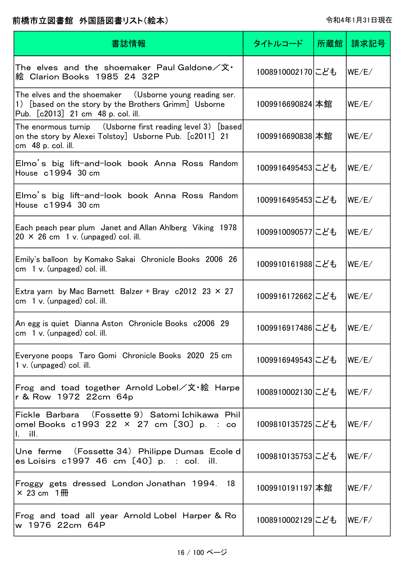| 書誌情報                                                                                                                                                   | タイトルコード          | 所蔵館 | 請求記号  |
|--------------------------------------------------------------------------------------------------------------------------------------------------------|------------------|-----|-------|
| The <code>elves and the shoemaker Paul</code> Galdone/文 $\cdot$<br>絵 Clarion Books 1985 24 32P                                                         | 1008910002170にども |     | WE/E/ |
| The elves and the shoemaker (Usborne young reading ser.<br>1) [based on the story by the Brothers Grimm] Usborne<br>Pub. [c2013] 21 cm 48 p. col. ill. | 1009916690824 本館 |     | WE/E/ |
| The enormous turnip  (Usborne first reading level 3)[based]<br>on the story by Alexei Tolstoy] Usborne Pub. [c2011] 21<br>cm 48 p. col. ill.           | 1009916690838 本館 |     | WE/E/ |
| Elmo's big lift-and-look book Anna Ross Random<br>House c1994 30 cm                                                                                    | 1009916495453にども |     | WE/E/ |
| Elmo's big lift-and-look book Anna Ross Random<br>House c1994 30 cm                                                                                    | 1009916495453にども |     | WE/E/ |
| Each peach pear plum Janet and Allan Ahlberg Viking 1978<br>$20 \times 26$ cm 1 v. (unpaged) col. ill.                                                 | 1009910090577にども |     | WE/E/ |
| Emily's balloon by Komako Sakai Chronicle Books 2006 26<br>cm $1 v$ . (unpaged) col. ill.                                                              | 1009910161988にども |     | WE/E/ |
| Extra yarn by Mac Barnett Balzer + Bray c2012 23 $\times$ 27<br>$cm \, 1 \, v.$ (unpaged) col. ill.                                                    | 1009916172662にども |     | WE/E/ |
| An egg is quiet Dianna Aston Chronicle Books c2006 29<br>$cm \quad 1 \, v.$ (unpaged) col. ill.                                                        | 1009916917486にども |     | WE/E/ |
| Everyone poops Taro Gomi Chronicle Books 2020 25 cm<br>1 v. (unpaged) col. ill.                                                                        | 1009916949543にども |     | WE/E/ |
| Frog and toad together Arnold Lobel/文・絵 Harpe<br>r & Row 1972 22cm 64p                                                                                 | 1008910002130にども |     | WE/F/ |
| Fickle Barbara (Fossette 9) Satomi Ichikawa Phil<br>omel Books c1993 22 × 27 cm [30] p. : co<br>$\mathbf{I}$ , ill.                                    | 1009810135725にども |     | WE/F/ |
| Une ferme (Fossette 34) Philippe Dumas Ecole d<br>es Loisirs $c1997$ 46 cm $[40]$ p. : col. ill.                                                       | 1009810135753にども |     | WE/F/ |
| Froggy gets dressed London Jonathan 1994. 18<br>$\times$ 23 cm 1 fff                                                                                   | 1009910191197 本館 |     | WE/F/ |
| Frog and toad all year Arnold Lobel Harper & Ro<br>w 1976 22cm 64P                                                                                     | 1008910002129にども |     | WE/F/ |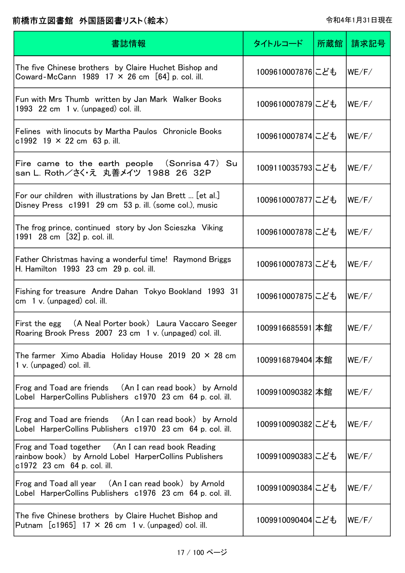| 書誌情報                                                                                                                                        | タイトルコード          | 所蔵館 | 請求記号  |
|---------------------------------------------------------------------------------------------------------------------------------------------|------------------|-----|-------|
| The five Chinese brothers by Claire Huchet Bishop and<br>Coward-McCann 1989 17 $\times$ 26 cm [64] p. col. ill.                             | 1009610007876にども |     | WE/F/ |
| Fun with Mrs Thumb written by Jan Mark Walker Books<br>1993 $22 \text{ cm}$ 1 v. (unpaged) col. ill.                                        | 1009610007879にども |     | WE/F/ |
| Felines with linocuts by Martha Paulos Chronicle Books<br>c1992 19 $\times$ 22 cm 63 p. ill.                                                | 1009610007874にども |     | WE/F/ |
| Fire came to the earth people (Sonrisa 47) Su<br>san L. Roth/さく え 丸善メイツ 1988 26 32P                                                         | 1009110035793にども |     | WE/F/ |
| For our children with illustrations by Jan Brett  [et al.]<br>Disney Press c1991 29 cm 53 p. ill. (some col.), music                        | 1009610007877にども |     | WE/F/ |
| The frog prince, continued story by Jon Scieszka Viking<br>1991 28 cm [32] p. col. ill.                                                     | 1009610007878にども |     | WE/F/ |
| Father Christmas having a wonderful time! Raymond Briggs<br>H. Hamilton 1993 23 cm 29 p. col. ill.                                          | 1009610007873にども |     | WE/F/ |
| Fishing for treasure Andre Dahan Tokyo Bookland 1993 31<br>cm $1 v$ . (unpaged) col. ill.                                                   | 1009610007875にども |     | WE/F/ |
| First the egg (A Neal Porter book) Laura Vaccaro Seeger<br>Roaring Brook Press 2007 23 cm 1 v. (unpaged) col. ill.                          | 1009916685591 本館 |     | WE/F/ |
| The farmer $\chi$ imo Abadia Holiday House 2019 20 $\times$ 28 cm<br>$1 v.$ (unpaged) col. ill.                                             | 1009916879404 本館 |     | WE/F/ |
| Frog and Toad are friends (An I can read book) by Arnold<br>Lobel HarperCollins Publishers c1970 23 cm 64 p. col. ill.                      | 1009910090382 本館 |     | WE/F/ |
| Frog and Toad are friends (An I can read book) by Arnold<br>Lobel HarperCollins Publishers c1970 23 cm 64 p. col. ill.                      | 1009910090382にども |     | WE/F/ |
| Frog and Toad together (An I can read book Reading<br>rainbow book) by Arnold Lobel HarperCollins Publishers<br>c1972 23 cm 64 p. col. ill. | 1009910090383にども |     | WE/F/ |
| Frog and Toad all year (An I can read book) by Arnold<br>Lobel HarperCollins Publishers c1976 23 cm 64 p. col. ill.                         | 1009910090384にども |     | WE/F/ |
| The five Chinese brothers by Claire Huchet Bishop and<br>Putnam $[c1965]$ 17 $\times$ 26 cm 1 v. (unpaged) col. ill.                        | 1009910090404にども |     | WE/F/ |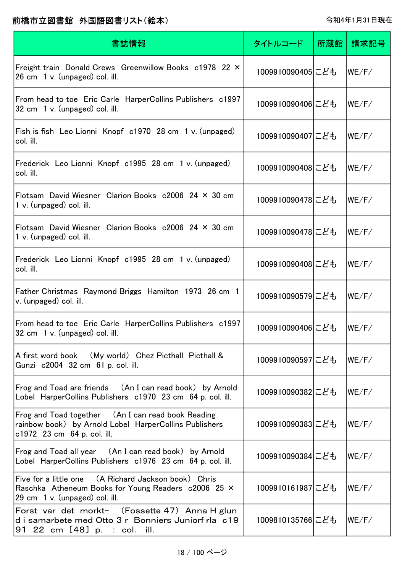| 書誌情報                                                                                                                                          | タイトルコード          | 所蔵館 | 請求記号  |
|-----------------------------------------------------------------------------------------------------------------------------------------------|------------------|-----|-------|
| Freight train Donald Crews Greenwillow Books c1978 22 ×<br>$26 \text{ cm}$ 1 v. (unpaged) col. ill.                                           | 1009910090405にども |     | WE/F/ |
| From head to toe Eric Carle HarperCollins Publishers c1997<br>32 cm 1 v. (unpaged) col. ill.                                                  | 1009910090406にども |     | WE/F/ |
| Fish is fish Leo Lionni Knopf c1970 28 cm 1 v. (unpaged)<br>col. ill.                                                                         | 1009910090407にども |     | WE/F/ |
| Frederick Leo Lionni Knopf c1995 28 cm 1 v. (unpaged)<br>col. ill.                                                                            | 1009910090408にども |     | WE/F/ |
| Flotsam David Wiesner Clarion Books $c2006$ 24 $\times$ 30 cm<br>1 v. (unpaged) col. ill.                                                     | 1009910090478にども |     | WE/F/ |
| Flotsam David Wiesner Clarion Books $c2006$ 24 $\times$ 30 cm<br>1 v. (unpaged) col. ill.                                                     | 1009910090478にども |     | WE/F/ |
| Frederick Leo Lionni Knopf c1995 28 cm 1 v. (unpaged)<br>col. ill.                                                                            | 1009910090408にども |     | WE/F/ |
| Father Christmas Raymond Briggs Hamilton 1973 26 cm 1<br>v. (unpaged) col. ill.                                                               | 1009910090579にども |     | WE/F/ |
| From head to toe Eric Carle HarperCollins Publishers c1997<br>32 cm 1 v. (unpaged) col. ill.                                                  | 1009910090406にども |     | WE/F/ |
| A first word book (My world) Chez Picthall Picthall &<br>Gunzi c2004 32 cm 61 p. col. ill.                                                    | 1009910090597にども |     | WE/F/ |
| Frog and Toad are friends (An I can read book) by Arnold<br>Lobel HarperCollins Publishers c1970 23 cm 64 p. col. ill.                        | 1009910090382にども |     | WE/F/ |
| Frog and Toad together (An I can read book Reading<br>rainbow book) by Arnold Lobel HarperCollins Publishers<br>c1972 23 cm 64 p. col. ill.   | 1009910090383にども |     | WE/F/ |
| Frog and Toad all year (An I can read book) by Arnold<br>Lobel HarperCollins Publishers c1976 23 cm 64 p. col. ill.                           | 1009910090384にども |     | WE/F/ |
| Five for a little one (A Richard Jackson book) Chris<br>Raschka Atheneum Books for Young Readers c2006 25 X<br>29 cm 1 v. (unpaged) col. ill. | 1009910161987にども |     | WE/F/ |
| Forst var det morkt- (Fossette 47) Anna H glun<br>d i samarbete med Otto 3 r Bonniers Juniorf rla c19<br>91 22 cm [48] p. : col. ill.         | 1009810135766にども |     | WE/F/ |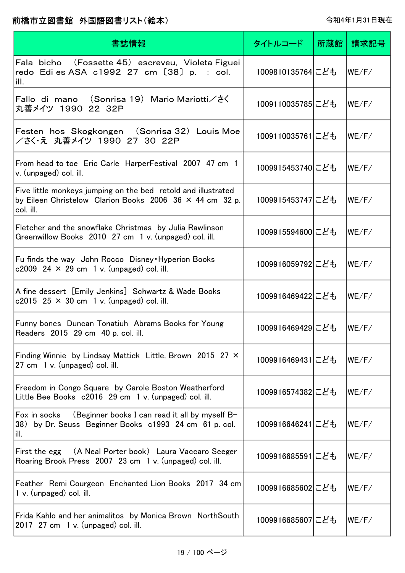| 書誌情報                                                                                                                                          | タイトルコード          | 所蔵館丨 | 請求記号  |
|-----------------------------------------------------------------------------------------------------------------------------------------------|------------------|------|-------|
| Fala bicho (Fossette 45) escreveu, Violeta Figuei<br>redo Edi es ASA c1992 27 cm [38] p. : col.<br>ill.                                       | 1009810135764にども |      | WE/F/ |
| Fallo di mano (Sonrisa 19)Mario Mariotti/さく<br>丸善メイツ 1990 22 32P                                                                              | 1009110035785にども |      | WE/F/ |
| Festen hos Skogkongen (Sonrisa 32) Louis Moe<br>/さく・え 丸善メイツ 1990 27 30 22P                                                                    | 1009110035761にども |      | WE/F/ |
| From head to toe Eric Carle HarperFestival 2007 47 cm 1<br>v. (unpaged) col. ill.                                                             | 1009915453740にども |      | WE/F/ |
| Five little monkeys jumping on the bed retold and illustrated<br>by Eileen Christelow Clarion Books 2006 36 $\times$ 44 cm 32 p.<br>col. ill. | 1009915453747にども |      | WE/F/ |
| Fletcher and the snowflake Christmas by Julia Rawlinson<br>Greenwillow Books 2010 27 cm 1 v. (unpaged) col. ill.                              | 1009915594600にども |      | WE/F/ |
| Fu finds the way John Rocco Disney Hyperion Books<br>c2009 24 $\times$ 29 cm 1 v. (unpaged) col. ill.                                         | 1009916059792にども |      | WE/F/ |
| A fine dessert [Emily Jenkins] Schwartz & Wade Books<br>c2015 25 $\times$ 30 cm 1 v. (unpaged) col. ill.                                      | 1009916469422にども |      | WE/F/ |
| Funny bones Duncan Tonatiuh Abrams Books for Young<br>Readers 2015 29 cm 40 p. col. ill.                                                      | 1009916469429にども |      | WE/F/ |
| Finding Winnie by Lindsay Mattick Little, Brown 2015 27 ×<br>27 cm 1 v. (unpaged) col. ill.                                                   | 1009916469431にども |      | WE/F/ |
| Freedom in Congo Square by Carole Boston Weatherford<br>Little Bee Books c2016 29 cm 1 v. (unpaged) col. ill.                                 | 1009916574382にども |      | WE/F/ |
| Fox in socks $(Beginner books I can read it all by myself B-$<br>38) by Dr. Seuss Beginner Books c1993 24 cm 61 p. col.<br>ill.               | 1009916646241にども |      | WE/F/ |
| First the egg (A Neal Porter book) Laura Vaccaro Seeger<br>Roaring Brook Press 2007 23 cm 1 v. (unpaged) col. ill.                            | 1009916685591にども |      | WE/F/ |
| Feather Remi Courgeon Enchanted Lion Books 2017 34 cm<br>$1 v.$ (unpaged) col. ill.                                                           | 1009916685602にども |      | WE/F/ |
| Frida Kahlo and her animalitos by Monica Brown NorthSouth<br>2017 27 cm 1 v. (unpaged) col. ill.                                              | 1009916685607にども |      | WE/F/ |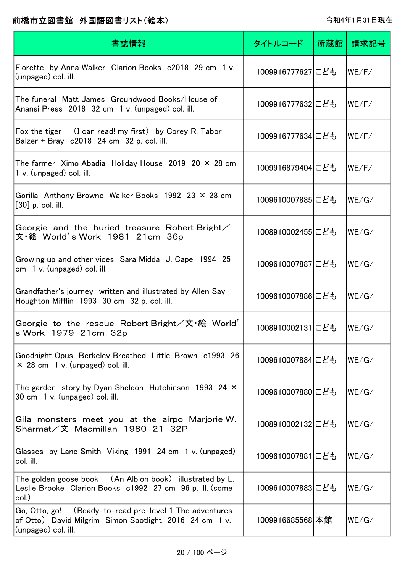| 書誌情報                                                                                                                                     | タイトルコード          | 所蔵館 | 請求記号  |
|------------------------------------------------------------------------------------------------------------------------------------------|------------------|-----|-------|
| Florette by Anna Walker Clarion Books c2018 29 cm 1 v.<br>(unpaged) col. ill.                                                            | 1009916777627にども |     | WE/F/ |
| The funeral Matt James Groundwood Books/House of<br>Anansi Press 2018 32 cm 1 v. (unpaged) col. ill.                                     | 1009916777632にども |     | WE/F/ |
| Fox the tiger (I can read! my first) by Corey R. Tabor<br>Balzer + Bray c2018 24 cm 32 p. col. ill.                                      | 1009916777634にども |     | WE/F/ |
| The farmer $\,$ Ximo Abadia $\,$ Holiday House $\,$ 2019 $\,$ 20 $\times$ 28 cm $\,$<br>1 v. (unpaged) col. ill.                         | 1009916879404にども |     | WE/F/ |
| Gorilla Anthony Browne Walker Books 1992 23 $\times$ 28 cm<br>$[30]$ p. col. ill.                                                        | 1009610007885にども |     | WE/G/ |
| Georgie and the buried treasure Robert Bright $\angle$<br>文・絵 World's Work 1981 21cm 36p                                                 | 1008910002455にども |     | WE/G/ |
| Growing up and other vices Sara Midda J. Cape 1994 25<br>cm 1 v. (unpaged) col. ill.                                                     | 1009610007887にども |     | WE/G/ |
| Grandfather's journey written and illustrated by Allen Say<br>Houghton Mifflin 1993 30 cm 32 p. col. ill.                                | 1009610007886にども |     | WE/G/ |
| Georgie to the rescue Robert Bright/文·絵 World'<br>s Work 1979 21cm 32p                                                                   | 1008910002131にども |     | WE/G/ |
| Goodnight Opus Berkeley Breathed Little, Brown c1993 26<br>$\times$ 28 cm 1 v. (unpaged) col. ill.                                       | 1009610007884にども |     | WE/G/ |
| The garden story by Dyan Sheldon Hutchinson 1993 24 $\times$<br>30 cm 1 v. (unpaged) col. ill.                                           | 1009610007880にども |     | WE/G/ |
| Gila monsters meet you at the airpo Marjorie W.<br>Sharmat/文 Macmillan 1980 21 32P                                                       | 1008910002132にども |     | WE/G/ |
| Glasses by Lane Smith Viking 1991 24 cm 1 v. (unpaged)<br>col. ill.                                                                      | 1009610007881にども |     | WE/G/ |
| The golden goose book (An Albion book) illustrated by L.<br>Leslie Brooke Clarion Books c1992 27 cm 96 p. ill. (some<br>col.)            | 1009610007883にども |     | WE/G/ |
| Go, Otto, go! (Ready-to-read pre-level 1 The adventures<br>of Otto) David Milgrim Simon Spotlight 2016 24 cm 1 v.<br>(unpaged) col. ill. | 1009916685568 本館 |     | WE/G/ |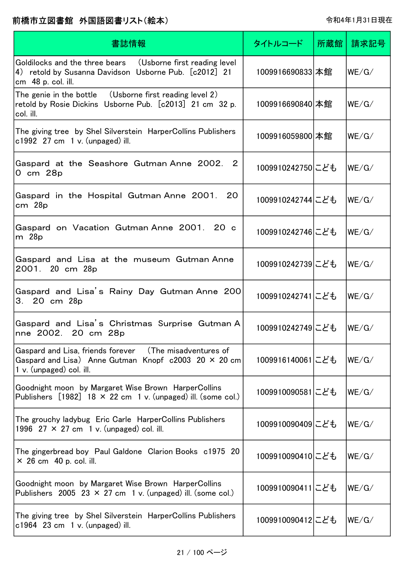| 書誌情報                                                                                                                                                 | タイトルコード          | 所蔵館丨 | 請求記号  |
|------------------------------------------------------------------------------------------------------------------------------------------------------|------------------|------|-------|
| Goldilocks and the three bears (Usborne first reading level<br>4) retold by Susanna Davidson Usborne Pub. [c2012] 21<br>cm 48 p. col. ill.           | 1009916690833 本館 |      | WE/G/ |
| The genie in the bottle $\quad$ (Usborne first reading level 2)<br>retold by Rosie Dickins Usborne Pub. [c2013] 21 cm 32 p.<br>col. ill.             | 1009916690840 本館 |      | WE/G/ |
| The giving tree by Shel Silverstein HarperCollins Publishers<br>$c1992$ 27 cm 1 v. (unpaged) ill.                                                    | 1009916059800 本館 |      | WE/G/ |
| Gaspard at the Seashore Gutman Anne 2002. 2<br>0 cm 28p                                                                                              | 1009910242750にども |      | WE/G/ |
| Gaspard in the Hospital Gutman Anne 2001. 20<br>cm <sup>28</sup> p                                                                                   | 1009910242744にども |      | WE/G/ |
| Gaspard on Vacation Gutman Anne 2001. 20 c<br>m 28p                                                                                                  | 1009910242746にども |      | WE/G/ |
| Gaspard and Lisa at the museum Gutman Anne<br>2001. 20 cm 28p                                                                                        | 1009910242739にども |      | WE/G/ |
| Gaspard and Lisa's Rainy Day Gutman Anne 200<br>3. 20 cm 28p                                                                                         | 1009910242741にども |      | WE/G/ |
| Gaspard and Lisa's Christmas Surprise Gutman A<br>nne 2002. 20 cm 28p                                                                                | 1009910242749にども |      | WE/G/ |
| Gaspard and Lisa, friends forever (The misadventures of<br>Gaspard and Lisa) Anne Gutman Knopf $c2003$ 20 $\times$ 20 cm<br>1 v. (unpaged) col. ill. | 1009916140061にども |      | WE/G/ |
| Goodnight moon by Margaret Wise Brown HarperCollins<br>Publishers $[1982]$ 18 $\times$ 22 cm 1 v. (unpaged) ill. (some col.)                         | 1009910090581にども |      | WE/G/ |
| The grouchy ladybug Eric Carle HarperCollins Publishers<br>1996 27 $\times$ 27 cm 1 v. (unpaged) col. ill.                                           | 1009910090409にども |      | WE/G/ |
| The gingerbread boy Paul Galdone Clarion Books c1975 20<br>$\times$ 26 cm 40 p. col. ill.                                                            | 1009910090410にども |      | WE/G/ |
| Goodnight moon by Margaret Wise Brown HarperCollins<br>Publishers 2005 23 $\times$ 27 cm 1 v. (unpaged) ill. (some col.)                             | 1009910090411にども |      | WE/G/ |
| The giving tree by Shel Silverstein HarperCollins Publishers<br>$c1964$ 23 cm 1 v. (unpaged) ill.                                                    | 1009910090412にども |      | WE/G/ |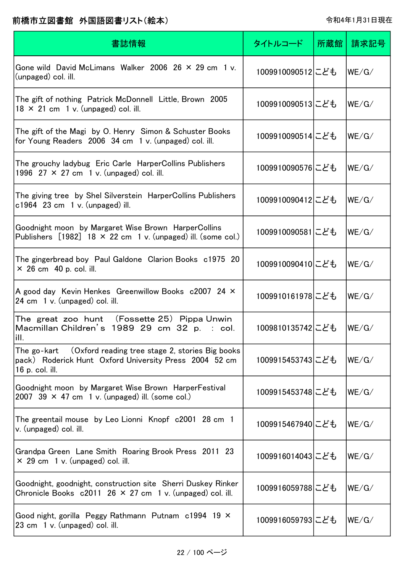| 書誌情報                                                                                                                                     | タイトルコード          | 所蔵館 | 請求記号  |
|------------------------------------------------------------------------------------------------------------------------------------------|------------------|-----|-------|
| Gone wild David McLimans Walker 2006 26 $\times$ 29 cm 1 v.<br>(unpaged) col. ill.                                                       | 1009910090512にども |     | WE/G/ |
| The gift of nothing Patrick McDonnell Little, Brown 2005<br>$18 \times 21$ cm 1 v. (unpaged) col. ill.                                   | 1009910090513にども |     | WE/G/ |
| The gift of the Magi by O. Henry Simon & Schuster Books<br>for Young Readers 2006 34 cm 1 v. (unpaged) col. ill.                         | 1009910090514にども |     | WE/G/ |
| The grouchy ladybug Eric Carle HarperCollins Publishers<br>1996 27 $\times$ 27 cm 1 v. (unpaged) col. ill.                               | 1009910090576にども |     | WE/G/ |
| The giving tree by Shel Silverstein HarperCollins Publishers<br>$c1964$ 23 cm 1 v. (unpaged) ill.                                        | 1009910090412にども |     | WE/G/ |
| Goodnight moon by Margaret Wise Brown HarperCollins<br>Publishers $[1982]$ 18 × 22 cm 1 v. (unpaged) ill. (some col.)                    | 1009910090581にども |     | WE/G/ |
| The gingerbread boy Paul Galdone Clarion Books c1975 20<br>$\times$ 26 cm 40 p. col. ill.                                                | 1009910090410にども |     | WE/G/ |
| A good day Kevin Henkes Greenwillow Books c2007 24 X<br>24 cm 1 v. (unpaged) col. ill.                                                   | 1009910161978にども |     | WE/G/ |
| The great zoo hunt (Fossette 25) Pippa Unwin<br>Macmillan Children's 1989 29 cm 32 p. : col.<br>ill.                                     | 1009810135742にども |     | WE/G/ |
| The go-kart (Oxford reading tree stage 2, stories Big books<br>pack) Roderick Hunt Oxford University Press 2004 52 cm<br>16 p. col. ill. | 1009915453743にども |     | WE/G/ |
| Goodnight moon by Margaret Wise Brown HarperFestival<br>2007 39 $\times$ 47 cm 1 v. (unpaged) ill. (some col.)                           | 1009915453748にども |     | WE/G/ |
| The greentail mouse by Leo Lionni Knopf c2001 28 cm 1<br>v. (unpaged) col. ill.                                                          | 1009915467940にども |     | WE/G/ |
| Grandpa Green Lane Smith Roaring Brook Press 2011 23<br>$\times$ 29 cm 1 v. (unpaged) col. ill.                                          | 1009916014043にども |     | WE/G/ |
| Goodnight, goodnight, construction site Sherri Duskey Rinker<br>Chronicle Books $c2011$ 26 $\times$ 27 cm 1 v. (unpaged) col. ill.       | 1009916059788にども |     | WE/G/ |
| Good night, gorilla Peggy Rathmann Putnam c1994 19 X<br>23 cm 1 v. (unpaged) col. ill.                                                   | 1009916059793にども |     | WE/G/ |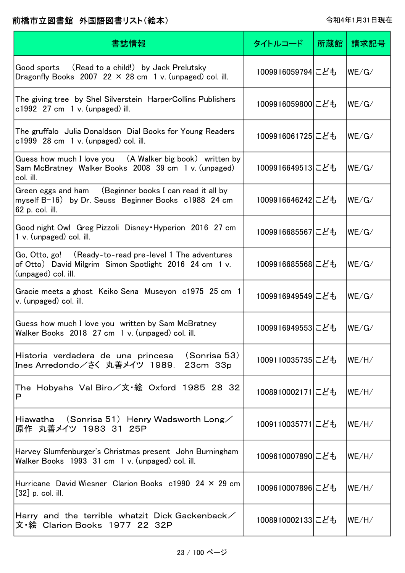| 書誌情報                                                                                                                                     | タイトルコード          | 所蔵館 | 請求記号                        |
|------------------------------------------------------------------------------------------------------------------------------------------|------------------|-----|-----------------------------|
| Good sports (Read to a child!) by Jack Prelutsky<br>Dragonfly Books 2007 22 $\times$ 28 cm 1 v. (unpaged) col. ill.                      | 1009916059794にども |     | WE/G/                       |
| The giving tree by Shel Silverstein HarperCollins Publishers<br>$c1992$ 27 cm 1 v. (unpaged) ill.                                        | 1009916059800にども |     | WE/G/                       |
| The gruffalo Julia Donaldson Dial Books for Young Readers<br>$c1999$ 28 cm 1 v. (unpaged) col. ill.                                      | 1009916061725にども |     | WE/G/                       |
| Guess how much I love you (A Walker big book) written by<br>Sam McBratney Walker Books 2008 39 cm 1 v. (unpaged)<br>col. ill.            | 1009916649513にども |     | WE/G/                       |
| Green eggs and ham (Beginner books I can read it all by<br>myself B-16) by Dr. Seuss Beginner Books c1988 24 cm<br>62 p. col. ill.       | 1009916646242にども |     | WE/G/                       |
| Good night Owl Greg Pizzoli Disney Hyperion 2016 27 cm<br>1 v. (unpaged) col. ill.                                                       | 1009916685567にども |     | WE/G/                       |
| Go, Otto, go! (Ready-to-read pre-level 1 The adventures<br>of Otto) David Milgrim Simon Spotlight 2016 24 cm 1 v.<br>(unpaged) col. ill. | 1009916685568にども |     | WE/G/                       |
| Gracie meets a ghost Keiko Sena Museyon c1975 25 cm 1<br>v. (unpaged) col. ill.                                                          | 1009916949549にども |     | WE/G/                       |
| Guess how much I love you written by Sam McBratney<br>Walker Books 2018 27 cm 1 v. (unpaged) col. ill.                                   | 1009916949553にども |     | $ \mathsf{WE}/\mathsf{G}/ $ |
| Historia verdadera de una princesa (Sonrisa 53)<br>Ines Arredondo/さく 丸善メイツ 1989.<br>23cm 33p                                             | 1009110035735にども |     | $ \mathsf{WE}/\mathsf{H}/$  |
| The Hobyahs Val Biro/文·絵 Oxford 1985 28 32<br>P                                                                                          | 1008910002171にども |     | WE/H/                       |
| Hiawatha $(Sonrisa 51)$ Henry Wadsworth Long/<br>原作 丸善メイツ 1983 31 25P                                                                    | 1009110035771にども |     | $ \mathsf{WE}/\mathsf{H}/$  |
| Harvey Slumfenburger's Christmas present John Burningham<br>Walker Books 1993 31 cm 1 v. (unpaged) col. ill.                             | 1009610007890にども |     | WE/H/                       |
| Hurricane David Wiesner Clarion Books c1990 24 × 29 cm<br>$[32]$ p. col. ill.                                                            | 1009610007896にども |     | WE/H/                       |
| Harry and the terrible whatzit Dick Gackenback $\angle$<br>文・絵 Clarion Books 1977 22 32P                                                 | 1008910002133にども |     | $ \mathsf{WE}/\mathsf{H}/$  |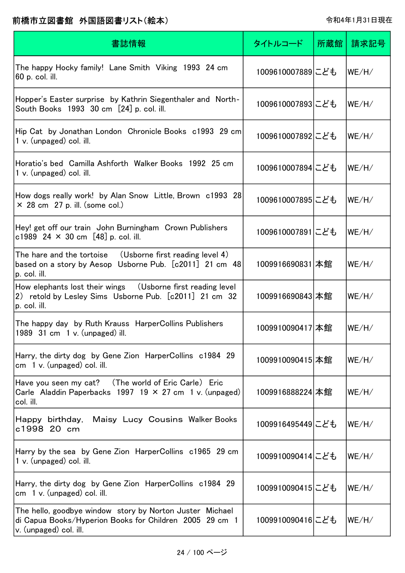| 書誌情報                                                                                                                                          | タイトルコード          | 所蔵館 | 請求記号  |
|-----------------------------------------------------------------------------------------------------------------------------------------------|------------------|-----|-------|
| The happy Hocky family! Lane Smith Viking 1993 24 cm<br>60 p. col. ill.                                                                       | 1009610007889にども |     | WE/H/ |
| Hopper's Easter surprise by Kathrin Siegenthaler and North-<br>South Books 1993 30 cm [24] p. col. ill.                                       | 1009610007893にども |     | WE/H/ |
| Hip Cat by Jonathan London Chronicle Books c1993 29 cm<br>1 v. (unpaged) col. ill.                                                            | 1009610007892にども |     | WE/H/ |
| Horatio's bed Camilla Ashforth Walker Books 1992 25 cm<br>1 v. (unpaged) col. ill.                                                            | 1009610007894にども |     | WE/H/ |
| How dogs really work! by Alan Snow Little, Brown c1993 28<br>$\times$ 28 cm 27 p. ill. (some col.)                                            | 1009610007895にども |     | WE/H/ |
| Hey! get off our train John Burningham Crown Publishers<br>c1989 24 $\times$ 30 cm [48] p. col. ill.                                          | 1009610007891にども |     | WE/H/ |
| The hare and the tortoise $\quad$ (Usborne first reading level 4)<br>based on a story by Aesop Usborne Pub. [c2011] 21 cm 48<br>p. col. ill.  | 1009916690831 本館 |     | WE/H/ |
| How elephants lost their wings (Usborne first reading level<br>2) retold by Lesley Sims Usborne Pub. [c2011] 21 cm 32<br>p. col. ill.         | 1009916690843 本館 |     | WE/H/ |
| The happy day by Ruth Krauss HarperCollins Publishers<br>1989 $31 \text{ cm}$ 1 v. (unpaged) ill.                                             | 1009910090417 本館 |     | WE/H/ |
| Harry, the dirty dog by Gene Zion HarperCollins c1984 29<br>cm 1 v. (unpaged) col. ill.                                                       | 1009910090415 本館 |     | WE/H/ |
| Have you seen my cat? (The world of Eric Carle) Eric<br>Carle Aladdin Paperbacks 1997 19 $\times$ 27 cm 1 v. (unpaged)<br>col. ill.           | 1009916888224 本館 |     | WE/H/ |
| Maisy Lucy Cousins Walker Books<br>Happy birthday,<br>c1998 20 cm                                                                             | 1009916495449にども |     | WE/H/ |
| Harry by the sea by Gene Zion HarperCollins c1965 29 cm<br>1 v. (unpaged) col. ill.                                                           | 1009910090414にども |     | WE/H/ |
| Harry, the dirty dog by Gene Zion HarperCollins c1984 29<br>$cm \quad 1 \, v.$ (unpaged) col. ill.                                            | 1009910090415にども |     | WE/H/ |
| The hello, goodbye window story by Norton Juster Michael<br>di Capua Books/Hyperion Books for Children 2005 29 cm 1<br>v. (unpaged) col. ill. | 1009910090416にども |     | WE/H/ |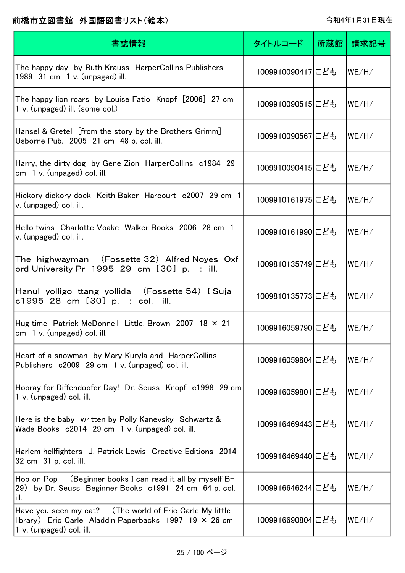| 書誌情報                                                                                                                                                            | タイトルコード          | 所蔵館 | 請求記号  |
|-----------------------------------------------------------------------------------------------------------------------------------------------------------------|------------------|-----|-------|
| The happy day by Ruth Krauss HarperCollins Publishers<br>1989 31 cm 1 v. (unpaged) ill.                                                                         | 1009910090417にども |     | WE/H/ |
| The happy lion roars by Louise Fatio Knopf [2006] 27 cm<br>1 v. (unpaged) ill. (some col.)                                                                      | 1009910090515にども |     | WE/H/ |
| Hansel & Gretel [from the story by the Brothers Grimm]<br>Usborne Pub. 2005 21 cm 48 p. col. ill.                                                               | 1009910090567にども |     | WE/H/ |
| Harry, the dirty dog by Gene Zion HarperCollins c1984 29<br>cm $1 v$ . (unpaged) col. ill.                                                                      | 1009910090415にども |     | WE/H/ |
| Hickory dickory dock Keith Baker Harcourt c2007 29 cm 1<br>v. (unpaged) col. ill.                                                                               | 1009910161975にども |     | WE/H/ |
| Hello twins Charlotte Voake Walker Books 2006 28 cm 1<br>v. (unpaged) col. ill.                                                                                 | 1009910161990にども |     | WE/H/ |
| The  highwayman    (Fossette 32)Alfred Noyes  Oxf<br>ord University Pr $1995$ 29 cm $[30]$ p. : ill.                                                            | 1009810135749にども |     | WE/H/ |
| Hanul yolligo ttang yollida (Fossette 54) I Suja<br>c1995 28 cm [30] p. : col. ill.                                                                             | 1009810135773にども |     | WE/H/ |
| Hug time Patrick McDonnell Little, Brown 2007 18 × 21<br>$cm \quad 1 \, v.$ (unpaged) col. ill.                                                                 | 1009916059790にども |     | WE/H/ |
| Heart of a snowman by Mary Kuryla and HarperCollins<br>Publishers c2009 29 cm 1 v. (unpaged) col. ill.                                                          | 1009916059804にども |     | WE/H/ |
| Hooray for Diffendoofer Day! Dr. Seuss Knopf c1998 29 cm<br>1 v. (unpaged) col. ill.                                                                            | 1009916059801にども |     | WE/H/ |
| Here is the baby written by Polly Kanevsky Schwartz &<br>Wade Books c2014 29 cm 1 v. (unpaged) col. ill.                                                        | 1009916469443にども |     | WE/H/ |
| Harlem hellfighters J. Patrick Lewis Creative Editions 2014<br>32 cm 31 p. col. ill.                                                                            | 1009916469440にども |     | WE/H/ |
| Hop on Pop $($ Beginner books I can read it all by myself B-<br>29) by Dr. Seuss Beginner Books c1991 24 cm 64 p. col.<br>lill.                                 | 1009916646244にども |     | WE/H/ |
| Have you seen my cat? (The world of Eric Carle My little<br>$\vert$ library) Eric Carle Aladdin Paperbacks 1997 19 $\times$ 26 cm<br>$1 v.$ (unpaged) col. ill. | 1009916690804にども |     | WE/H/ |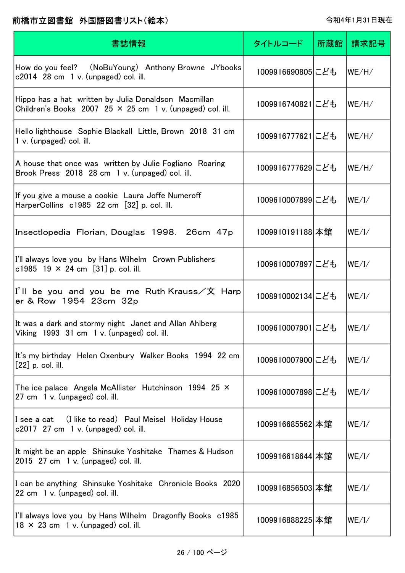| 書誌情報                                                                                                                     | タイトルコード          | 所蔵館 | 請求記号  |
|--------------------------------------------------------------------------------------------------------------------------|------------------|-----|-------|
| How do you feel? (NoBuYoung) Anthony Browne JYbooks<br>$c2014$ 28 cm 1 v. (unpaged) col. ill.                            | 1009916690805にども |     | WE/H/ |
| Hippo has a hat written by Julia Donaldson Macmillan<br>Children's Books 2007 25 $\times$ 25 cm 1 v. (unpaged) col. ill. | 1009916740821にども |     | WE/H/ |
| Hello lighthouse Sophie Blackall Little, Brown 2018 31 cm<br>1 v. (unpaged) col. ill.                                    | 1009916777621にども |     | WE/H/ |
| A house that once was written by Julie Fogliano Roaring<br>Brook Press 2018 28 cm 1 v. (unpaged) col. ill.               | 1009916777629にども |     | WE/H/ |
| If you give a mouse a cookie Laura Joffe Numeroff<br>HarperCollins $c1985$ 22 cm $[32]$ p. col. ill.                     | 1009610007899にども |     | WE/I/ |
| Insectlopedia Florian, Douglas 1998. 26cm 47p                                                                            | 1009910191188 本館 |     | WE/I/ |
| I'll always love you by Hans Wilhelm Crown Publishers<br>c1985 19 $\times$ 24 cm [31] p. col. ill.                       | 1009610007897にども |     | WE/I/ |
| I'll be you and you be me Ruth Krauss/文 Harp<br>er & Row 1954 23cm 32p                                                   | 1008910002134にども |     | WE/I/ |
| It was a dark and stormy night Janet and Allan Ahlberg<br>Viking 1993 31 cm 1 v. (unpaged) col. ill.                     | 1009610007901にども |     | WE/I/ |
| It's my birthday Helen Oxenbury Walker Books 1994 22 cm<br>$[22]$ p. col. ill.                                           | 1009610007900にども |     | WE/I/ |
| The ice palace Angela McAllister Hutchinson 1994 25 $\times$<br>27 cm 1 v. (unpaged) col. ill.                           | 1009610007898にども |     | WE/I/ |
| I see a cat (I like to read) Paul Meisel Holiday House<br>$c2017$ 27 cm 1 v. (unpaged) col. ill.                         | 1009916685562 本館 |     | WE/I/ |
| It might be an apple Shinsuke Yoshitake Thames & Hudson<br>2015 27 cm 1 v. (unpaged) col. ill.                           | 1009916618644 本館 |     | WE/I/ |
| I can be anything Shinsuke Yoshitake Chronicle Books 2020<br>22 cm 1 v. (unpaged) col. ill.                              | 1009916856503 本館 |     | WE/I/ |
| I'll always love you by Hans Wilhelm Dragonfly Books c1985<br>$18 \times 23$ cm 1 v. (unpaged) col. ill.                 | 1009916888225 本館 |     | WE/I/ |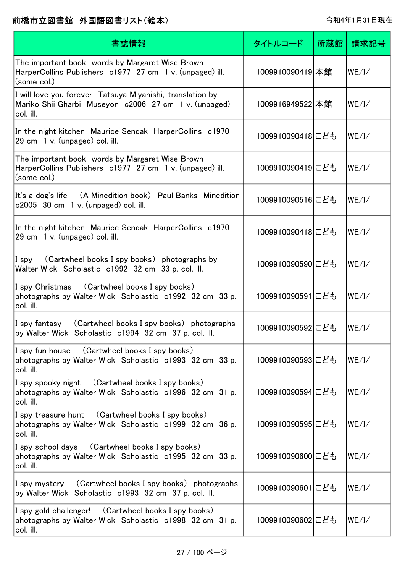| 書誌情報                                                                                                                            | タイトルコード          | 所蔵館 | 請求記号  |
|---------------------------------------------------------------------------------------------------------------------------------|------------------|-----|-------|
| The important book words by Margaret Wise Brown<br>HarperCollins Publishers c1977 27 cm 1 v. (unpaged) ill.<br>(some col.)      | 1009910090419 本館 |     | WE/I/ |
| I will love you forever Tatsuya Miyanishi, translation by<br>Mariko Shii Gharbi Museyon c2006 27 cm 1 v. (unpaged)<br>col. ill. | 1009916949522 本館 |     | WE/I/ |
| In the night kitchen Maurice Sendak HarperCollins c1970<br>29 cm 1 v. (unpaged) col. ill.                                       | 1009910090418にども |     | WE/I/ |
| The important book words by Margaret Wise Brown<br>HarperCollins Publishers c1977 27 cm 1 v. (unpaged) ill.<br>(some col.)      | 1009910090419にども |     | WE/I/ |
| It's a dog's life (A Minedition book) Paul Banks Minedition<br>c2005 30 cm 1 v. (unpaged) col. ill.                             | 1009910090516にども |     | WE/I/ |
| In the night kitchen Maurice Sendak HarperCollins c1970<br>29 cm 1 v. (unpaged) col. ill.                                       | 1009910090418にども |     | WE/I/ |
| (Cartwheel books I spy books) photographs by<br>$I$ spy<br>Walter Wick Scholastic c1992 32 cm 33 p. col. ill.                   | 1009910090590にども |     | WE/I/ |
| I spy Christmas (Cartwheel books I spy books)<br>photographs by Walter Wick Scholastic c1992 32 cm 33 p.<br>col. ill.           | 1009910090591にども |     | WE/I/ |
| I spy fantasy (Cartwheel books I spy books) photographs<br>by Walter Wick Scholastic c1994 32 cm 37 p. col. ill.                | 1009910090592にども |     | WE/I/ |
| I spy fun house (Cartwheel books I spy books)<br>photographs by Walter Wick Scholastic c1993 32 cm 33 p.<br>col. ill.           | 1009910090593にども |     | WE/I/ |
| I spy spooky night (Cartwheel books I spy books)<br>photographs by Walter Wick Scholastic c1996 32 cm 31 p.<br>col. ill.        | 1009910090594にども |     | WE/I/ |
| I spy treasure hunt (Cartwheel books I spy books)<br>photographs by Walter Wick Scholastic c1999 32 cm 36 p.<br>col. ill.       | 1009910090595にども |     | WE/I/ |
| I spy school days (Cartwheel books I spy books)<br>photographs by Walter Wick Scholastic c1995 32 cm 33 p.<br>col. ill.         | 1009910090600にども |     | WE/I/ |
| I spy mystery (Cartwheel books I spy books) photographs<br>by Walter Wick Scholastic c1993 32 cm 37 p. col. ill.                | 1009910090601にども |     | WE/I/ |
| I spy gold challenger! (Cartwheel books I spy books)<br>photographs by Walter Wick Scholastic c1998 32 cm 31 p.<br>col. ill.    | 1009910090602にども |     | WE/I/ |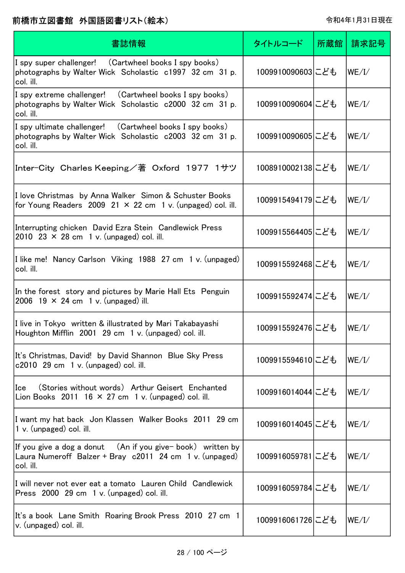| 書誌情報                                                                                                                                  | タイトルコード          | 所蔵館 | 請求記号  |
|---------------------------------------------------------------------------------------------------------------------------------------|------------------|-----|-------|
| I spy super challenger! (Cartwheel books I spy books)<br>photographs by Walter Wick Scholastic c1997 32 cm 31 p.<br>col. ill.         | 1009910090603にども |     | WE/I/ |
| I spy extreme challenger!<br>(Cartwheel books I spy books)<br>photographs by Walter Wick Scholastic c2000 32 cm 31 p.<br>col. ill.    | 1009910090604にども |     | WE/I/ |
| I spy ultimate challenger! (Cartwheel books I spy books)<br>photographs by Walter Wick Scholastic c2003 32 cm 31 p.<br>col. ill.      | 1009910090605にども |     | WE/I/ |
| Inter-City Charles Keeping/著 Oxford 1977 1サツ                                                                                          | 1008910002138にども |     | WE/I/ |
| I love Christmas by Anna Walker Simon & Schuster Books<br>for Young Readers 2009 21 $\times$ 22 cm 1 v. (unpaged) col. ill.           | 1009915494179にども |     | WE/I/ |
| Interrupting chicken David Ezra Stein Candlewick Press<br>2010 23 $\times$ 28 cm 1 v. (unpaged) col. ill.                             | 1009915564405にども |     | WE/I/ |
| I like me! Nancy Carlson Viking 1988 27 cm 1 v. (unpaged)<br>col. ill.                                                                | 1009915592468にども |     | WE/I/ |
| In the forest story and pictures by Marie Hall Ets Penguin<br>2006 19 $\times$ 24 cm 1 v. (unpaged) ill.                              | 1009915592474にども |     | WE/I/ |
| I live in Tokyo written & illustrated by Mari Takabayashi<br>Houghton Mifflin 2001 29 cm 1 v. (unpaged) col. ill.                     | 1009915592476にども |     | WE/I/ |
| It's Christmas, David! by David Shannon Blue Sky Press<br>$c2010$ 29 cm 1 v. (unpaged) col. ill.                                      | 1009915594610にども |     | WE/I/ |
| (Stories without words) Arthur Geisert Enchanted<br>Ice<br>Lion Books 2011 16 $\times$ 27 cm 1 v. (unpaged) col. ill.                 | 1009916014044にども |     | WE/I/ |
| I want my hat back Jon Klassen Walker Books 2011 29 cm<br>1 v. (unpaged) col. ill.                                                    | 1009916014045にども |     | WE/I/ |
| If you give a dog a donut $($ An if you give-book) written by<br>Laura Numeroff Balzer + Bray c2011 24 cm 1 v. (unpaged)<br>col. ill. | 1009916059781にども |     | WE/I/ |
| I will never not ever eat a tomato Lauren Child Candlewick<br>Press 2000 29 cm 1 v. (unpaged) col. ill.                               | 1009916059784にども |     | WE/I/ |
| It's a book Lane Smith Roaring Brook Press 2010 27 cm 1<br>v. (unpaged) col. ill.                                                     | 1009916061726にども |     | WE/I/ |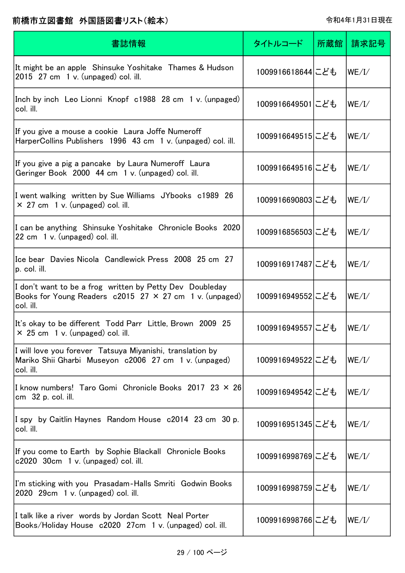| 書誌情報                                                                                                                                      | タイトルコード          | 所蔵館 | 請求記号  |
|-------------------------------------------------------------------------------------------------------------------------------------------|------------------|-----|-------|
| It might be an apple Shinsuke Yoshitake Thames & Hudson<br>2015 27 cm 1 v. (unpaged) col. ill.                                            | 1009916618644にども |     | WE/I/ |
| Inch by inch Leo Lionni Knopf c1988 28 cm 1 v. (unpaged)<br>col. ill.                                                                     | 1009916649501にども |     | WE/I/ |
| If you give a mouse a cookie Laura Joffe Numeroff<br>HarperCollins Publishers 1996 43 cm 1 v. (unpaged) col. ill.                         | 1009916649515にども |     | WE/I/ |
| If you give a pig a pancake by Laura Numeroff Laura<br>Geringer Book 2000 44 cm 1 v. (unpaged) col. ill.                                  | 1009916649516にども |     | WE/I/ |
| I went walking written by Sue Williams JYbooks c1989 26<br>$\times$ 27 cm 1 v. (unpaged) col. ill.                                        | 1009916690803にども |     | WE/I/ |
| I can be anything Shinsuke Yoshitake Chronicle Books 2020<br>22 cm 1 v. (unpaged) col. ill.                                               | 1009916856503こども |     | WE/I/ |
| Ice bear Davies Nicola Candlewick Press 2008 25 cm 27<br>p. col. ill.                                                                     | 1009916917487にども |     | WE/I/ |
| I don't want to be a frog written by Petty Dev Doubleday<br>Books for Young Readers $c2015$ 27 $\times$ 27 cm 1 v. (unpaged)<br>col. ill. | 1009916949552にども |     | WE/I/ |
| It's okay to be different Todd Parr Little, Brown 2009 25<br>$\times$ 25 cm 1 v. (unpaged) col. ill.                                      | 1009916949557にども |     | WE/I/ |
| I will love you forever Tatsuya Miyanishi, translation by<br>Mariko Shii Gharbi Museyon c2006 27 cm 1 v. (unpaged)<br>col. ill.           | 1009916949522にども |     | WE/I/ |
| I know numbers! Taro Gomi Chronicle Books 2017 23 × 26<br>cm 32 p. col. ill.                                                              | 1009916949542にども |     | WE/I/ |
| I spy by Caitlin Haynes Random House c2014 23 cm 30 p.<br>col. ill.                                                                       | 1009916951345にども |     | WE/I/ |
| If you come to Earth by Sophie Blackall Chronicle Books<br>c2020 30cm 1 v. (unpaged) col. ill.                                            | 1009916998769にども |     | WE/I/ |
| I'm sticking with you Prasadam-Halls Smriti Godwin Books<br>2020 29cm 1 v. (unpaged) col. ill.                                            | 1009916998759にども |     | WE/I/ |
| I talk like a river words by Jordan Scott Neal Porter<br>Books/Holiday House c2020 27cm 1 v. (unpaged) col. ill.                          | 1009916998766にども |     | WE/I/ |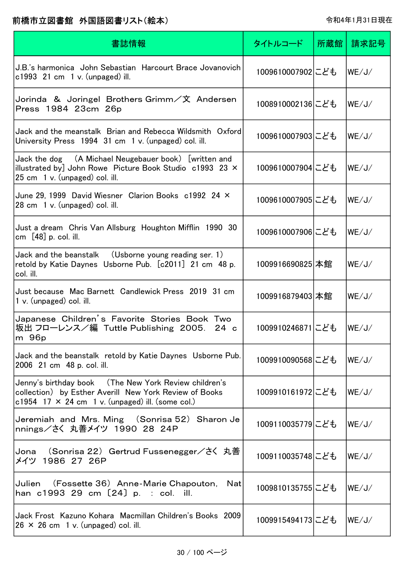| 書誌情報                                                                                                                                                                       | タイトルコード          | 所蔵館 | 請求記号  |
|----------------------------------------------------------------------------------------------------------------------------------------------------------------------------|------------------|-----|-------|
| J.B.'s harmonica John Sebastian Harcourt Brace Jovanovich<br>c1993 $21 \text{ cm}$ 1 v. (unpaged) ill.                                                                     | 1009610007902にども |     | WE/J/ |
| Jorinda & Joringel Brothers Grimm/文 Andersen<br>Press 1984 23cm 26p                                                                                                        | 1008910002136にども |     | WE/J/ |
| Jack and the meanstalk Brian and Rebecca Wildsmith Oxford<br>University Press 1994 31 cm 1 v. (unpaged) col. ill.                                                          | 1009610007903にども |     | WE/J/ |
| Jack the dog (A Michael Neugebauer book) [written and<br>illustrated by] John Rowe Picture Book Studio $c1993$ 23 $\times$<br>25 cm 1 v. (unpaged) col. ill.               | 1009610007904にども |     | WE/J/ |
| June 29, 1999 David Wiesner Clarion Books c1992 24 X<br>28 cm 1 v. (unpaged) col. ill.                                                                                     | 1009610007905にども |     | WE/J/ |
| Just a dream Chris Van Allsburg Houghton Mifflin 1990 30<br>cm $[48]$ p. col. ill.                                                                                         | 1009610007906にども |     | WE/J/ |
| Jack and the beanstalk (Usborne young reading ser. 1)<br>retold by Katie Daynes Usborne Pub. [c2011] 21 cm 48 p.<br>col. ill.                                              | 1009916690825 本館 |     | WE/J/ |
| Just because Mac Barnett Candlewick Press 2019 31 cm<br>$1 v.$ (unpaged) col. ill.                                                                                         | 1009916879403 本館 |     | WE/J/ |
| Japanese Children's Favorite Stories Book Two<br>坂出 フローレンス/編 Tuttle Publishing 2005. 24 c<br>m 96p                                                                         | 1009910246871にども |     | WE/J/ |
| Jack and the beanstalk retold by Katie Daynes Usborne Pub.<br>2006 21 cm 48 p. col. ill.                                                                                   | 1009910090568にども |     | WE/J/ |
| Jenny's birthday book (The New York Review children's<br>collection) by Esther Averill New York Review of Books<br>c1954 17 $\times$ 24 cm 1 v. (unpaged) ill. (some col.) | 1009910161972にども |     | WE/J/ |
| Jeremiah and Mrs. Ming (Sonrisa 52) Sharon Je<br>nnings/さく 丸善メイツ 1990 28 24P                                                                                               | 1009110035779にども |     | WE/J/ |
| Jona (Sonrisa 22) Gertrud Fussenegger/さく 丸善<br>メイツ 1986 27 26P                                                                                                             | 1009110035748にども |     | WE/J/ |
| (Fossette 36) Anne-Marie Chapouton,<br>Julien<br>Nat<br>han $c1993$ 29 cm $[24]$ p. : col. ill.                                                                            | 1009810135755にども |     | WE/J/ |
| Jack Frost Kazuno Kohara Macmillan Children's Books 2009<br>$26 \times 26$ cm 1 v. (unpaged) col. ill.                                                                     | 1009915494173にども |     | WE/J/ |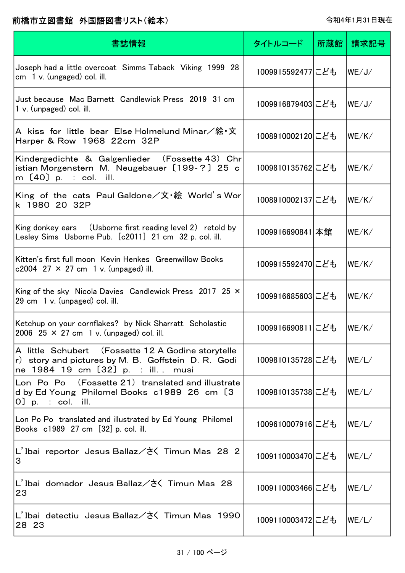| 書誌情報                                                                                                                                            | タイトルコード          | 所蔵館 | 請求記号  |
|-------------------------------------------------------------------------------------------------------------------------------------------------|------------------|-----|-------|
| Joseph had a little overcoat Simms Taback Viking 1999 28<br>cm $1 v$ . (ungaged) col. ill.                                                      | 1009915592477にども |     | WE/J/ |
| Just because Mac Barnett Candlewick Press 2019 31 cm<br>$1 v.$ (unpaged) col. ill.                                                              | 1009916879403にども |     | WE/J/ |
| A kiss for little bear Else Holmelund Minar/絵・文<br>Harper & Row 1968 22cm 32P                                                                   | 1008910002120にども |     | WE/K/ |
| Kindergedichte & Galgenlieder (Fossette 43) Chr<br>istian Morgenstern M. Neugebauer [199-?] 25 c<br>m [40] p. : col. ill.                       | 1009810135762にども |     | WE/K/ |
| King of the cats Paul Galdone/文・絵 World's Wor<br>k 1980 20 32P                                                                                  | 1008910002137にども |     | WE/K/ |
| King donkey ears (Usborne first reading level 2) retold by<br>Lesley Sims Usborne Pub. [c2011] 21 cm 32 p. col. ill.                            | 1009916690841 本館 |     | WE/K/ |
| Kitten's first full moon Kevin Henkes Greenwillow Books<br>c2004 27 $\times$ 27 cm 1 v. (unpaged) ill.                                          | 1009915592470にども |     | WE/K/ |
| King of the sky Nicola Davies Candlewick Press 2017 25 $\times$<br>29 cm 1 v. (unpaged) col. ill.                                               | 1009916685603にども |     | WE/K/ |
| Ketchup on your cornflakes? by Nick Sharratt Scholastic<br>2006 25 $\times$ 27 cm 1 v. (unpaged) col. ill.                                      | 1009916690811にども |     | WE/K/ |
| A little Schubert (Fossette 12 A Godine storytelle<br>r) story and pictures by M. B. Goffstein D. R. Godi<br>ne 1984 19 cm [32] p. : ill., musi | 1009810135728にども |     | WE/L/ |
| Lon Po Po (Fossette 21) translated and illustrate<br>d by Ed Young Philomel Books c1989 26 cm [3]<br>$0$ p. : col. ill.                         | 1009810135738にども |     | WE/L/ |
| Lon Po Po translated and illustrated by Ed Young Philomel<br>Books c1989 27 cm [32] p. col. ill.                                                | 1009610007916にども |     | WE/L/ |
| L'Ibai reportor Jesus Ballaz/さく Timun Mas 28 2<br>3                                                                                             | 1009110003470にども |     | WE/L/ |
| L'Ibai domador Jesus Ballaz/さく Timun Mas 28<br>23                                                                                               | 1009110003466にども |     | WE/L/ |
| L'Ibai detectiu Jesus Ballaz/さく Timun Mas 1990<br>28 23                                                                                         | 1009110003472にども |     | WE/L/ |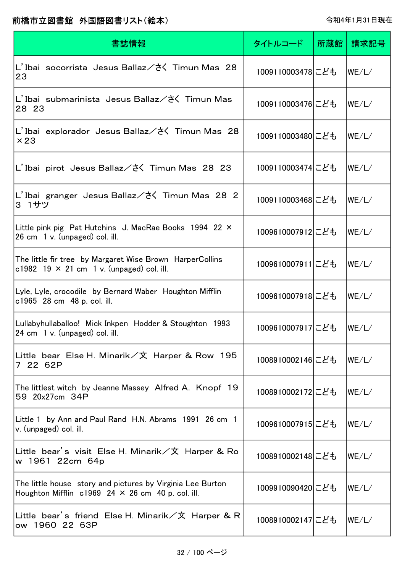| 書誌情報                                                                                                                     | タイトルコード           | 所蔵館 | 請求記号  |
|--------------------------------------------------------------------------------------------------------------------------|-------------------|-----|-------|
| L'Ibai socorrista Jesus Ballaz/さく Timun Mas 28<br>23                                                                     | 1009110003478にども  |     | WE/L/ |
| L'Ibai submarinista Jesus Ballaz/さく Timun Mas<br>28 23                                                                   | 1009110003476にども  |     | WE/L/ |
| L'Ibai explorador Jesus Ballaz/さく Timun Mas 28<br>$\times 23$                                                            | 1009110003480にども  |     | WE/L/ |
| L'Ibai pirot Jesus Ballaz/さく Timun Mas 28 23                                                                             | 1009110003474 こども |     | WE/L/ |
| L'Ibai granger Jesus Ballaz/さく Timun Mas 28 2<br>3 1サツ                                                                   | 1009110003468にども  |     | WE/L/ |
| Little pink pig Pat Hutchins J. MacRae Books 1994 22 ×<br>26 cm 1 v. (unpaged) col. ill.                                 | 1009610007912にども  |     | WE/L/ |
| The little fir tree by Margaret Wise Brown HarperCollins<br>c1982 19 $\times$ 21 cm 1 v. (unpaged) col. ill.             | 1009610007911にども  |     | WE/L/ |
| Lyle, Lyle, crocodile by Bernard Waber Houghton Mifflin<br>c1965 28 cm 48 p. col. ill.                                   | 1009610007918にども  |     | WE/L/ |
| Lullabyhullaballoo! Mick Inkpen Hodder & Stoughton 1993<br>24 cm 1 v. (unpaged) col. ill.                                | 1009610007917にども  |     | WE/L/ |
| Little bear Else H. Minarik/文 Harper & Row 195<br>7 22 62P                                                               | 1008910002146にども  |     | WE/L/ |
| The littlest witch by Jeanne Massey Alfred A. Knopf 19<br>59 20x27cm 34P                                                 | 1008910002172にども  |     | WE/L/ |
| Little 1 by Ann and Paul Rand H.N. Abrams 1991 26 cm 1<br>v. (unpaged) col. ill.                                         | 1009610007915にども  |     | WE/L/ |
| Little bear's visit Else H. Minarik/文 Harper & Ro<br>w 1961 22cm 64p                                                     | 1008910002148にども  |     | WE/L/ |
| The little house story and pictures by Virginia Lee Burton<br>Houghton Mifflin $c1969$ 24 $\times$ 26 cm 40 p. col. ill. | 1009910090420にども  |     | WE/L/ |
| Little bear's friend Else H. Minarik/文 Harper & R<br>ow 1960 22 63P                                                      | 1008910002147にども  |     | WE/L/ |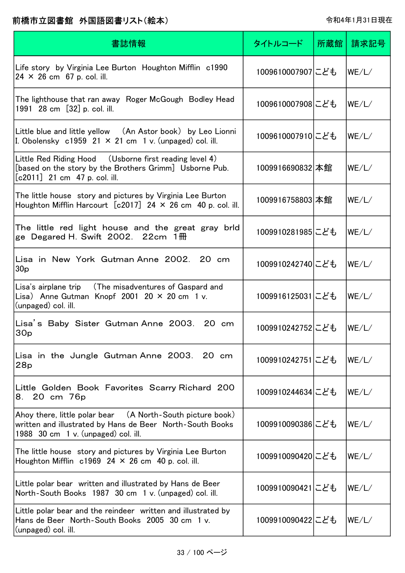| 書誌情報                                                                                                                                                           | タイトルコード          | 所蔵館 | 請求記号  |
|----------------------------------------------------------------------------------------------------------------------------------------------------------------|------------------|-----|-------|
| Life story by Virginia Lee Burton Houghton Mifflin c1990<br>$24 \times 26$ cm 67 p. col. ill.                                                                  | 1009610007907にども |     | WE/L/ |
| The lighthouse that ran away Roger McGough Bodley Head<br>1991 28 cm [32] p. col. ill.                                                                         | 1009610007908にども |     | WE/L/ |
| Little blue and little yellow (An Astor book) by Leo Lionni<br>I. Obolensky $c1959$ 21 $\times$ 21 cm 1 v. (unpaged) col. ill.                                 | 1009610007910にども |     | WE/L/ |
| Little Red Riding Hood (Usborne first reading level 4)<br>[based on the story by the Brothers Grimm] Usborne Pub.<br>$[c2011]$ 21 cm 47 p. col. ill.           | 1009916690832 本館 |     | WE/L/ |
| The little house story and pictures by Virginia Lee Burton<br>Houghton Mifflin Harcourt $[c2017]$ 24 $\times$ 26 cm 40 p. col. ill.                            | 1009916758803 本館 |     | WE/L/ |
| The little red light house and the great gray brld<br>ge Degared H. Swift 2002. $22cm$ 1 $\overline{m}$                                                        | 1009910281985にども |     | WE/L/ |
| Lisa in New York Gutman Anne 2002. 20 cm<br>30 <sub>p</sub>                                                                                                    | 1009910242740にども |     | WE/L/ |
| Lisa's airplane trip<br>(The misadventures of Gaspard and<br>Lisa) Anne Gutman Knopf 2001 20 $\times$ 20 cm 1 v.<br>(unpaged) col. ill.                        | 1009916125031にども |     | WE/L/ |
| Lisa's Baby Sister Gutman Anne 2003. 20 cm<br>30 <sub>p</sub>                                                                                                  | 1009910242752にども |     | WE/L/ |
| Lisa in the Jungle Gutman Anne 2003. 20 cm<br>28p                                                                                                              | 1009910242751にども |     | WE/L/ |
| Little Golden Book Favorites Scarry Richard 200<br>20 cm 76p<br>8.                                                                                             | 1009910244634にども |     | WE/L/ |
| Ahoy there, little polar bear (A North-South picture book)<br>written and illustrated by Hans de Beer North-South Books<br>1988 30 cm 1 v. (unpaged) col. ill. | 1009910090386にども |     | WE/L/ |
| The little house story and pictures by Virginia Lee Burton<br>Houghton Mifflin $c1969$ 24 $\times$ 26 cm 40 p. col. ill.                                       | 1009910090420にども |     | WE/L/ |
| Little polar bear written and illustrated by Hans de Beer<br>North-South Books 1987 30 cm 1 v. (unpaged) col. ill.                                             | 1009910090421にども |     | WE/L/ |
| Little polar bear and the reindeer written and illustrated by<br>Hans de Beer North-South Books 2005 30 cm 1 v.<br>(unpaged) col. ill.                         | 1009910090422にども |     | WE/L/ |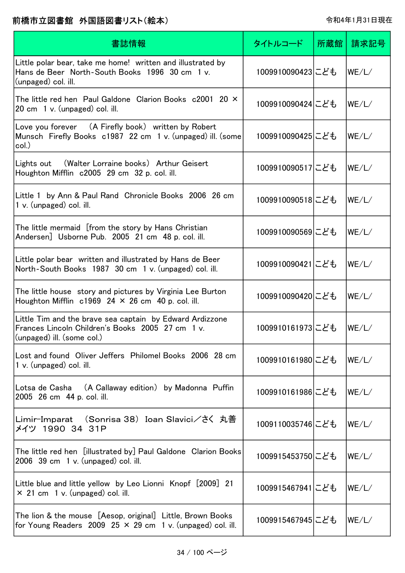| 書誌情報                                                                                                                                       | タイトルコード          | 所蔵館 | 請求記号  |
|--------------------------------------------------------------------------------------------------------------------------------------------|------------------|-----|-------|
| Little polar bear, take me home! written and illustrated by<br>Hans de Beer North-South Books 1996 30 cm 1 v.<br>(unpaged) col. ill.       | 1009910090423にども |     | WE/L/ |
| The little red hen Paul Galdone Clarion Books $c2001$ 20 $\times$<br>20 cm 1 v. (unpaged) col. ill.                                        | 1009910090424にども |     | WE/L/ |
| Love you forever (A Firefly book) written by Robert<br>Munsch Firefly Books c1987 22 cm 1 v. (unpaged) ill. (some<br>col.)                 | 1009910090425にども |     | WE/L/ |
| (Walter Lorraine books) Arthur Geisert<br>Lights out<br>Houghton Mifflin c2005 29 cm 32 p. col. ill.                                       | 1009910090517にども |     | WE/L/ |
| Little 1 by Ann & Paul Rand Chronicle Books 2006 26 cm<br>1 v. (unpaged) col. ill.                                                         | 1009910090518にども |     | WE/L/ |
| The little mermaid [from the story by Hans Christian<br>Andersen] Usborne Pub. 2005 21 cm 48 p. col. ill.                                  | 1009910090569にども |     | WE/L/ |
| Little polar bear written and illustrated by Hans de Beer<br>North-South Books 1987 30 cm 1 v. (unpaged) col. ill.                         | 1009910090421にども |     | WE/L/ |
| The little house story and pictures by Virginia Lee Burton<br>Houghton Mifflin $c1969$ 24 $\times$ 26 cm 40 p. col. ill.                   | 1009910090420にども |     | WE/L/ |
| Little Tim and the brave sea captain by Edward Ardizzone<br>Frances Lincoln Children's Books 2005 27 cm 1 v.<br>(unpaged) ill. (some col.) | 1009910161973にども |     | WE/L/ |
| Lost and found Oliver Jeffers Philomel Books 2006 28 cm<br>1 v. (unpaged) col. ill.                                                        | 1009910161980にども |     | WE/L/ |
| Lotsa de Casha (A Callaway edition) by Madonna Puffin<br>2005 26 cm 44 p. col. ill.                                                        | 1009910161986にども |     | WE/L/ |
| Limir-Imparat (Sonrisa 38)Ioan Slavici/さく 丸善<br>メイツ 1990 34 31P                                                                            | 1009110035746にども |     | WE/L/ |
| The little red hen [illustrated by] Paul Galdone Clarion Books<br>$2006$ 39 cm 1 v. (unpaged) col. ill.                                    | 1009915453750にども |     | WE/L/ |
| Little blue and little yellow by Leo Lionni Knopf [2009] 21<br>$\times$ 21 cm 1 v. (unpaged) col. ill.                                     | 1009915467941にども |     | WE/L/ |
| The lion & the mouse [Aesop, original] Little, Brown Books<br>for Young Readers 2009 25 $\times$ 29 cm 1 v. (unpaged) col. ill.            | 1009915467945にども |     | WE/L/ |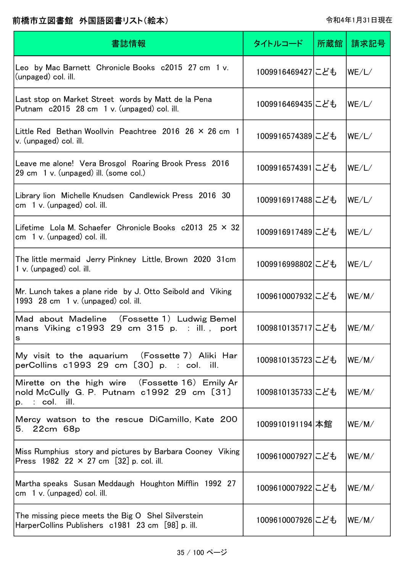| 書誌情報                                                                                                              | タイトルコード          | 所蔵館丨 | 請求記号  |
|-------------------------------------------------------------------------------------------------------------------|------------------|------|-------|
| Leo by Mac Barnett Chronicle Books c2015 27 cm 1 v.<br>(unpaged) col. ill.                                        | 1009916469427にども |      | WE/L/ |
| Last stop on Market Street words by Matt de la Pena<br>Putnam c2015 28 cm 1 v. (unpaged) col. ill.                | 1009916469435にども |      | WE/L/ |
| Little Red Bethan Woollvin Peachtree 2016 26 $\times$ 26 cm 1<br>v. (unpaged) col. ill.                           | 1009916574389にども |      | WE/L/ |
| Leave me alone! Vera Brosgol Roaring Brook Press 2016<br>29 cm 1 v. (unpaged) ill. (some col.)                    | 1009916574391にども |      | WE/L/ |
| Library lion Michelle Knudsen Candlewick Press 2016 30<br>$cm1$ v. (unpaged) col. ill.                            | 1009916917488にども |      | WE/L/ |
| Lifetime Lola M. Schaefer Chronicle Books $c2013$ 25 $\times$ 32<br>$cm \,$ 1 v. (unpaged) col. ill.              | 1009916917489にども |      | WE/L/ |
| The little mermaid Jerry Pinkney Little, Brown 2020 31cm<br>1 v. (unpaged) col. ill.                              | 1009916998802にども |      | WE/L/ |
| Mr. Lunch takes a plane ride by J. Otto Seibold and Viking<br>1993 $28 \text{ cm}$ 1 v. (unpaged) col. ill.       | 1009610007932にども |      | WE/M/ |
| Mad about Madeline (Fossette 1) Ludwig Bemel<br>mans Viking c1993 29 cm 315 p. : ill., port<br>s                  | 1009810135717にども |      | WE/M/ |
| My visit to the aquarium (Fossette 7) Aliki Har<br>perCollins c1993 29 cm [30] p. : col. ill.                     | 1009810135723にども |      | WE/M/ |
| Mirette on the high wire (Fossette 16) Emily Ar<br>nold McCully G. P. Putnam c1992 29 cm [31]<br>$p.$ : col. ill. | 1009810135733にども |      | WE/M/ |
| Mercy watson to the rescue DiCamillo, Kate 200<br>22cm 68p<br>5.                                                  | 1009910191194 本館 |      | WE/M/ |
| Miss Rumphius story and pictures by Barbara Cooney Viking<br>Press 1982 22 $\times$ 27 cm [32] p. col. ill.       | 1009610007927にども |      | WE/M/ |
| Martha speaks Susan Meddaugh Houghton Mifflin 1992 27<br>$cm1$ v. (unpaged) col. ill.                             | 1009610007922にども |      | WE/M/ |
| The missing piece meets the Big O Shel Silverstein<br>HarperCollins Publishers c1981 23 cm [98] p. ill.           | 1009610007926にども |      | WE/M/ |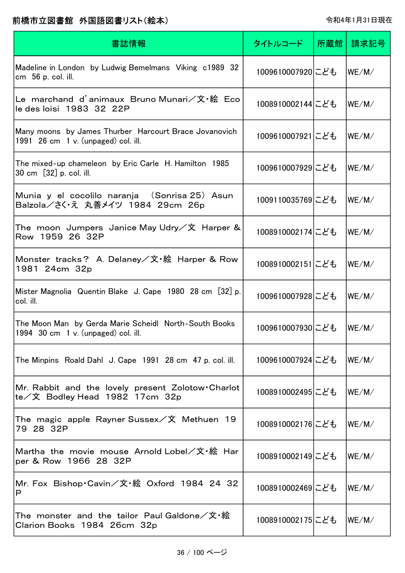| 書誌情報                                                                                                   | タイトルコード          | 所蔵館 | 請求記号   |
|--------------------------------------------------------------------------------------------------------|------------------|-----|--------|
| Madeline in London by Ludwig Bemelmans Viking c1989 32<br>cm 56 p. col. ill.                           | 1009610007920にども |     | lWE/M/ |
| Le marchand d'animaux Bruno Munari/文・絵 Eco<br>le des loisi 1983 32 22P                                 | 1008910002144にども |     | WE/M/  |
| Many moons by James Thurber Harcourt Brace Jovanovich<br>1991 $26 \text{ cm}$ 1 v. (unpaged) col. ill. | 1009610007921にども |     | WE/M/  |
| The mixed-up chameleon by Eric Carle H. Hamilton 1985<br>30 cm [32] p. col. ill.                       | 1009610007929にども |     | WE/M/  |
| Munia y el cocolilo naranja (Sonrisa 25) Asun<br>Balzola/さく·え 丸善メイツ 1984 29cm 26p                      | 1009110035769にども |     | WE/M/  |
| The moon Jumpers Janice May Udry/文 Harper &<br>Row 1959 26 32P                                         | 1008910002174にども |     | WE/M/  |
| Monster tracks? A. Delaney/文·絵 Harper & Row<br>1981 24cm 32p                                           | 1008910002151にども |     | WE/M/  |
| Mister Magnolia Quentin Blake J. Cape 1980 28 cm [32] p.<br>col. ill.                                  | 1009610007928にども |     | WE/M/  |
| The Moon Man by Gerda Marie Scheidl North-South Books<br>1994 $30 \text{ cm}$ 1 v. (unpaged) col. ill. | 1009610007930にども |     | WE/M/  |
| The Minpins Roald Dahl J. Cape 1991 28 cm 47 p. col. ill.                                              | 1009610007924にども |     | lWE/M/ |
| Mr. Rabbit and the lovely present Zolotow Charlot<br>te/文 Bodley Head 1982 17cm 32p                    | 1008910002495にども |     | lWE/M/ |
| The magic apple Rayner Sussex/文 Methuen 19<br>79 28 32P                                                | 1008910002176にども |     | lWE/M/ |
| Martha the movie mouse Arnold Lobel/文·絵 Har<br>per & Row 1966 28 32P                                   | 1008910002149にども |     | lwe/m/ |
| Mr. Fox Bishop Cavin/文·絵 Oxford 1984 24 32<br>P                                                        | 1008910002469にども |     | lWE/M/ |
| The monster and the tailor Paul Galdone/文・絵<br>Clarion Books 1984 26cm 32p                             | 1008910002175にども |     | lWE/M/ |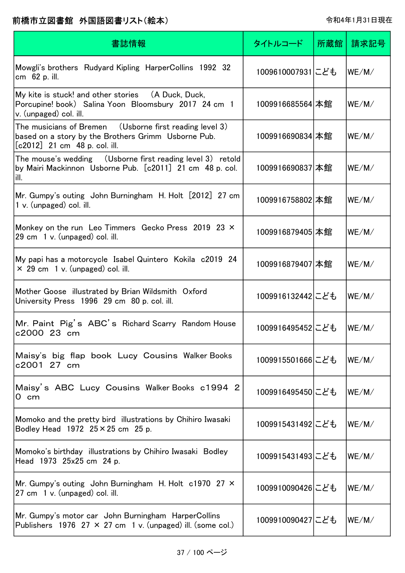| 書誌情報                                                                                                                                                      | タイトルコード           | 所蔵館 | 請求記号   |
|-----------------------------------------------------------------------------------------------------------------------------------------------------------|-------------------|-----|--------|
| Mowgli's brothers Rudyard Kipling HarperCollins 1992 32<br>cm 62 p. ill.                                                                                  | 1009610007931にども  |     | WE/M/  |
| My kite is stuck! and other stories (A Duck, Duck,<br>Porcupine! book) Salina Yoon Bloomsbury 2017 24 cm 1<br>v. (unpaged) col. ill.                      | 1009916685564 本館  |     | WE/M/  |
| The musicians of Bremen $\quad$ (Usborne first reading level 3)<br>based on a story by the Brothers Grimm Usborne Pub.<br>$[c2012]$ 21 cm 48 p. col. ill. | 1009916690834 本館  |     | WE/M/  |
| The mouse's wedding (Usborne first reading level 3) retold<br>by Mairi Mackinnon Usborne Pub. [c2011] 21 cm 48 p. col.<br>ill.                            | 1009916690837 本館  |     | WE/M/  |
| Mr. Gumpy's outing John Burningham H. Holt [2012] 27 cm<br>1 v. (unpaged) col. ill.                                                                       | 1009916758802 本館  |     | WE/M/  |
| Monkey on the run Leo Timmers Gecko Press 2019 23 X<br>29 cm 1 v. (unpaged) col. ill.                                                                     | 1009916879405 本館  |     | WE/M/  |
| My papi has a motorcycle Isabel Quintero Kokila c2019 24<br>$\times$ 29 cm 1 v. (unpaged) col. ill.                                                       | 1009916879407 本館  |     | WE/M/  |
| Mother Goose illustrated by Brian Wildsmith Oxford<br>University Press 1996 29 cm 80 p. col. ill.                                                         | 1009916132442 こども |     | WE/M/  |
| Mr. Paint Pig's ABC's Richard Scarry Random House<br>c2000 23 cm                                                                                          | 1009916495452にども  |     | WE/M/  |
| Maisy's big flap book Lucy Cousins Walker Books<br>c2001 27 cm                                                                                            | 1009915501666にども  |     | WE/M/  |
| Maisy's ABC Lucy Cousins Walker Books c1994 2<br>0 cm                                                                                                     | 1009916495450にども  |     | WE/M/  |
| Momoko and the pretty bird illustrations by Chihiro Iwasaki<br>Bodley Head $1972$ $25 \times 25$ cm $25$ p.                                               | 1009915431492にども  |     | WE/M/  |
| Momoko's birthday illustrations by Chihiro Iwasaki Bodley<br>Head 1973 25x25 cm 24 p.                                                                     | 1009915431493にども  |     | lWE/M/ |
| Mr. Gumpy's outing John Burningham H. Holt c1970 27 X<br>27 cm 1 v. (unpaged) col. ill.                                                                   | 1009910090426にども  |     | lWE/M/ |
| Mr. Gumpy's motor car John Burningham HarperCollins<br>Publishers 1976 27 $\times$ 27 cm 1 v. (unpaged) ill. (some col.)                                  | 1009910090427にども  |     | lWE/M/ |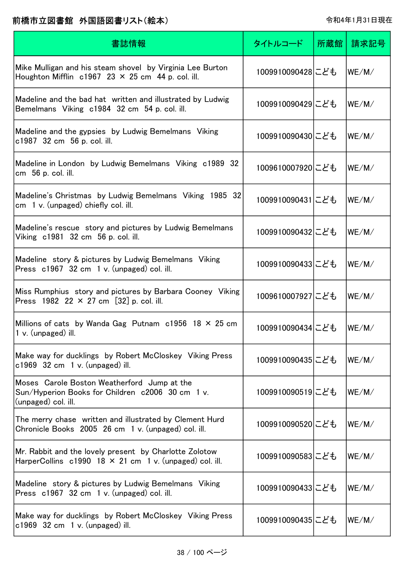| 書誌情報                                                                                                                    | タイトルコード          | 所蔵館 | 請求記号  |
|-------------------------------------------------------------------------------------------------------------------------|------------------|-----|-------|
| Mike Mulligan and his steam shovel by Virginia Lee Burton<br>Houghton Mifflin $c1967$ 23 $\times$ 25 cm 44 p. col. ill. | 1009910090428にども |     | WE/M/ |
| Madeline and the bad hat written and illustrated by Ludwig<br>Bemelmans Viking c1984 32 cm 54 p. col. ill.              | 1009910090429にども |     | WE/M/ |
| Madeline and the gypsies by Ludwig Bemelmans Viking<br>c1987 32 cm 56 p. col. ill.                                      | 1009910090430にども |     | WE/M/ |
| Madeline in London by Ludwig Bemelmans Viking c1989 32<br>cm 56 p. col. ill.                                            | 1009610007920にども |     | WE/M/ |
| Madeline's Christmas by Ludwig Bemelmans Viking 1985 32<br>cm 1 v. (unpaged) chiefly col. ill.                          | 1009910090431にども |     | WE/M/ |
| Madeline's rescue story and pictures by Ludwig Bemelmans<br>Viking c1981 32 cm 56 p. col. ill.                          | 1009910090432にども |     | WE/M/ |
| Madeline story & pictures by Ludwig Bemelmans Viking<br>Press c1967 32 cm 1 v. (unpaged) col. ill.                      | 1009910090433にども |     | WE/M/ |
| Miss Rumphius story and pictures by Barbara Cooney Viking<br>Press 1982 22 $\times$ 27 cm [32] p. col. ill.             | 1009610007927にども |     | WE/M/ |
| Millions of cats by Wanda Gag Putnam $c1956$ 18 $\times$ 25 cm<br>$1 v.$ (unpaged) ill.                                 | 1009910090434にども |     | WE/M/ |
| Make way for ducklings by Robert McCloskey Viking Press<br>$c1969$ 32 cm 1 v. (unpaged) ill.                            | 1009910090435にども |     | WE/M/ |
| Moses Carole Boston Weatherford Jump at the<br>Sun/Hyperion Books for Children c2006 30 cm 1 v.<br>(unpaged) col. ill.  | 1009910090519にども |     | WE/M/ |
| The merry chase written and illustrated by Clement Hurd<br>Chronicle Books 2005 26 cm 1 v. (unpaged) col. ill.          | 1009910090520にども |     | WE/M/ |
| Mr. Rabbit and the lovely present by Charlotte Zolotow<br>HarperCollins c1990 18 × 21 cm 1 v. (unpaged) col. ill.       | 1009910090583にども |     | WE/M/ |
| Madeline story & pictures by Ludwig Bemelmans Viking<br>Press c1967 32 cm 1 v. (unpaged) col. ill.                      | 1009910090433にども |     | WE/M/ |
| Make way for ducklings by Robert McCloskey Viking Press<br>$c1969$ 32 cm 1 v. (unpaged) ill.                            | 1009910090435にども |     | WE/M/ |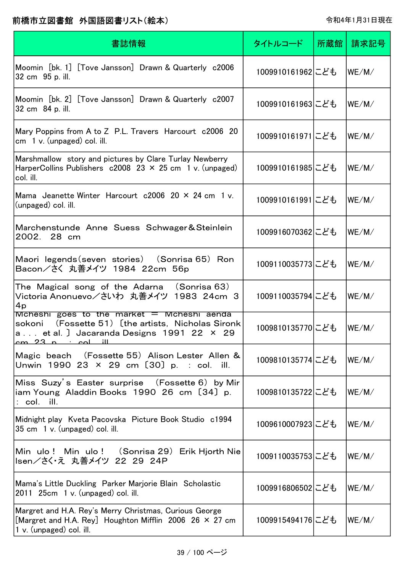| 書誌情報                                                                                                                                                                         | タイトルコード          | 所蔵館 | 請求記号                        |
|------------------------------------------------------------------------------------------------------------------------------------------------------------------------------|------------------|-----|-----------------------------|
| Moomin [bk. 1] [Tove Jansson] Drawn & Quarterly c2006<br>32 cm 95 p. ill.                                                                                                    | 1009910161962にども |     | WE/M/                       |
| Moomin [bk. 2] [Tove Jansson] Drawn & Quarterly c2007<br>32 cm 84 p. ill.                                                                                                    | 1009910161963にども |     | WE/M/                       |
| Mary Poppins from A to Z P.L. Travers Harcourt c2006 20<br>$cm \quad 1 \, v.$ (unpaged) col. ill.                                                                            | 1009910161971にども |     | WE/M/                       |
| Marshmallow story and pictures by Clare Turlay Newberry<br>HarperCollins Publishers $c2008$ 23 $\times$ 25 cm 1 v. (unpaged)<br>col. ill.                                    | 1009910161985にども |     | WE/M/                       |
| Mama Jeanette Winter Harcourt $c2006$ 20 $\times$ 24 cm 1 v.<br>(unpaged) col. ill.                                                                                          | 1009910161991にども |     | WE/M/                       |
| Marchenstunde Anne Suess Schwager&Steinlein<br>2002.<br>28 cm                                                                                                                | 1009916070362にども |     | WE/M/                       |
| Maori legends (seven stories) (Sonrisa 65) Ron<br>Bacon/さく 丸善メイツ 1984 22cm 56p                                                                                               | 1009110035773にども |     | WE/M/                       |
| The Magical song of the Adarna (Sonrisa 63)<br>Victoria Anonuevo/さいわ 丸善メイツ 1983 24cm 3<br>4p                                                                                 | 1009110035794にども |     | WE/M/                       |
| $M$ cheshi goes to the market $=$ Mcheshi aenda<br>(Fossette 51) [the artists, Nicholas Sironk<br>sokoni<br>a et al. J Jacaranda Designs 1991 22 × 29<br>$cm$ 23 n $col$ ill | 1009810135770にども |     | WE/M/                       |
| Magic beach (Fossette 55) Alison Lester Allen &<br>Unwin 1990 23 × 29 cm [30] p. : col. ill.                                                                                 | 1009810135774にども |     | $ \mathsf{WE}/\mathsf{M}/ $ |
| Miss Suzy's Easter surprise (Fossette 6) by Mir<br>iam Young Aladdin Books 1990 26 cm [34] p.<br>$:$ col. $i$ ll.                                                            | 1009810135722にども |     | WE/M/                       |
| Midnight play Kveta Pacovska Picture Book Studio c1994<br>35 cm 1 v. (unpaged) col. ill.                                                                                     | 1009610007923にども |     | WE/M/                       |
| Min ulo ! Min ulo ! (Sonrisa 29) Erik Hjorth Nie<br>Isen/さく・え 丸善メイツ 22 29 24P                                                                                                | 1009110035753にども |     | WE/M/                       |
| Mama's Little Duckling Parker Marjorie Blain Scholastic<br>$2011$ $25cm$ 1 v. (unpaged) col. ill.                                                                            | 1009916806502にども |     | WE/M/                       |
| Margret and H.A. Rey's Merry Christmas, Curious George<br>[Margret and H.A. Rey] Houghton Mifflin 2006 26 × 27 cm<br>1 v. (unpaged) col. ill.                                | 1009915494176にども |     | WE/M/                       |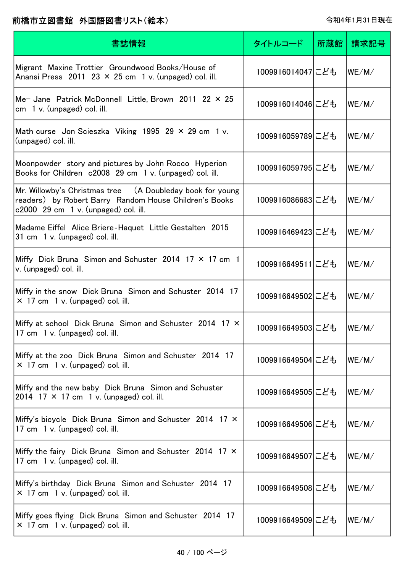| 書誌情報                                                                                                                                                          | タイトルコード          | 所蔵館 | 請求記号  |
|---------------------------------------------------------------------------------------------------------------------------------------------------------------|------------------|-----|-------|
| Migrant Maxine Trottier Groundwood Books/House of<br>Anansi Press 2011 23 $\times$ 25 cm 1 v. (unpaged) col. ill.                                             | 1009916014047にども |     | WE/M/ |
| Me- Jane Patrick McDonnell Little, Brown 2011 22 $\times$ 25<br>cm $1 v$ . (unpaged) col. ill.                                                                | 1009916014046にども |     | WE/M/ |
| Math curse Jon Scieszka Viking 1995 29 $\times$ 29 cm 1 v.<br>(unpaged) col. ill.                                                                             | 1009916059789にども |     | WE/M/ |
| Moonpowder story and pictures by John Rocco Hyperion<br>Books for Children c2008 29 cm 1 v. (unpaged) col. ill.                                               | 1009916059795にども |     | WE/M/ |
| Mr. Willowby's Christmas tree (A Doubleday book for young<br>readers) by Robert Barry Random House Children's Books<br>$c2000$ 29 cm 1 v. (unpaged) col. ill. | 1009916086683にども |     | WE/M/ |
| Madame Eiffel Alice Briere-Haquet Little Gestalten 2015<br>31 cm 1 v. (unpaged) col. ill.                                                                     | 1009916469423にども |     | WE/M/ |
| Miffy Dick Bruna Simon and Schuster 2014 17 $\times$ 17 cm 1<br>v. (unpaged) col. ill.                                                                        | 1009916649511にども |     | WE/M/ |
| Miffy in the snow Dick Bruna Simon and Schuster 2014 17<br>$\times$ 17 cm 1 v. (unpaged) col. ill.                                                            | 1009916649502にども |     | WE/M/ |
| Miffy at school Dick Bruna Simon and Schuster 2014 17 X<br>17 cm 1 v. (unpaged) col. ill.                                                                     | 1009916649503にども |     | WE/M/ |
| Miffy at the zoo Dick Bruna Simon and Schuster 2014 17<br>$\times$ 17 cm 1 v. (unpaged) col. ill.                                                             | 1009916649504にども |     | WE/M/ |
| Miffy and the new baby Dick Bruna Simon and Schuster<br>2014 17 $\times$ 17 cm 1 v. (unpaged) col. ill.                                                       | 1009916649505にども |     | WE/M/ |
| Miffy's bicycle Dick Bruna Simon and Schuster 2014 17 X<br>17 cm 1 v. (unpaged) col. ill.                                                                     | 1009916649506にども |     | WE/M/ |
| Miffy the fairy Dick Bruna Simon and Schuster 2014 17 X<br>17 cm 1 v. (unpaged) col. ill.                                                                     | 1009916649507にども |     | WE/M/ |
| Miffy's birthday Dick Bruna Simon and Schuster 2014 17<br>$\times$ 17 cm 1 v. (unpaged) col. ill.                                                             | 1009916649508にども |     | WE/M/ |
| Miffy goes flying Dick Bruna Simon and Schuster 2014 17<br>$\times$ 17 cm 1 v. (unpaged) col. ill.                                                            | 1009916649509にども |     | WE/M/ |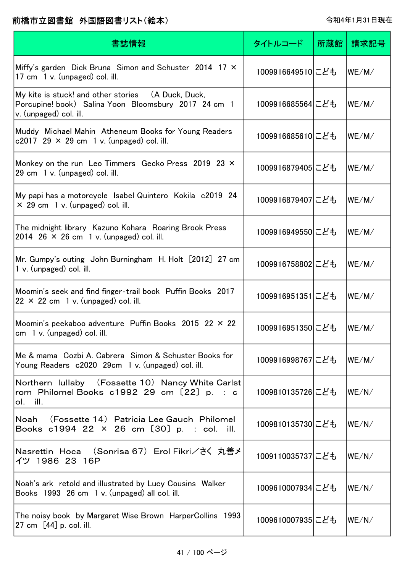| 書誌情報                                                                                                                                 | タイトルコード           | 所蔵館 | 請求記号                        |
|--------------------------------------------------------------------------------------------------------------------------------------|-------------------|-----|-----------------------------|
| Miffy's garden Dick Bruna Simon and Schuster 2014 17 X<br>17 cm 1 v. (unpaged) col. ill.                                             | 1009916649510にども  |     | WE/M/                       |
| My kite is stuck! and other stories (A Duck, Duck,<br>Porcupine! book) Salina Yoon Bloomsbury 2017 24 cm 1<br>v. (unpaged) col. ill. | 1009916685564にども  |     | WE/M/                       |
| Muddy Michael Mahin Atheneum Books for Young Readers<br>c2017 29 $\times$ 29 cm 1 v. (unpaged) col. ill.                             | 1009916685610にども  |     | WE/M/                       |
| Monkey on the run Leo Timmers Gecko Press 2019 23 X<br>29 cm 1 v. (unpaged) col. ill.                                                | 1009916879405 こども |     | WE/M/                       |
| My papi has a motorcycle Isabel Quintero Kokila c2019 24<br>$\times$ 29 cm 1 v. (unpaged) col. ill.                                  | 1009916879407にども  |     | WE/M/                       |
| The midnight library Kazuno Kohara Roaring Brook Press<br>2014 26 $\times$ 26 cm 1 v. (unpaged) col. ill.                            | 1009916949550にども  |     | WE/M/                       |
| Mr. Gumpy's outing John Burningham H. Holt [2012] 27 cm<br>1 v. (unpaged) col. ill.                                                  | 1009916758802にども  |     | WE/M/                       |
| Moomin's seek and find finger-trail book Puffin Books 2017<br>$22 \times 22$ cm 1 v. (unpaged) col. ill.                             | 1009916951351にども  |     | WE/M/                       |
| Moomin's peekaboo adventure Puffin Books 2015 22 $\times$ 22<br>$cm \, 1 \, v.$ (unpaged) col. ill.                                  | 1009916951350にども  |     | WE/M/                       |
| Me & mama Cozbi A. Cabrera Simon & Schuster Books for<br>Young Readers c2020 29cm 1 v. (unpaged) col. ill.                           | 1009916998767にども  |     | $ \mathsf{WE}/\mathsf{M}/ $ |
| Northern Iullaby (Fossette 10) Nancy White Carlst<br>rom Philomel Books $c1992$ 29 cm $[22]$ p. : c<br>ol. ill.                      | 1009810135726にども  |     | WE/N/                       |
| Noah (Fossette 14) Patricia Lee Gauch Philomel<br>Books c1994 22 × 26 cm [30] p. : col. ill.                                         | 1009810135730にども  |     | WE/N/                       |
| Nasrettin Hoca (Sonrisa 67)Erol Fikri/さく 丸善メ<br>イツ 1986 23 16P                                                                       | 1009110035737にども  |     | WE/N/                       |
| Noah's ark retold and illustrated by Lucy Cousins Walker<br>Books 1993 26 cm 1 v. (unpaged) all col. ill.                            | 1009610007934にども  |     | WE/N/                       |
| The noisy book by Margaret Wise Brown HarperCollins 1993<br>27 cm $[44]$ p. col. ill.                                                | 1009610007935にども  |     | WE/N/                       |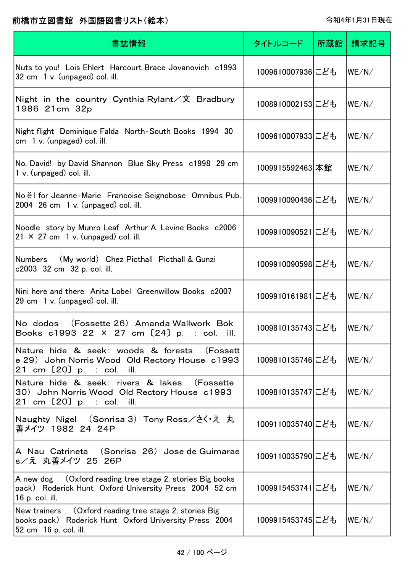| 書誌情報                                                                                                                                       | タイトルコード          | 所蔵館 | 請求記号                        |
|--------------------------------------------------------------------------------------------------------------------------------------------|------------------|-----|-----------------------------|
| Nuts to you! Lois Ehlert Harcourt Brace Jovanovich c1993<br>32 cm 1 v. (unpaged) col. ill.                                                 | 1009610007936にども |     | WE/N/                       |
| Night in the country Cynthia Rylant $\angle \chi$ Bradbury<br>1986 21cm 32p                                                                | 1008910002153にども |     | WE/N/                       |
| Night flight Dominique Falda North-South Books 1994 30<br>$cm \quad 1 \text{ v. } (unpage d) \text{ col. }$ ill.                           | 1009610007933にども |     | WE/N/                       |
| No, David! by David Shannon Blue Sky Press c1998 29 cm<br>1 v. (unpaged) col. ill.                                                         | 1009915592463 本館 |     | WE/N/                       |
| No ël for Jeanne-Marie Francoise Seignobosc Omnibus Pub.<br>2004 $26 \text{ cm}$ 1 v. (unpaged) col. ill.                                  | 1009910090436にども |     | WE/N/                       |
| Noodle story by Munro Leaf Arthur A. Levine Books c2006<br>$21 \times 27$ cm 1 v. (unpaged) col. ill.                                      | 1009910090521にども |     | WE/N/                       |
| Numbers (My world) Chez Picthall Picthall & Gunzi<br>c2003 32 cm 32 p. col. ill.                                                           | 1009910090598にども |     | WE/N/                       |
| Nini here and there Anita Lobel Greenwillow Books c2007<br>29 cm 1 v. (unpaged) col. ill.                                                  | 1009910161981にども |     | WE/N/                       |
| (Fossette 26) Amanda Wallwork Bok<br>No dodos<br>Books c1993 22 × 27 cm [24] p. : col. ill.                                                | 1009810135743にども |     | WE/N/                       |
| Nature hide & seek: woods & forests<br>(Fossett<br>e 29) John Norris Wood Old Rectory House c1993<br>21 cm $[20]$ p. : col. ill.           | 1009810135746にども |     | $ \mathsf{WE}/\mathsf{N}/ $ |
| Nature hide & seek: rivers & lakes<br>(Fossette<br>30) John Norris Wood Old Rectory House c1993<br>21 cm $[20]$ p. : col. ill.             | 1009810135747にども |     | WE/N/                       |
| Naughty Nigel (Sonrisa 3)Tony Ross/さく・え 丸<br>善メイツ 1982 24 24P                                                                              | 1009110035740にども |     | WE/N/                       |
| A Nau Catrineta (Sonrisa 26)Jose de Guimarae<br>s/え 丸善メイツ 25 26P                                                                           | 1009110035790にども |     | WE/N/                       |
| (Oxford reading tree stage 2, stories Big books)<br>A new dog<br>pack) Roderick Hunt Oxford University Press 2004 52 cm<br>16 p. col. ill. | 1009915453741にども |     | WE/N/                       |
| New trainers (Oxford reading tree stage 2, stories Big<br>books pack) Roderick Hunt Oxford University Press 2004<br>52 cm 16 p. col. ill.  | 1009915453745にども |     | WE/N/                       |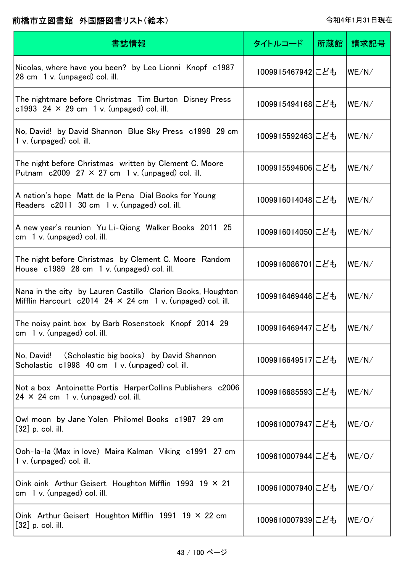| 書誌情報                                                                                                                               | タイトルコード          | 所蔵館 | 請求記号  |
|------------------------------------------------------------------------------------------------------------------------------------|------------------|-----|-------|
| Nicolas, where have you been? by Leo Lionni Knopf c1987<br>28 cm 1 v. (unpaged) col. ill.                                          | 1009915467942にども |     | WE/N/ |
| The nightmare before Christmas Tim Burton Disney Press<br>c1993 24 $\times$ 29 cm 1 v. (unpaged) col. ill.                         | 1009915494168にども |     | WE/N/ |
| No, David! by David Shannon Blue Sky Press c1998 29 cm<br>1 v. (unpaged) col. ill.                                                 | 1009915592463にども |     | WE/N/ |
| The night before Christmas written by Clement C. Moore<br>Putnam $c2009$ 27 $\times$ 27 cm 1 v. (unpaged) col. ill.                | 1009915594606にども |     | WE/N/ |
| A nation's hope Matt de la Pena Dial Books for Young<br>Readers c2011 30 cm 1 v. (unpaged) col. ill.                               | 1009916014048にども |     | WE/N/ |
| A new year's reunion Yu Li-Qiong Walker Books 2011 25<br>cm $1 v$ . (unpaged) col. ill.                                            | 1009916014050にども |     | WE/N/ |
| The night before Christmas by Clement C. Moore Random<br>House c1989 28 cm 1 v. (unpaged) col. ill.                                | 1009916086701にども |     | WE/N/ |
| Nana in the city by Lauren Castillo Clarion Books, Houghton<br>Mifflin Harcourt $c2014$ 24 $\times$ 24 cm 1 v. (unpaged) col. ill. | 1009916469446にども |     | WE/N/ |
| The noisy paint box by Barb Rosenstock Knopf 2014 29<br>$cm1$ v. (unpaged) col. ill.                                               | 1009916469447にども |     | WE/N/ |
| (Scholastic big books) by David Shannon<br>No, David!<br>Scholastic c1998 40 cm 1 v. (unpaged) col. ill.                           | 1009916649517にども |     | WE/N/ |
| Not a box Antoinette Portis HarperCollins Publishers c2006<br>$24 \times 24$ cm 1 v. (unpaged) col. ill.                           | 1009916685593にども |     | WE/N/ |
| Owl moon by Jane Yolen Philomel Books c1987 29 cm<br>$[32]$ p. col. ill.                                                           | 1009610007947にども |     | WE/O/ |
| Ooh-la-la (Max in love) Maira Kalman Viking c1991 27 cm<br>$1 v.$ (unpaged) col. ill.                                              | 1009610007944にども |     | WE/O/ |
| Oink oink Arthur Geisert Houghton Mifflin 1993 19 $\times$ 21<br>cm $1 v$ . (unpaged) col. ill.                                    | 1009610007940にども |     | WE/O/ |
| Oink Arthur Geisert Houghton Mifflin 1991 19 $\times$ 22 cm<br>$[32]$ p. col. ill.                                                 | 1009610007939にども |     | WE/O/ |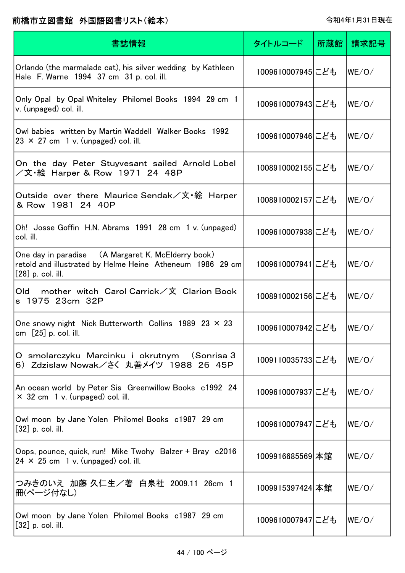| 書誌情報                                                                                                                                   | タイトルコード          | 所蔵館 | 請求記号  |
|----------------------------------------------------------------------------------------------------------------------------------------|------------------|-----|-------|
| Orlando (the marmalade cat), his silver wedding by Kathleen<br>Hale F. Warne 1994 37 cm 31 p. col. ill.                                | 1009610007945にども |     | WE/O/ |
| Only Opal by Opal Whiteley Philomel Books 1994 29 cm 1<br>v. (unpaged) col. ill.                                                       | 1009610007943にども |     | WE/O/ |
| Owl babies written by Martin Waddell Walker Books 1992<br>$23 \times 27$ cm 1 v. (unpaged) col. ill.                                   | 1009610007946にども |     | WE/O/ |
| On the day Peter Stuyvesant sailed Arnold Lobel<br>/文·絵 Harper & Row 1971 24 48P                                                       | 1008910002155にども |     | WE/O/ |
| Outside over there Maurice Sendak/文·絵 Harper<br>& Row 1981 24 40P                                                                      | 1008910002157にども |     | WE/O/ |
| Oh! Josse Goffin H.N. Abrams 1991 28 cm 1 v. (unpaged)<br>col. ill.                                                                    | 1009610007938にども |     | WE/O/ |
| One day in paradise (A Margaret K. McElderry book)<br>retold and illustrated by Helme Heine Atheneum 1986 29 cm<br>$[28]$ p. col. ill. | 1009610007941にども |     | WE/O/ |
| mother witch Carol Carrick/文 Clarion Book<br>Old<br>s 1975 23cm 32P                                                                    | 1008910002156にども |     | WE/O/ |
| One snowy night Nick Butterworth Collins 1989 23 $\times$ 23<br>cm $[25]$ p. col. ill.                                                 | 1009610007942にども |     | WE/O/ |
| O smolarczyku Marcinku i okrutnym (Sonrisa 3<br>6) Zdzislaw Nowak/さく 丸善メイツ 1988 26 45P                                                 | 1009110035733にども |     | WE/O/ |
| An ocean world by Peter Sis Greenwillow Books c1992 24<br>$\times$ 32 cm 1 v. (unpaged) col. ill.                                      | 1009610007937にども |     | WE/O/ |
| Owl moon by Jane Yolen Philomel Books c1987 29 cm<br>$[32]$ p. col. ill.                                                               | 1009610007947にども |     | WE/O/ |
| Oops, pounce, quick, run! Mike Twohy Balzer + Bray c2016<br>$24 \times 25$ cm 1 v. (unpaged) col. ill.                                 | 1009916685569 本館 |     | WE/O/ |
| つみきのいえ 加藤 久仁生/著 白泉社 2009.11 26cm 1<br>冊(ページ付なし)                                                                                        | 1009915397424 本館 |     | WE/O/ |
| Owl moon by Jane Yolen Philomel Books c1987 29 cm<br>$[32]$ p. col. ill.                                                               | 1009610007947にども |     | WE/O/ |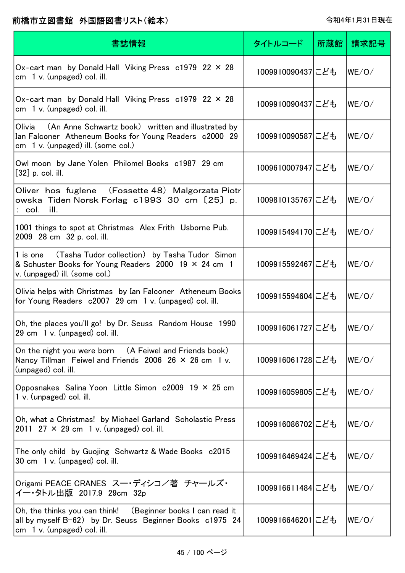| 書誌情報                                                                                                                                                                      | タイトルコード          | 所蔵館 | 請求記号  |
|---------------------------------------------------------------------------------------------------------------------------------------------------------------------------|------------------|-----|-------|
| Ox-cart man by Donald Hall Viking Press $c1979$ 22 $\times$ 28<br>cm 1 v. (unpaged) col. ill.                                                                             | 1009910090437にども |     | WE/O/ |
| Ox-cart man by Donald Hall Viking Press c1979 22 × 28<br>$cm \quad 1 \, v.$ (unpaged) col. ill.                                                                           | 1009910090437にども |     | WE/O/ |
| Olivia (An Anne Schwartz book) written and illustrated by<br>Ian Falconer Atheneum Books for Young Readers c2000 29<br>cm $\left(1 \right)$ v. (unpaged) ill. (some col.) | 1009910090587にども |     | WE/O/ |
| Owl moon by Jane Yolen Philomel Books c1987 29 cm<br>$[32]$ p. col. ill.                                                                                                  | 1009610007947にども |     | WE/O/ |
| Oliver hos fuglene (Fossette 48) Malgorzata Piotr<br>owska Tiden Norsk Forlag c1993 30 cm〔25〕p.<br>: col.<br>ill.                                                         | 1009810135767にども |     | WE/O/ |
| 1001 things to spot at Christmas Alex Frith Usborne Pub.<br>2009 28 cm 32 p. col. ill.                                                                                    | 1009915494170にども |     | WE/O/ |
| (Tasha Tudor collection) by Tasha Tudor Simon<br>1 is one<br>& Schuster Books for Young Readers 2000 19 × 24 cm 1<br>v. (unpaged) ill. (some col.)                        | 1009915592467にども |     | WE/O/ |
| Olivia helps with Christmas by Ian Falconer Atheneum Books<br>for Young Readers c2007 29 cm 1 v. (unpaged) col. ill.                                                      | 1009915594604にども |     | WE/O/ |
| Oh, the places you'll go! by Dr. Seuss Random House 1990<br>29 cm 1 v. (unpaged) col. ill.                                                                                | 1009916061727にども |     | WE/O/ |
| On the night you were born (A Feiwel and Friends book)<br>Nancy Tillman Feiwel and Friends 2006 26 $\times$ 26 cm 1 v.<br>(unpaged) col. ill.                             | 1009916061728にども |     | WE/O/ |
| Opposnakes Salina Yoon Little Simon c2009 19 × 25 cm<br>1 v. (unpaged) col. ill.                                                                                          | 1009916059805にども |     | WE/O/ |
| Oh, what a Christmas! by Michael Garland Scholastic Press<br>2011 27 $\times$ 29 cm 1 v. (unpaged) col. ill.                                                              | 1009916086702にども |     | WE/O/ |
| The only child by Guojing Schwartz & Wade Books c2015<br>30 cm 1 v. (unpaged) col. ill.                                                                                   | 1009916469424にども |     | WE/O/ |
| Origami PEACE CRANES スー・ディシコ/著 チャールズ・<br>イー・タトル出版 2017.9 29cm 32p                                                                                                         | 1009916611484にども |     | WE/O/ |
| Oh, the thinks you can think! (Beginner books I can read it<br>all by myself B-62) by Dr. Seuss Beginner Books c1975 24<br>cm $1 v$ . (unpaged) col. ill.                 | 1009916646201にども |     | WE/O/ |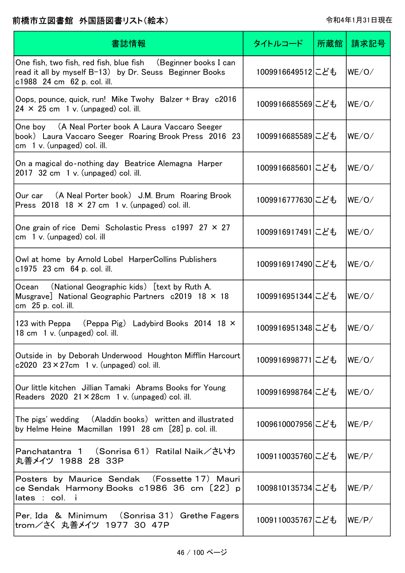| 書誌情報                                                                                                                                                    | タイトルコード          | 所蔵館 | 請求記号  |
|---------------------------------------------------------------------------------------------------------------------------------------------------------|------------------|-----|-------|
| One fish, two fish, red fish, blue fish (Beginner books I can<br>read it all by myself B-13) by Dr. Seuss Beginner Books<br>c1988 24 cm 62 p. col. ill. | 1009916649512にども |     | WE/O/ |
| Oops, pounce, quick, run! Mike Twohy Balzer + Bray c2016<br>$24 \times 25$ cm 1 v. (unpaged) col. ill.                                                  | 1009916685569にども |     | WE/O/ |
| One boy (A Neal Porter book A Laura Vaccaro Seeger<br>book) Laura Vaccaro Seeger Roaring Brook Press 2016 23<br>$cm1$ v. (unpaged) col. ill.            | 1009916685589にども |     | WE/O/ |
| On a magical do-nothing day Beatrice Alemagna Harper<br>$2017$ 32 cm 1 v. (unpaged) col. ill.                                                           | 1009916685601にども |     | WE/O/ |
| Our car (A Neal Porter book) J.M. Brum Roaring Brook<br>Press 2018 18 $\times$ 27 cm 1 v. (unpaged) col. ill.                                           | 1009916777630にども |     | WE/O/ |
| One grain of rice Demi Scholastic Press $c1997$ 27 $\times$ 27<br>cm $1 v$ . (unpaged) col. ill                                                         | 1009916917491にども |     | WE/O/ |
| Owl at home by Arnold Lobel HarperCollins Publishers<br>c1975 23 cm 64 p. col. ill.                                                                     | 1009916917490にども |     | WE/O/ |
| (National Geographic kids) [text by Ruth A.<br>Ocean<br>Musgrave] National Geographic Partners c2019 18 × 18<br>cm 25 p. col. ill.                      | 1009916951344にども |     | WE/O/ |
| 123 with Peppa (Peppa Pig) Ladybird Books 2014 18 X<br>18 cm 1 v. (unpaged) col. ill.                                                                   | 1009916951348にども |     | WE/O/ |
| Outside in by Deborah Underwood Houghton Mifflin Harcourt<br>c2020 $23 \times 27$ cm 1 v. (unpaged) col. ill.                                           | 1009916998771にども |     | WE/O/ |
| Our little kitchen Jillian Tamaki Abrams Books for Young<br>Readers $2020 \t21 \times 28$ cm 1 v. (unpaged) col. ill.                                   | 1009916998764にども |     | WE/O/ |
| The pigs' wedding (Aladdin books) written and illustrated<br>by Helme Heine Macmillan 1991 28 cm [28] p. col. ill.                                      | 1009610007956にども |     | WE/P/ |
| Panchatantra 1 (Sonrisa 61) Ratilal Naik/さいわ<br>丸善メイツ 1988 28 33P                                                                                       | 1009110035760にども |     | WE/P/ |
| Posters by Maurice Sendak (Fossette 17) Mauri<br>ce Sendak Harmony Books c1986 36 cm [22] p<br>lates : col. i                                           | 1009810135734にども |     | WE/P/ |
| Per, Ida & Minimum (Sonrisa 31) Grethe Fagers<br> trom/さく 丸善メイツ 1977 30 47P                                                                             | 1009110035767にども |     | WE/P/ |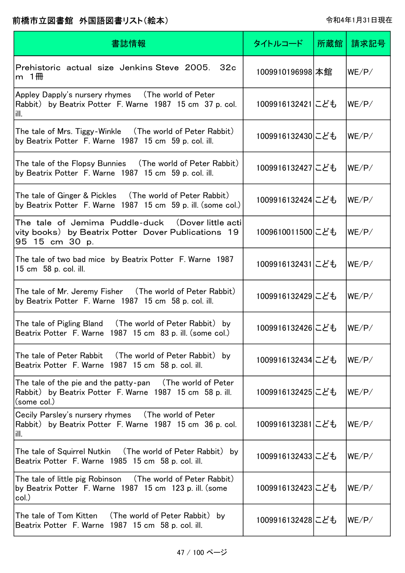| 書誌情報                                                                                                                                 | タイトルコード          | 所蔵館 | 請求記号  |
|--------------------------------------------------------------------------------------------------------------------------------------|------------------|-----|-------|
| Prehistoric actual size Jenkins Steve 2005.<br>32c<br>m $1$ <del>m</del>                                                             | 1009910196998 本館 |     | WE/P/ |
| Appley Dapply's nursery rhymes (The world of Peter<br>Rabbit) by Beatrix Potter F. Warne 1987 15 cm 37 p. col.<br>ill.               | 1009916132421にども |     | WE/P/ |
| The tale of Mrs. Tiggy-Winkle (The world of Peter Rabbit)<br>by Beatrix Potter F. Warne 1987 15 cm 59 p. col. ill.                   | 1009916132430にども |     | WE/P/ |
| The tale of the Flopsy Bunnies (The world of Peter Rabbit)<br>by Beatrix Potter F. Warne 1987 15 cm 59 p. col. ill.                  | 1009916132427にども |     | WE/P/ |
| The tale of Ginger & Pickles (The world of Peter Rabbit)<br>by Beatrix Potter F. Warne 1987 15 cm 59 p. ill. (some col.)             | 1009916132424にども |     | WE/P/ |
| The tale of Jemima Puddle-duck (Doverlittle actil<br>vity books) by Beatrix Potter Dover Publications 19<br>95 15 cm 30 p.           | 1009610011500にども |     | WE/P/ |
| The tale of two bad mice by Beatrix Potter F. Warne 1987<br>15 cm 58 p. col. ill.                                                    | 1009916132431にども |     | WE/P/ |
| The tale of Mr. Jeremy Fisher (The world of Peter Rabbit)<br>by Beatrix Potter F. Warne 1987 15 cm 58 p. col. ill.                   | 1009916132429にども |     | WE/P/ |
| The tale of Pigling Bland<br>(The world of Peter Rabbit) by<br>Beatrix Potter F. Warne 1987 15 cm 83 p. ill. (some col.)             | 1009916132426にども |     | WE/P/ |
| The tale of Peter Rabbit (The world of Peter Rabbit) by<br>Beatrix Potter F. Warne 1987 15 cm 58 p. col. ill.                        | 1009916132434にども |     | WE/P/ |
| The tale of the pie and the patty-pan (The world of Peter<br>Rabbit) by Beatrix Potter F. Warne 1987 15 cm 58 p. ill.<br>(some col.) | 1009916132425にども |     | WE/P/ |
| Cecily Parsley's nursery rhymes (The world of Peter<br>Rabbit) by Beatrix Potter F. Warne 1987 15 cm 36 p. col.<br>ill.              | 1009916132381にども |     | WE/P/ |
| The tale of Squirrel Nutkin (The world of Peter Rabbit) by<br>Beatrix Potter F. Warne 1985 15 cm 58 p. col. ill.                     | 1009916132433にども |     | WE/P/ |
| The tale of little pig Robinson (The world of Peter Rabbit)<br>by Beatrix Potter F. Warne 1987 15 cm 123 p. ill. (some<br>col.)      | 1009916132423にども |     | WE/P/ |
| by<br>Beatrix Potter F. Warne 1987 15 cm 58 p. col. ill.                                                                             | 1009916132428にども |     | WE/P/ |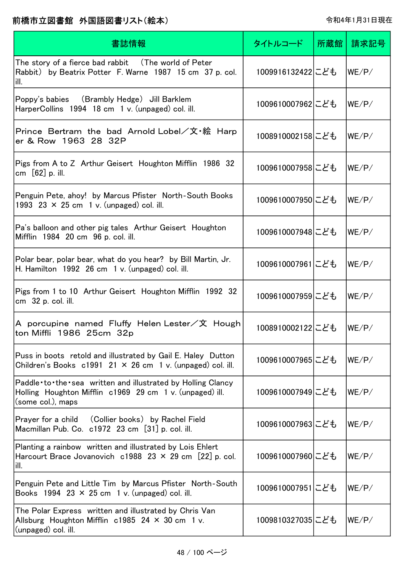| 書誌情報                                                                                                                                         | タイトルコード          | 所蔵館 | 請求記号  |
|----------------------------------------------------------------------------------------------------------------------------------------------|------------------|-----|-------|
| The story of a fierce bad rabbit (The world of Peter<br>Rabbit) by Beatrix Potter F. Warne 1987 15 cm 37 p. col.<br>ill.                     | 1009916132422にども |     | WE/P/ |
| Poppy's babies (Brambly Hedge) Jill Barklem<br>HarperCollins 1994 18 cm 1 v. (unpaged) col. ill.                                             | 1009610007962にども |     | WE/P/ |
| Prince Bertram the bad Arnold Lobel/文・絵 Harp<br>er & Row 1963 28 32P                                                                         | 1008910002158にども |     | WE/P/ |
| Pigs from A to Z Arthur Geisert Houghton Mifflin 1986 32<br>cm $[62]$ p. ill.                                                                | 1009610007958にども |     | WE/P/ |
| Penguin Pete, ahoy! by Marcus Pfister North-South Books<br>1993 23 $\times$ 25 cm 1 v. (unpaged) col. ill.                                   | 1009610007950にども |     | WE/P/ |
| Pa's balloon and other pig tales Arthur Geisert Houghton<br>Mifflin 1984 20 cm 96 p. col. ill.                                               | 1009610007948にども |     | WE/P/ |
| Polar bear, polar bear, what do you hear? by Bill Martin, Jr.<br>H. Hamilton 1992 26 cm 1 v. (unpaged) col. ill.                             | 1009610007961にども |     | WE/P/ |
| Pigs from 1 to 10 Arthur Geisert Houghton Mifflin 1992 32<br>cm 32 p. col. ill.                                                              | 1009610007959にども |     | WE/P/ |
| A porcupine named Fluffy Helen Lester/文 Hough <br>ton Miffli 1986 25cm 32p                                                                   | 1008910002122にども |     | WE/P/ |
| Puss in boots retold and illustrated by Gail E. Haley Dutton<br>Children's Books $c1991$ 21 × 26 cm 1 v. (unpaged) col. ill.                 | 1009610007965にども |     | WE/P/ |
| Paddle to the sea written and illustrated by Holling Clancy<br>Holling Houghton Mifflin c1969 29 cm 1 v. (unpaged) ill.<br>(some col.), maps | 1009610007949にども |     | WE/P/ |
| Prayer for a child (Collier books) by Rachel Field<br>Macmillan Pub. Co. c1972 23 cm [31] p. col. ill.                                       | 1009610007963にども |     | WE/P/ |
| Planting a rainbow written and illustrated by Lois Ehlert<br>Harcourt Brace Jovanovich c1988 23 $\times$ 29 cm [22] p. col.<br>ill.          | 1009610007960にども |     | WE/P/ |
| Penguin Pete and Little Tim by Marcus Pfister North-South<br>Books 1994 23 $\times$ 25 cm 1 v. (unpaged) col. ill.                           | 1009610007951にども |     | WE/P/ |
| The Polar Express written and illustrated by Chris Van<br>Allsburg Houghton Mifflin $c1985$ 24 $\times$ 30 cm 1 v.<br>(unpaged) col. ill.    | 1009810327035にども |     | WE/P/ |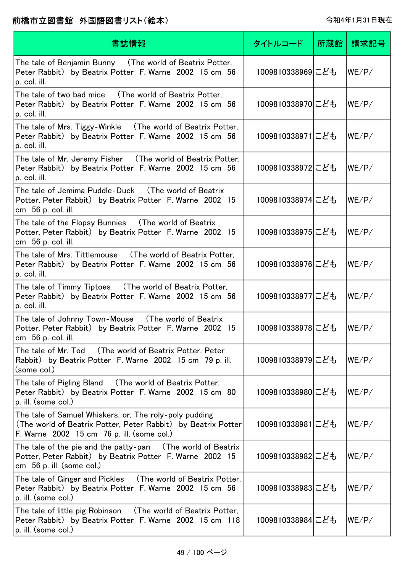| 書誌情報                                                                                                                                                                  | タイトルコード          | 所蔵館丨 | 請求記号  |
|-----------------------------------------------------------------------------------------------------------------------------------------------------------------------|------------------|------|-------|
| The tale of Benjamin Bunny   (The world of Beatrix Potter,<br>Peter Rabbit) by Beatrix Potter F. Warne 2002 15 cm 56<br>p. col. ill.                                  | 1009810338969にども |      | WE/P/ |
| The tale of two bad mice  (The world of Beatrix Potter,<br>Peter Rabbit) by Beatrix Potter F. Warne 2002 15 cm 56<br>p. col. ill.                                     | 1009810338970にども |      | WE/P/ |
| The tale of Mrs. Tiggy-Winkle (The world of Beatrix Potter,<br>Peter Rabbit) by Beatrix Potter F. Warne 2002 15 cm 56<br>p. col. ill.                                 | 1009810338971にども |      | WE/P/ |
| The tale of Mr. Jeremy Fisher (The world of Beatrix Potter,<br>Peter Rabbit) by Beatrix Potter F. Warne 2002 15 cm 56<br>p. col. ill.                                 | 1009810338972にども |      | WE/P/ |
| Potter, Peter Rabbit) by Beatrix Potter F. Warne 2002 15<br>cm 56 p. col. ill.                                                                                        | 1009810338974にども |      | WE/P/ |
| The tale of the Flopsy Bunnies (The world of Beatrix<br>Potter, Peter Rabbit) by Beatrix Potter F. Warne 2002 15<br>cm 56 p. col. ill.                                | 1009810338975にども |      | WE/P/ |
| The tale of Mrs. Tittlemouse      (The world of Beatrix Potter, )<br>Peter Rabbit) by Beatrix Potter F. Warne 2002 15 cm 56<br>p. col. ill.                           | 1009810338976にども |      | WE/P/ |
| The tale of Timmy Tiptoes (The world of Beatrix Potter,<br>Peter Rabbit) by Beatrix Potter F. Warne 2002 15 cm 56<br>p. col. ill.                                     | 1009810338977にども |      | WE/P/ |
| The tale of Johnny Town-Mouse (The world of Beatrix<br>Potter, Peter Rabbit) by Beatrix Potter F. Warne 2002 15<br>$cm56$ p. col. ill.                                | 1009810338978にども |      | WE/P/ |
| Rabbit) by Beatrix Potter F. Warne 2002 15 cm 79 p. ill.<br>(some col.)                                                                                               | 1009810338979にども |      | WE/P/ |
| Peter Rabbit) by Beatrix Potter F. Warne 2002 15 cm 80<br>p. ill. (some col.)                                                                                         | 1009810338980にども |      | WE/P/ |
| The tale of Samuel Whiskers, or, The roly-poly pudding<br>(The world of Beatrix Potter, Peter Rabbit) by Beatrix Potter<br>F. Warne 2002 15 cm 76 p. ill. (some col.) | 1009810338981にども |      | WE/P/ |
| The tale of the pie and the patty-pan $\;$ (The world of Beatrix $\;$<br>Potter, Peter Rabbit) by Beatrix Potter F. Warne 2002 15<br>cm $56$ p. ill. (some col.)      | 1009810338982にども |      | WE/P/ |
| The tale of Ginger and Pickles (The world of Beatrix Potter,<br>Peter Rabbit) by Beatrix Potter F. Warne 2002 15 cm 56<br>p. ill. (some col.)                         | 1009810338983にども |      | WE/P/ |
| The tale of little pig Robinson (The world of Beatrix Potter,<br>Peter Rabbit) by Beatrix Potter F. Warne 2002 15 cm 118<br>p. ill. (some col.)                       | 1009810338984にども |      | WE/P/ |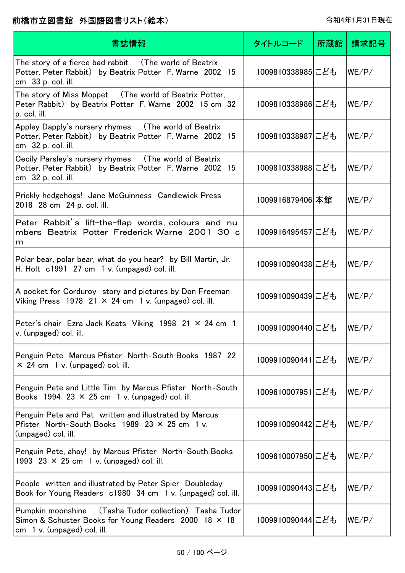| 書誌情報                                                                                                                                           | タイトルコード          | 所蔵館 | 請求記号  |
|------------------------------------------------------------------------------------------------------------------------------------------------|------------------|-----|-------|
| The story of a fierce bad rabbit (The world of Beatrix<br>Potter, Peter Rabbit) by Beatrix Potter F. Warne 2002 15<br>cm 33 p. col. ill.       | 1009810338985にども |     | WE/P/ |
| The story of Miss Moppet (The world of Beatrix Potter,<br>Peter Rabbit) by Beatrix Potter F. Warne 2002 15 cm 32<br>p. col. ill.               | 1009810338986にども |     | WE/P/ |
| Appley Dapply's nursery rhymes (The world of Beatrix<br>Potter, Peter Rabbit) by Beatrix Potter F. Warne 2002 15<br>cm 32 p. col. ill.         | 1009810338987にども |     | WE/P/ |
| Cecily Parsley's nursery rhymes (The world of Beatrix<br>Potter, Peter Rabbit) by Beatrix Potter F. Warne 2002 15<br>cm 32 p. col. ill.        | 1009810338988にども |     | WE/P/ |
| Prickly hedgehogs! Jane McGuinness Candlewick Press<br>2018 28 cm 24 p. col. ill.                                                              | 1009916879406 本館 |     | WE/P/ |
| Peter Rabbit's lift-the-flap words, colours and nu<br>mbers Beatrix Potter Frederick Warne 2001 30 c<br>m.                                     | 1009916495457にども |     | WE/P/ |
| Polar bear, polar bear, what do you hear? by Bill Martin, Jr.<br>H. Holt $c1991$ 27 cm 1 v. (unpaged) col. ill.                                | 1009910090438にども |     | WE/P/ |
| A pocket for Corduroy story and pictures by Don Freeman<br>Viking Press 1978 21 $\times$ 24 cm 1 v. (unpaged) col. ill.                        | 1009910090439にども |     | WE/P/ |
| Peter's chair Ezra Jack Keats Viking 1998 21 × 24 cm 1<br>v. (unpaged) col. ill.                                                               | 1009910090440にども |     | WE/P/ |
| Penguin Pete Marcus Pfister North-South Books 1987 22<br>$\times$ 24 cm 1 v. (unpaged) col. ill.                                               | 1009910090441にども |     | WE/P/ |
| Penguin Pete and Little Tim by Marcus Pfister North-South<br>Books 1994 23 $\times$ 25 cm 1 v. (unpaged) col. ill.                             | 1009610007951にども |     | WE/P/ |
| Penguin Pete and Pat written and illustrated by Marcus<br>Pfister North-South Books $1989$ 23 $\times$ 25 cm 1 v.<br>(unpaged) col. ill.       | 1009910090442にども |     | WE/P/ |
| Penguin Pete, ahoy! by Marcus Pfister North-South Books<br>1993 23 $\times$ 25 cm 1 v. (unpaged) col. ill.                                     | 1009610007950にども |     | WE/P/ |
| People written and illustrated by Peter Spier Doubleday<br>Book for Young Readers c1980 34 cm 1 v. (unpaged) col. ill.                         | 1009910090443にども |     | WE/P/ |
| Pumpkin moonshine (Tasha Tudor collection) Tasha Tudor<br>Simon & Schuster Books for Young Readers 2000 18 × 18<br>cm 1 v. (unpaged) col. ill. | 1009910090444にども |     | WE/P/ |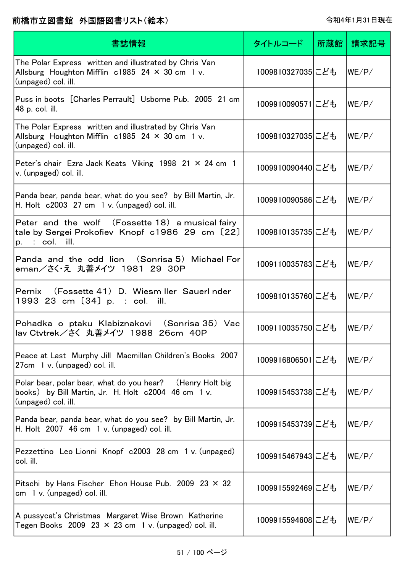| 書誌情報                                                                                                                                      | タイトルコード          | 所蔵館 | 請求記号  |
|-------------------------------------------------------------------------------------------------------------------------------------------|------------------|-----|-------|
| The Polar Express written and illustrated by Chris Van<br>Allsburg Houghton Mifflin $c1985$ 24 $\times$ 30 cm 1 v.<br>(unpaged) col. ill. | 1009810327035にども |     | WE/P/ |
| Puss in boots [Charles Perrault] Usborne Pub. 2005 21 cm<br>48 p. col. ill.                                                               | 1009910090571にども |     | WE/P/ |
| The Polar Express written and illustrated by Chris Van<br>Allsburg Houghton Mifflin $c1985$ 24 $\times$ 30 cm 1 v.<br>(unpaged) col. ill. | 1009810327035にども |     | WE/P/ |
| Peter's chair Ezra Jack Keats Viking 1998 21 $\times$ 24 cm 1<br>v. (unpaged) col. ill.                                                   | 1009910090440にども |     | WE/P/ |
| Panda bear, panda bear, what do you see? by Bill Martin, Jr.<br>H. Holt $c2003$ 27 cm 1 v. (unpaged) col. ill.                            | 1009910090586にども |     | WE/P/ |
| Peter and the wolf (Fossette 18) a musical fairy<br>tale by Sergei Prokofiev Knopf c1986 29 cm [22]<br>$p.$ : col. ill.                   | 1009810135735にども |     | WE/P/ |
| Panda and the odd lion (Sonrisa 5) Michael For<br>eman/さく・え 丸善メイツ 1981 29 30P                                                             | 1009110035783にども |     | WE/P/ |
| Pernix (Fossette 41) D. Wiesm Iler Sauerl nder<br>1993 23 cm [34] p. : col. ill.                                                          | 1009810135760にども |     | WE/P/ |
| Pohadka o ptaku Klabiznakovi (Sonrisa 35) Vac<br> lav Ctvtrek/さく 丸善メイツ 1988 26cm 40P                                                      | 1009110035750にども |     | WE/P/ |
| Peace at Last Murphy Jill Macmillan Children's Books 2007<br>27cm 1 v. (unpaged) col. ill.                                                | 1009916806501にども |     | WE/P/ |
| Polar bear, polar bear, what do you hear? (Henry Holt big<br>books) by Bill Martin, Jr. H. Holt c2004 46 cm 1 v.<br>(unpaged) col. ill.   | 1009915453738にども |     | WE/P/ |
| Panda bear, panda bear, what do you see? by Bill Martin, Jr.<br>H. Holt $2007$ 46 cm 1 v. (unpaged) col. ill.                             | 1009915453739にども |     | WE/P/ |
| Pezzettino Leo Lionni Knopf c2003 28 cm 1 v. (unpaged)<br>col. ill.                                                                       | 1009915467943にども |     | WE/P/ |
| Pitschi by Hans Fischer Ehon House Pub. 2009 23 $\times$ 32<br>cm $1 v$ . (unpaged) col. ill.                                             | 1009915592469にども |     | WE/P/ |
| A pussycat's Christmas Margaret Wise Brown Katherine<br>Tegen Books 2009 23 $\times$ 23 cm 1 v. (unpaged) col. ill.                       | 1009915594608にども |     | WE/P/ |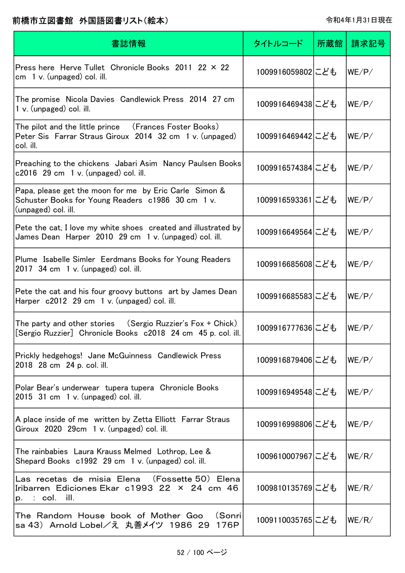| 書誌情報                                                                                                                               | タイトルコード          | 所蔵館 | 請求記号  |
|------------------------------------------------------------------------------------------------------------------------------------|------------------|-----|-------|
| Press here Herve Tullet Chronicle Books 2011 22 × 22<br>$cm \, 1 \, v.$ (unpaged) col. ill.                                        | 1009916059802にども |     | WE/P/ |
| The promise Nicola Davies Candlewick Press 2014 27 cm<br>1 v. (unpaged) col. ill.                                                  | 1009916469438にども |     | WE/P/ |
| The pilot and the little prince (Frances Foster Books)<br>Peter Sis Farrar Straus Giroux 2014 32 cm 1 v. (unpaged)<br>col. ill.    | 1009916469442にども |     | WE/P/ |
| Preaching to the chickens Jabari Asim Nancy Paulsen Books<br>$c2016$ 29 cm 1 v. (unpaged) col. ill.                                | 1009916574384にども |     | WE/P/ |
| Papa, please get the moon for me by Eric Carle Simon &<br>Schuster Books for Young Readers c1986 30 cm 1 v.<br>(unpaged) col. ill. | 1009916593361にども |     | WE/P/ |
| Pete the cat, I love my white shoes created and illustrated by<br>James Dean Harper 2010 29 cm 1 v. (unpaged) col. ill.            | 1009916649564にども |     | WE/P/ |
| Plume Isabelle Simler Eerdmans Books for Young Readers<br>$2017$ 34 cm 1 v. (unpaged) col. ill.                                    | 1009916685608にども |     | WE/P/ |
| Pete the cat and his four groovy buttons art by James Dean<br>Harper c2012 29 cm 1 v. (unpaged) col. ill.                          | 1009916685583にども |     | WE/P/ |
| The party and other stories $(Sergio Ruzzier's Fox + Chick)$<br>[Sergio Ruzzier] Chronicle Books c2018 24 cm 45 p. col. ill.       | 1009916777636にども |     | WE/P/ |
| Prickly hedgehogs! Jane McGuinness Candlewick Press<br>2018 28 cm 24 p. col. ill.                                                  | 1009916879406にども |     | WE/P/ |
| Polar Bear's underwear tupera tupera Chronicle Books<br>2015 31 cm 1 v. (unpaged) col. ill.                                        | 1009916949548にども |     | WE/P/ |
| A place inside of me written by Zetta Elliott Farrar Straus<br>Giroux 2020 29cm 1 v. (unpaged) col. ill.                           | 1009916998806にども |     | WE/P/ |
| The rainbabies Laura Krauss Melmed Lothrop, Lee &<br>Shepard Books c1992 29 cm 1 v. (unpaged) col. ill.                            | 1009610007967にども |     | WE/R/ |
| Las recetas de misia Elena (Fossette 50)Elena<br>Iribarren Ediciones Ekar c1993 22 × 24 cm 46<br>$p.$ : col. ill.                  | 1009810135769にども |     | WE/R/ |
| The Random House book of Mother Goo<br>(Sonri<br>sa 43)Arnold Lobel/え 丸善メイツ 1986 29<br>176P                                        | 1009110035765にども |     | WE/R/ |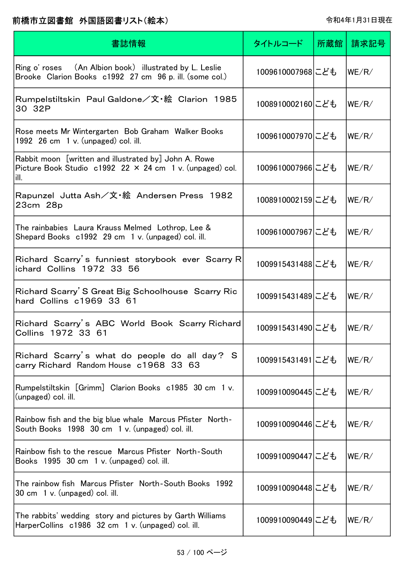| 書誌情報                                                                                                                               | タイトルコード          | 所蔵館 | 請求記号  |
|------------------------------------------------------------------------------------------------------------------------------------|------------------|-----|-------|
| Ring o' roses (An Albion book) illustrated by L. Leslie<br>Brooke Clarion Books c1992 27 cm 96 p. ill. (some col.)                 | 1009610007968にども |     | WE/R/ |
| Rumpelstiltskin Paul Galdone/文・絵 Clarion 1985<br>30 32P                                                                            | 1008910002160にども |     | WE/R/ |
| Rose meets Mr Wintergarten Bob Graham Walker Books<br>1992 26 cm 1 v. (unpaged) col. ill.                                          | 1009610007970にども |     | WE/R/ |
| Rabbit moon [written and illustrated by] John A. Rowe<br>Picture Book Studio $c1992$ 22 $\times$ 24 cm 1 v. (unpaged) col.<br>ill. | 1009610007966にども |     | WE/R/ |
| Rapunzel  Jutta Ash/文・絵  Andersen Press  1982<br>23cm 28p                                                                          | 1008910002159にども |     | WE/R/ |
| The rainbabies Laura Krauss Melmed Lothrop, Lee &<br>Shepard Books c1992 29 cm 1 v. (unpaged) col. ill.                            | 1009610007967にども |     | WE/R/ |
| Richard Scarry's funniest storybook ever Scarry R<br>ichard Collins 1972 33 56                                                     | 1009915431488にども |     | WE/R/ |
| Richard Scarry' S Great Big Schoolhouse Scarry Ric<br>hard Collins c1969 33 61                                                     | 1009915431489にども |     | WE/R/ |
| Richard Scarry's ABC World Book Scarry Richard<br>Collins 1972 33 61                                                               | 1009915431490にども |     | WE/R/ |
| Richard Scarry's what do people do all day? S<br>carry Richard Random House c1968 33 63                                            | 1009915431491にども |     | WE/R/ |
| Rumpelstiltskin [Grimm] Clarion Books c1985 30 cm 1 v.<br>(unpaged) col. ill.                                                      | 1009910090445にども |     | WE/R/ |
| Rainbow fish and the big blue whale Marcus Pfister North-<br>South Books 1998 30 cm 1 v. (unpaged) col. ill.                       | 1009910090446にども |     | WE/R/ |
| Rainbow fish to the rescue Marcus Pfister North-South<br>Books 1995 30 cm 1 v. (unpaged) col. ill.                                 | 1009910090447にども |     | WE/R/ |
| The rainbow fish Marcus Pfister North-South Books 1992<br>30 cm 1 v. (unpaged) col. ill.                                           | 1009910090448にども |     | WE/R/ |
| The rabbits' wedding story and pictures by Garth Williams<br>HarperCollins c1986 32 cm 1 v. (unpaged) col. ill.                    | 1009910090449にども |     | WE/R/ |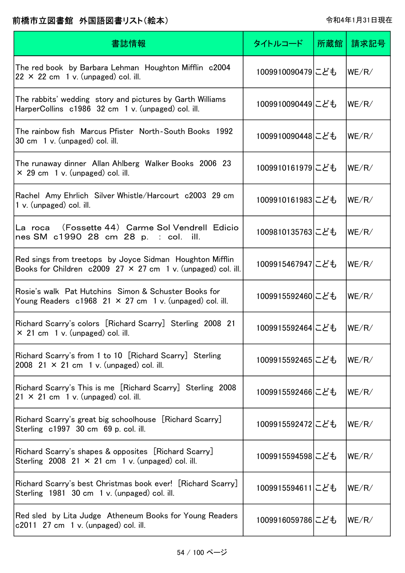| 書誌情報                                                                                                                              | タイトルコード          | 所蔵館 | 請求記号  |
|-----------------------------------------------------------------------------------------------------------------------------------|------------------|-----|-------|
| The red book by Barbara Lehman Houghton Mifflin c2004<br>$22 \times 22$ cm 1 v. (unpaged) col. ill.                               | 1009910090479にども |     | WE/R/ |
| The rabbits' wedding story and pictures by Garth Williams<br>HarperCollins c1986 32 cm 1 v. (unpaged) col. ill.                   | 1009910090449にども |     | WE/R/ |
| The rainbow fish Marcus Pfister North-South Books 1992<br>30 cm 1 v. (unpaged) col. ill.                                          | 1009910090448にども |     | WE/R/ |
| The runaway dinner Allan Ahlberg Walker Books 2006 23<br>$\times$ 29 cm 1 v. (unpaged) col. ill.                                  | 1009910161979にども |     | WE/R/ |
| Rachel Amy Ehrlich Silver Whistle/Harcourt c2003 29 cm<br>1 v. (unpaged) col. ill.                                                | 1009910161983にども |     | WE/R/ |
| La roca (Fossette 44)Carme Sol Vendrell Edicio<br>nes SM c1990 28 cm 28 p. : col. ill.                                            | 1009810135763にども |     | WE/R/ |
| Red sings from treetops by Joyce Sidman Houghton Mifflin<br>Books for Children $c2009$ 27 $\times$ 27 cm 1 v. (unpaged) col. ill. | 1009915467947にども |     | WE/R/ |
| Rosie's walk Pat Hutchins Simon & Schuster Books for<br>Young Readers $c1968$ 21 $\times$ 27 cm 1 v. (unpaged) col. ill.          | 1009915592460にども |     | WE/R/ |
| Richard Scarry's colors [Richard Scarry] Sterling 2008 21<br>$\times$ 21 cm 1 v. (unpaged) col. ill.                              | 1009915592464にども |     | WE/R/ |
| Richard Scarry's from 1 to 10 [Richard Scarry] Sterling<br>2008 21 $\times$ 21 cm 1 v. (unpaged) col. ill.                        | 1009915592465にども |     | WE/R/ |
| Richard Scarry's This is me [Richard Scarry] Sterling 2008<br>$21 \times 21$ cm 1 v. (unpaged) col. ill.                          | 1009915592466にども |     | WE/R/ |
| Richard Scarry's great big schoolhouse [Richard Scarry]<br>Sterling c1997 30 cm 69 p. col. ill.                                   | 1009915592472にども |     | WE/R/ |
| Richard Scarry's shapes & opposites [Richard Scarry]<br>Sterling 2008 21 $\times$ 21 cm 1 v. (unpaged) col. ill.                  | 1009915594598にども |     | WE/R/ |
| Richard Scarry's best Christmas book ever! [Richard Scarry]<br>Sterling 1981 30 cm 1 v. (unpaged) col. ill.                       | 1009915594611にども |     | WE/R/ |
| Red sled by Lita Judge Atheneum Books for Young Readers<br>$c2011$ 27 cm 1 v. (unpaged) col. ill.                                 | 1009916059786にども |     | WE/R/ |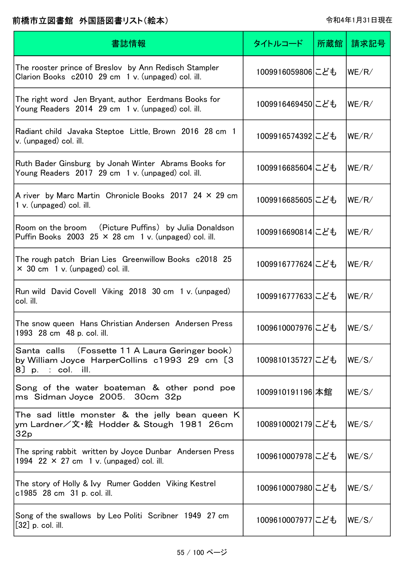| 書誌情報                                                                                                                   | タイトルコード          | 所蔵館 | 請求記号  |
|------------------------------------------------------------------------------------------------------------------------|------------------|-----|-------|
| The rooster prince of Breslov by Ann Redisch Stampler<br>Clarion Books c2010 29 cm 1 v. (unpaged) col. ill.            | 1009916059806にども |     | WE/R/ |
| The right word Jen Bryant, author Eerdmans Books for<br>Young Readers 2014 29 cm 1 v. (unpaged) col. ill.              | 1009916469450にども |     | WE/R/ |
| Radiant child Javaka Steptoe Little, Brown 2016 28 cm 1<br>v. (unpaged) col. ill.                                      | 1009916574392にども |     | WE/R/ |
| Ruth Bader Ginsburg by Jonah Winter Abrams Books for<br>Young Readers 2017 29 cm 1 v. (unpaged) col. ill.              | 1009916685604にども |     | WE/R/ |
| A river by Marc Martin Chronicle Books 2017 24 $\times$ 29 cm<br>$1 v.$ (unpaged) col. ill.                            | 1009916685605にども |     | WE/R/ |
| Room on the broom (Picture Puffins) by Julia Donaldson<br>Puffin Books 2003 25 × 28 cm 1 v. (unpaged) col. ill.        | 1009916690814にども |     | WE/R/ |
| The rough patch Brian Lies Greenwillow Books c2018 25<br>$\times$ 30 cm 1 v. (unpaged) col. ill.                       | 1009916777624にども |     | WE/R/ |
| Run wild David Covell Viking 2018 30 cm 1 v. (unpaged)<br>col. ill.                                                    | 1009916777633にども |     | WE/R/ |
| The snow queen Hans Christian Andersen Andersen Press<br>1993 28 cm 48 p. col. ill.                                    | 1009610007976にども |     | WE/S/ |
| Santa calls (Fossette 11 A Laura Geringer book)<br>by William Joyce HarperCollins c1993 29 cm [3]<br>8] p. : col. ill. | 1009810135727にども |     | WE/S/ |
| Song of the water boateman & other pond poe<br>ms Sidman Joyce 2005. 30cm 32p                                          | 1009910191196 本館 |     | WE/S/ |
| The sad little monster & the jelly bean queen K<br>ym Lardner∕文·絵 Hodder & Stough 1981 26cm<br>32p                     | 1008910002179にども |     | WE/S/ |
| The spring rabbit written by Joyce Dunbar Andersen Press<br>1994 22 $\times$ 27 cm 1 v. (unpaged) col. ill.            | 1009610007978にども |     | WE/S/ |
| The story of Holly & Ivy Rumer Godden Viking Kestrel<br>c1985 28 cm 31 p. col. ill.                                    | 1009610007980にども |     | WE/S/ |
| Song of the swallows by Leo Politi Scribner 1949 27 cm<br>$[32]$ p. col. ill.                                          | 1009610007977にども |     | WE/S/ |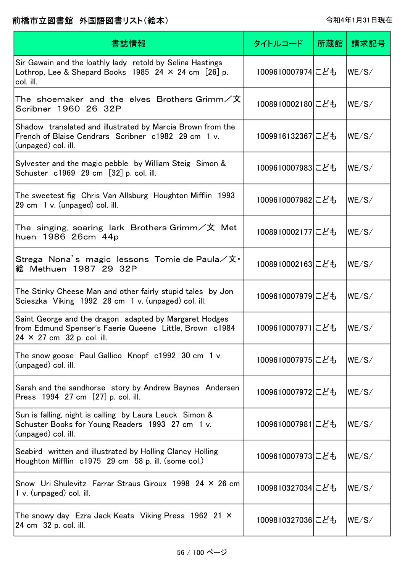| 書誌情報                                                                                                                                                     | タイトルコード          | 所蔵館 | 請求記号  |
|----------------------------------------------------------------------------------------------------------------------------------------------------------|------------------|-----|-------|
| Sir Gawain and the loathly lady retold by Selina Hastings<br>Lothrop, Lee & Shepard Books 1985 24 $\times$ 24 cm [26] p.<br>col. ill.                    | 1009610007974にども |     | WE/S/ |
| The shoemaker and the elves Brothers.Grimm $\angle \mathbf{\hat{x}}$<br>Scribner 1960 26 32P                                                             | 1008910002180にども |     | WE/S/ |
| Shadow translated and illustrated by Marcia Brown from the<br>French of Blaise Cendrars Scribner c1982 29 cm 1 v.<br>(unpaged) col. ill.                 | 1009916132367にども |     | WE/S/ |
| Sylvester and the magic pebble by William Steig Simon &<br>Schuster c1969 29 cm [32] p. col. ill.                                                        | 1009610007983にども |     | WE/S/ |
| The sweetest fig Chris Van Allsburg Houghton Mifflin 1993<br>29 cm 1 v. (unpaged) col. ill.                                                              | 1009610007982にども |     | WE/S/ |
| The singing, soaring lark Brothers Grimm/文 Met<br>huen 1986 26cm 44p                                                                                     | 1008910002177にども |     | WE/S/ |
| Strega Nona's magic lessons Tomie de Paula/文·<br>絵 Methuen 1987 29 32P                                                                                   | 1008910002163にども |     | WE/S/ |
| The Stinky Cheese Man and other fairly stupid tales by Jon<br>Scieszka Viking 1992 28 cm 1 v. (unpaged) col. ill.                                        | 1009610007979にども |     | WE/S/ |
| Saint George and the dragon adapted by Margaret Hodges<br>from Edmund Spenser's Faerie Queene Little, Brown c1984<br>$24 \times 27$ cm $32$ p. col. ill. | 1009610007971にども |     | WE/S/ |
| The snow goose Paul Gallico Knopf c1992 30 cm 1 v.<br>(unpaged) col. ill.                                                                                | 1009610007975にども |     | WE/S/ |
| Sarah and the sandhorse story by Andrew Baynes Andersen<br>Press 1994 27 cm [27] p. col. ill.                                                            | 1009610007972にども |     | WE/S/ |
| Sun is falling, night is calling by Laura Leuck Simon &<br>Schuster Books for Young Readers 1993 27 cm 1 v.<br>(unpaged) col. ill.                       | 1009610007981にども |     | WE/S/ |
| Seabird written and illustrated by Holling Clancy Holling<br>Houghton Mifflin c1975 29 cm 58 p. ill. (some col.)                                         | 1009610007973にども |     | WE/S/ |
| Snow Uri Shulevitz Farrar Straus Giroux 1998 24 × 26 cm<br>1 v. (unpaged) col. ill.                                                                      | 1009810327034にども |     | WE/S/ |
| The snowy day Ezra Jack Keats Viking Press 1962 21 $\times$<br>24 cm 32 p. col. ill.                                                                     | 1009810327036にども |     | WE/S/ |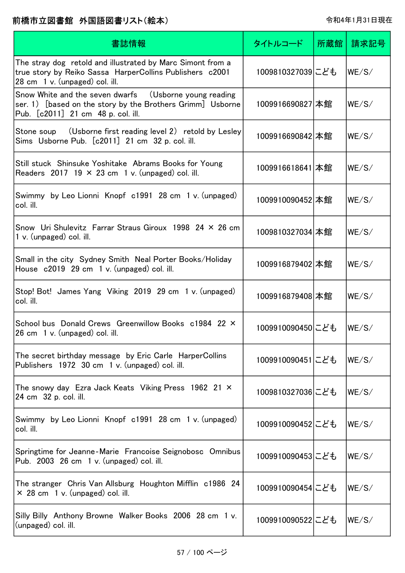| 書誌情報                                                                                                                                                       | タイトルコード          | 所蔵館 | 請求記号  |
|------------------------------------------------------------------------------------------------------------------------------------------------------------|------------------|-----|-------|
| The stray dog retold and illustrated by Marc Simont from a<br>true story by Reiko Sassa HarperCollins Publishers c2001<br>28 cm 1 v. (unpaged) col. ill.   | 1009810327039にども |     | WE/S/ |
| Snow White and the seven dwarfs (Usborne young reading<br>ser. 1) [based on the story by the Brothers Grimm] Usborne<br>Pub. [c2011] 21 cm 48 p. col. ill. | 1009916690827 本館 |     | WE/S/ |
| (Usborne first reading level 2) retold by Lesley<br>Stone soup<br>Sims Usborne Pub. [c2011] 21 cm 32 p. col. ill.                                          | 1009916690842 本館 |     | WE/S/ |
| Still stuck Shinsuke Yoshitake Abrams Books for Young<br>Readers 2017 19 $\times$ 23 cm 1 v. (unpaged) col. ill.                                           | 1009916618641 本館 |     | WE/S/ |
| Swimmy by Leo Lionni Knopf c1991 28 cm 1 v. (unpaged)<br>col. ill.                                                                                         | 1009910090452 本館 |     | WE/S/ |
| Snow Uri Shulevitz Farrar Straus Giroux 1998 24 $\times$ 26 cm<br>1 v. (unpaged) col. ill.                                                                 | 1009810327034 本館 |     | WE/S/ |
| Small in the city Sydney Smith Neal Porter Books/Holiday<br>House c2019 29 cm 1 v. (unpaged) col. ill.                                                     | 1009916879402 本館 |     | WE/S/ |
| Stop! Bot! James Yang Viking 2019 29 cm 1 v. (unpaged)<br>col. ill.                                                                                        | 1009916879408 本館 |     | WE/S/ |
| School bus Donald Crews Greenwillow Books c1984 22 ×<br>26 cm 1 v. (unpaged) col. ill.                                                                     | 1009910090450にども |     | WE/S/ |
| The secret birthday message by Eric Carle HarperCollins<br>Publishers 1972 30 cm 1 v. (unpaged) col. ill.                                                  | 1009910090451にども |     | WE/S/ |
| The snowy day Ezra Jack Keats Viking Press 1962 21 $\times$<br>24 cm 32 p. col. ill.                                                                       | 1009810327036にども |     | WE/S/ |
| Swimmy by Leo Lionni Knopf c1991 28 cm 1 v. (unpaged)<br>col. ill.                                                                                         | 1009910090452にども |     | WE/S/ |
| Springtime for Jeanne-Marie Francoise Seignobosc Omnibus<br>Pub. 2003 26 cm 1 v. (unpaged) col. ill.                                                       | 1009910090453にども |     | WE/S/ |
| The stranger Chris Van Allsburg Houghton Mifflin c1986 24<br>$\times$ 28 cm 1 v. (unpaged) col. ill.                                                       | 1009910090454にども |     | WE/S/ |
| Silly Billy Anthony Browne Walker Books 2006 28 cm 1 v.<br>(unpaged) col. ill.                                                                             | 1009910090522にども |     | WE/S/ |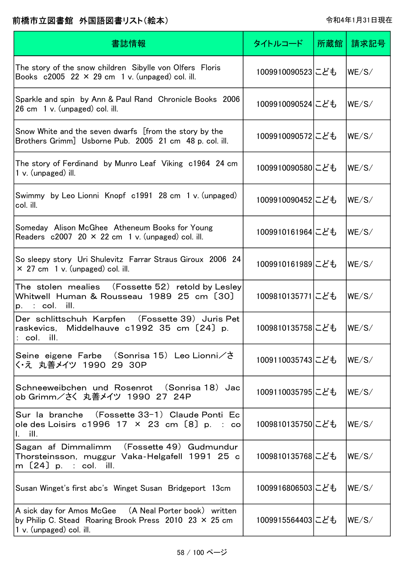| 書誌情報                                                                                                                                            | タイトルコード          | 所蔵館 | 請求記号  |
|-------------------------------------------------------------------------------------------------------------------------------------------------|------------------|-----|-------|
| The story of the snow children Sibylle von Olfers Floris<br>Books $c2005$ 22 $\times$ 29 cm 1 v. (unpaged) col. ill.                            | 1009910090523にども |     | WE/S/ |
| Sparkle and spin by Ann & Paul Rand Chronicle Books 2006<br>26 cm 1 v. (unpaged) col. ill.                                                      | 1009910090524にども |     | WE/S/ |
| Snow White and the seven dwarfs [from the story by the<br>Brothers Grimm] Usborne Pub. 2005 21 cm 48 p. col. ill.                               | 1009910090572にども |     | WE/S/ |
| The story of Ferdinand by Munro Leaf Viking c1964 24 cm<br>1 v. (unpaged) ill.                                                                  | 1009910090580にども |     | WE/S/ |
| Swimmy by Leo Lionni Knopf c1991 28 cm 1 v. (unpaged)<br>col. ill.                                                                              | 1009910090452にども |     | WE/S/ |
| Someday Alison McGhee Atheneum Books for Young<br>Readers $c2007$ 20 $\times$ 22 cm 1 v. (unpaged) col. ill.                                    | 1009910161964にども |     | WE/S/ |
| So sleepy story Uri Shulevitz Farrar Straus Giroux 2006 24<br>$\times$ 27 cm 1 v. (unpaged) col. ill.                                           | 1009910161989にども |     | WE/S/ |
| The stolen mealies (Fossette 52)retold by Lesley<br>Whitwell Human & Rousseau 1989 25 cm [30]<br>$p.$ : col. ill.                               | 1009810135771にども |     | WE/S/ |
| Der schlittschuh Karpfen (Fossette 39) Juris Pet<br>raskevics, Middelhauve c1992 35 cm [24] p.<br>col. ill.                                     | 1009810135758にども |     | WE/S/ |
| Seine eigene Farbe (Sonrisa 15) Leo Lionni/さ<br>く・え 丸善メイツ 1990 29 30P                                                                           | 1009110035743にども |     | WE/S/ |
| Schneeweibchen und Rosenrot (Sonrisa 18) Jac<br>ob Grimm/さく 丸善メイツ 1990 27 24P                                                                   | 1009110035795にども |     | WE/S/ |
| Sur la branche (Fossette 33-1) Claude Ponti Ec<br>ole des Loisirs $c1996$ 17 $\times$ 23 cm [8] p. : co<br>$\mathbf{I}$ , ill.                  | 1009810135750にども |     | WE/S/ |
| Sagan af Dimmalimm (Fossette 49) Gudmundur<br>Thorsteinsson, muggur Vaka-Helgafell 1991 25 c<br>m $[24]$ p. : col. ill.                         | 1009810135768にども |     | WE/S/ |
| Susan Winget's first abc's Winget Susan Bridgeport 13cm                                                                                         | 1009916806503にども |     | WE/S/ |
| A sick day for Amos McGee (A Neal Porter book) written<br>by Philip C. Stead Roaring Brook Press 2010 23 × 25 cm<br>$ 1 v. (unpaged)$ col. ill. | 1009915564403にども |     | WE/S/ |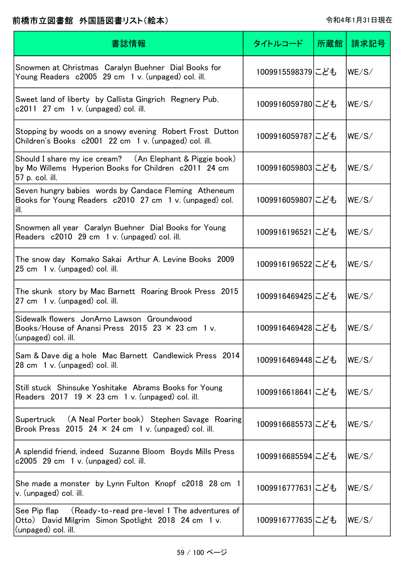| 書誌情報                                                                                                                                    | タイトルコード          | 所蔵館 | 請求記号  |
|-----------------------------------------------------------------------------------------------------------------------------------------|------------------|-----|-------|
| Snowmen at Christmas Caralyn Buehner Dial Books for<br>Young Readers c2005 29 cm 1 v. (unpaged) col. ill.                               | 1009915598379にども |     | WE/S/ |
| Sweet land of liberty by Callista Gingrich Regnery Pub.<br>$c2011$ 27 cm 1 v. (unpaged) col. ill.                                       | 1009916059780にども |     | WE/S/ |
| Stopping by woods on a snowy evening Robert Frost Dutton<br>Children's Books c2001 22 cm 1 v. (unpaged) col. ill.                       | 1009916059787にども |     | WE/S/ |
| Should I share my ice cream? (An Elephant & Piggie book)<br>by Mo Willems Hyperion Books for Children c2011 24 cm<br>57 p. col. ill.    | 1009916059803にども |     | WE/S/ |
| Seven hungry babies words by Candace Fleming Atheneum<br>Books for Young Readers c2010 27 cm 1 v. (unpaged) col.<br>lill.               | 1009916059807にども |     | WE/S/ |
| Snowmen all year Caralyn Buehner Dial Books for Young<br>Readers c2010 29 cm 1 v. (unpaged) col. ill.                                   | 1009916196521にども |     | WE/S/ |
| The snow day Komako Sakai Arthur A. Levine Books 2009<br>25 cm 1 v. (unpaged) col. ill.                                                 | 1009916196522にども |     | WE/S/ |
| The skunk story by Mac Barnett Roaring Brook Press 2015<br>27 cm 1 v. (unpaged) col. ill.                                               | 1009916469425にども |     | WE/S/ |
| Sidewalk flowers JonArno Lawson Groundwood<br>Books/House of Anansi Press 2015 23 $\times$ 23 cm 1 v.<br>(unpaged) col. ill.            | 1009916469428にども |     | WE/S/ |
| Sam & Dave dig a hole Mac Barnett Candlewick Press 2014<br>28 cm 1 v. (unpaged) col. ill.                                               | 1009916469448にども |     | WE/S/ |
| Still stuck Shinsuke Yoshitake Abrams Books for Young<br>Readers 2017 19 $\times$ 23 cm 1 v. (unpaged) col. ill.                        | 1009916618641にども |     | WE/S/ |
| Supertruck (A Neal Porter book) Stephen Savage Roaring<br>Brook Press 2015 24 $\times$ 24 cm 1 v. (unpaged) col. ill.                   | 1009916685573にども |     | WE/S/ |
| A splendid friend, indeed Suzanne Bloom Boyds Mills Press<br>$c2005$ 29 cm 1 v. (unpaged) col. ill.                                     | 1009916685594にども |     | WE/S/ |
| She made a monster by Lynn Fulton Knopf c2018 28 cm 1<br>v. (unpaged) col. ill.                                                         | 1009916777631にども |     | WE/S/ |
| See Pip flap (Ready-to-read pre-level 1 The adventures of<br>Otto) David Milgrim Simon Spotlight 2018 24 cm 1 v.<br>(unpaged) col. ill. | 1009916777635にども |     | WE/S/ |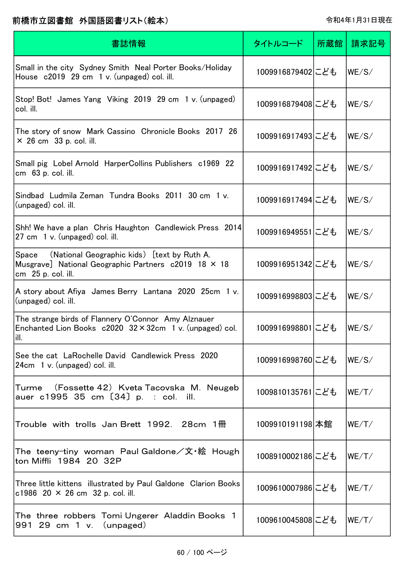| 書誌情報                                                                                                                              | タイトルコード          | 所蔵館 | 請求記号  |
|-----------------------------------------------------------------------------------------------------------------------------------|------------------|-----|-------|
| Small in the city Sydney Smith Neal Porter Books/Holiday<br>House c2019 29 cm 1 v. (unpaged) col. ill.                            | 1009916879402にども |     | WE/S/ |
| Stop! Bot! James Yang Viking 2019 29 cm 1 v. (unpaged)<br>col. ill.                                                               | 1009916879408にども |     | WE/S/ |
| The story of snow Mark Cassino Chronicle Books 2017 26<br>$\times$ 26 cm 33 p. col. ill.                                          | 1009916917493にども |     | WE/S/ |
| Small pig Lobel Arnold HarperCollins Publishers c1969 22<br>cm 63 p. col. ill.                                                    | 1009916917492にども |     | WE/S/ |
| Sindbad Ludmila Zeman Tundra Books 2011 30 cm 1 v.<br>(unpaged) col. ill.                                                         | 1009916917494にども |     | WE/S/ |
| Shh! We have a plan Chris Haughton Candlewick Press 2014<br>27 cm 1 v. (unpaged) col. ill.                                        | 1009916949551にども |     | WE/S/ |
| Space (National Geographic kids) [text by Ruth A.<br>Musgrave] National Geographic Partners c2019 18 × 18<br>cm 25 p. col. ill.   | 1009916951342にども |     | WE/S/ |
| A story about Afiya James Berry Lantana 2020 25cm 1 v.<br>(unpaged) col. ill.                                                     | 1009916998803にども |     | WE/S/ |
| The strange birds of Flannery O'Connor Amy Alznauer<br>Enchanted Lion Books $c2020 \ 32 \times 32$ cm 1 v. (unpaged) col.<br>ill. | 1009916998801にども |     | WE/S/ |
| See the cat LaRochelle David Candlewick Press 2020<br>24cm 1 v. (unpaged) col. ill.                                               | 1009916998760にども |     | WE/S/ |
| Turme (Fossette 42)Kveta Tacovska M. Neugeb<br>auer c1995 35 cm [34] p. : col. ill.                                               | 1009810135761にども |     | WE/T/ |
| Trouble with trolls Jan Brett 1992. 28cm $1\overline{m}$                                                                          | 1009910191198 本館 |     | WE/T/ |
| The teeny-tiny woman Paul Galdone/文・絵 Hough<br>ton Miffli 1984 20 32P                                                             | 1008910002186にども |     | WE/T/ |
| Three little kittens illustrated by Paul Galdone Clarion Books<br>c1986 20 $\times$ 26 cm 32 p. col. ill.                         | 1009610007986にども |     | WE/T/ |
| The three robbers Tomi Ungerer Aladdin Books 1<br>991 29 cm 1 v. (unpaged)                                                        | 1009610045808にども |     | WE/T/ |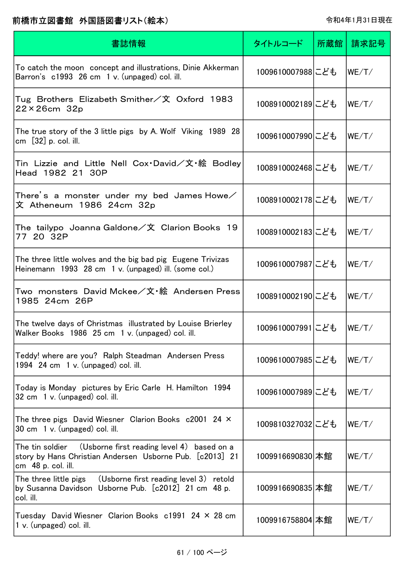| 書誌情報                                                                                                                                            | タイトルコード          | 所蔵館 | 請求記号  |
|-------------------------------------------------------------------------------------------------------------------------------------------------|------------------|-----|-------|
| To catch the moon concept and illustrations, Dinie Akkerman<br>Barron's c1993 26 cm 1 v. (unpaged) col. ill.                                    | 1009610007988にども |     | WE/T/ |
| Tug Brothers Elizabeth Smither/文 Oxford 1983<br>$22 \times 26$ cm $32p$                                                                         | 1008910002189にども |     | WE/T/ |
| The true story of the 3 little pigs by A. Wolf Viking 1989 28<br>cm $[32]$ p. col. ill.                                                         | 1009610007990にども |     | WE/T/ |
| Tin Lizzie and Little Nell Cox $\cdot$ David/文・絵 Bodley<br>Head 1982 21 30P                                                                     | 1008910002468にども |     | WE/T/ |
| There's a monster under my bed James Howe $\diagup$<br>文 Atheneum 1986 24cm 32p                                                                 | 1008910002178にども |     | WE/T/ |
| The <code>tailypo Joanna</code> Galdone $\angle \mathbf{\hat{x}}\>$ Clarion Books <code>19</code><br>77 20 32P                                  | 1008910002183にども |     | WE/T/ |
| The three little wolves and the big bad pig Eugene Trivizas<br>Heinemann 1993 28 cm 1 v. (unpaged) ill. (some col.)                             | 1009610007987にども |     | WE/T/ |
| Two monsters David Mckee/文・絵 Andersen Press<br>1985 24cm 26P                                                                                    | 1008910002190にども |     | WE/T/ |
| The twelve days of Christmas illustrated by Louise Brierley<br>Walker Books 1986 25 cm 1 v. (unpaged) col. ill.                                 | 1009610007991にども |     | WE/T/ |
| Teddy! where are you? Ralph Steadman Andersen Press<br>1994 $24 \text{ cm}$ 1 v. (unpaged) col. ill.                                            | 1009610007985にども |     | WE/T/ |
| Today is Monday pictures by Eric Carle H. Hamilton 1994<br>32 cm 1 v. (unpaged) col. ill.                                                       | 1009610007989にども |     | WE/T/ |
| The three pigs David Wiesner Clarion Books c2001 24 X<br>30 cm 1 v. (unpaged) col. ill.                                                         | 1009810327032にども |     | WE/T/ |
| (Usborne first reading level 4) based on a<br>The tin soldier<br>story by Hans Christian Andersen Usborne Pub. [c2013] 21<br>cm 48 p. col. ill. | 1009916690830 本館 |     | WE/T/ |
| The three little pigs (Usborne first reading level 3) retold<br>by Susanna Davidson Usborne Pub. [c2012] 21 cm 48 p.<br>col. ill.               | 1009916690835 本館 |     | WE/T/ |
| Tuesday David Wiesner Clarion Books $c1991$ 24 $\times$ 28 cm<br>1 v. (unpaged) col. ill.                                                       | 1009916758804 本館 |     | WE/T/ |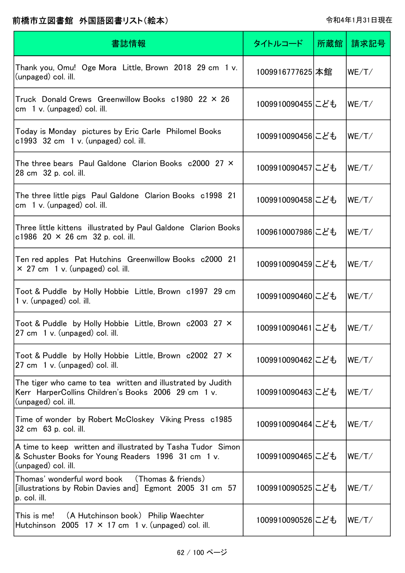| 書誌情報                                                                                                                                      | タイトルコード          | 所蔵館 | 請求記号  |
|-------------------------------------------------------------------------------------------------------------------------------------------|------------------|-----|-------|
| Thank you, Omu! Oge Mora Little, Brown 2018 29 cm 1 v.<br>(unpaged) col. ill.                                                             | 1009916777625 本館 |     | WE/T/ |
| Truck Donald Crews Greenwillow Books c1980 22 × 26<br>$cm \, 1 \, v.$ (unpaged) col. ill.                                                 | 1009910090455にども |     | WE/T/ |
| Today is Monday pictures by Eric Carle Philomel Books<br>$c1993$ 32 cm 1 v. (unpaged) col. ill.                                           | 1009910090456にども |     | WE/T/ |
| The three bears Paul Galdone Clarion Books c2000 27 $\times$<br>28 cm 32 p. col. ill.                                                     | 1009910090457にども |     | WE/T/ |
| The three little pigs Paul Galdone Clarion Books c1998 21<br>$cm \quad 1 \text{ v. } (unpaged) \text{ col. } ill.$                        | 1009910090458にども |     | WE/T/ |
| Three little kittens illustrated by Paul Galdone Clarion Books<br>c1986 20 $\times$ 26 cm 32 p. col. ill.                                 | 1009610007986にども |     | WE/T/ |
| Ten red apples Pat Hutchins Greenwillow Books c2000 21<br>$\times$ 27 cm 1 v. (unpaged) col. ill.                                         | 1009910090459にども |     | WE/T/ |
| Toot & Puddle by Holly Hobbie Little, Brown c1997 29 cm<br>$1 v.$ (unpaged) col. ill.                                                     | 1009910090460にども |     | WE/T/ |
| Toot & Puddle by Holly Hobbie Little, Brown c2003 27 X<br>27 cm 1 v. (unpaged) col. ill.                                                  | 1009910090461にども |     | WE/T/ |
| Toot & Puddle by Holly Hobbie Little, Brown c2002 27 X<br>27 cm 1 v. (unpaged) col. ill.                                                  | 1009910090462にども |     | WE/T/ |
| The tiger who came to tea written and illustrated by Judith<br>Kerr HarperCollins Children's Books 2006 29 cm 1 v.<br>(unpaged) col. ill. | 1009910090463にども |     | WE/T/ |
| Time of wonder by Robert McCloskey Viking Press c1985<br>32 cm 63 p. col. ill.                                                            | 1009910090464にども |     | WE/T/ |
| A time to keep written and illustrated by Tasha Tudor Simon<br>& Schuster Books for Young Readers 1996 31 cm 1 v.<br>(unpaged) col. ill.  | 1009910090465にども |     | WE/T/ |
| (Thomas & friends)<br>Thomas' wonderful word book<br>[illustrations by Robin Davies and] Egmont 2005 31 cm 57<br>p. col. ill.             | 1009910090525にども |     | WE/T/ |
| This is me!<br>(A Hutchinson book) Philip Waechter<br>Hutchinson 2005 17 $\times$ 17 cm 1 v. (unpaged) col. ill.                          | 1009910090526にども |     | WE/T/ |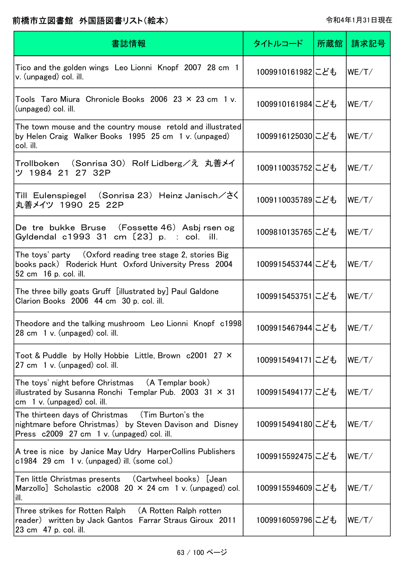| 書誌情報                                                                                                                                                       | タイトルコード          | 所蔵館丨 | 請求記号  |
|------------------------------------------------------------------------------------------------------------------------------------------------------------|------------------|------|-------|
| Tico and the golden wings Leo Lionni Knopf 2007 28 cm 1<br>v. (unpaged) col. ill.                                                                          | 1009910161982にども |      | WE/T/ |
| Tools Taro Miura Chronicle Books 2006 23 $\times$ 23 cm 1 v.<br>(unpaged) col. ill.                                                                        | 1009910161984にども |      | WE/T/ |
| The town mouse and the country mouse retold and illustrated <br>by Helen Craig Walker Books 1995 25 cm 1 v. (unpaged)<br>col. ill.                         | 1009916125030にども |      | WE/T/ |
| Trollboken (Sonrisa 30) Rolf Lidberg/え  丸善メイ<br>ツ 1984 21 27 32P                                                                                           | 1009110035752にども |      | WE/T/ |
| Till Eulenspiegel (Sonrisa 23)Heinz Janisch/さく<br>丸善メイツ 1990 25 22P                                                                                        | 1009110035789にども |      | WE/T/ |
| De tre bukke Bruse (Fossette 46) Asbj rsen og<br>Gyldendal c1993 31 cm [23] p. : col. ill.                                                                 | 1009810135765にども |      | WE/T/ |
| The toys' party  (Oxford reading tree stage 2, stories Big<br>books pack) Roderick Hunt Oxford University Press 2004<br>52 cm 16 p. col. ill.              | 1009915453744にども |      | WE/T/ |
| The three billy goats Gruff[illustrated by] Paul Galdone<br>Clarion Books 2006 44 cm 30 p. col. ill.                                                       | 1009915453751にども |      | WE/T/ |
| Theodore and the talking mushroom Leo Lionni Knopf c1998<br>28 cm 1 v. (unpaged) col. ill.                                                                 | 1009915467944にども |      | WE/T/ |
| Toot & Puddle by Holly Hobbie Little, Brown c2001 27 ×<br>27 cm 1 v. (unpaged) col. ill.                                                                   | 1009915494171にども |      | WE/T/ |
| The toys' night before Christmas (A Templar book)<br>illustrated by Susanna Ronchi Templar Pub. 2003 31 $\times$ 31<br>cm $1 v$ . (unpaged) col. ill.      | 1009915494177にども |      | WE/T/ |
| The thirteen days of Christmas (Tim Burton's the<br>nightmare before Christmas) by Steven Davison and Disney<br>Press c2009 27 cm 1 v. (unpaged) col. ill. | 1009915494180にども |      | WE/T/ |
| A tree is nice by Janice May Udry HarperCollins Publishers<br>$c1984$ 29 cm 1 v. (unpaged) ill. (some col.)                                                | 1009915592475にども |      | WE/T/ |
| Ten little Christmas presents (Cartwheel books) [Jean<br>Marzollo] Scholastic $c2008$ 20 $\times$ 24 cm 1 v. (unpaged) col.<br>ill.                        | 1009915594609にども |      | WE/T/ |
| Three strikes for Rotten Ralph (A Rotten Ralph rotten<br>reader) written by Jack Gantos Farrar Straus Giroux 2011<br>23 cm 47 p. col. ill.                 | 1009916059796にども |      | WE/T/ |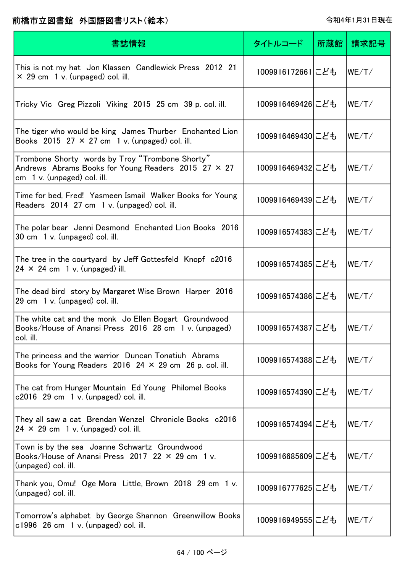| 書誌情報                                                                                                                                  | タイトルコード          | 所蔵館 | 請求記号  |
|---------------------------------------------------------------------------------------------------------------------------------------|------------------|-----|-------|
| This is not my hat Jon Klassen Candlewick Press 2012 21<br>$\times$ 29 cm 1 v. (unpaged) col. ill.                                    | 1009916172661にども |     | WE/T/ |
| Tricky Vic Greg Pizzoli Viking 2015 25 cm 39 p. col. ill.                                                                             | 1009916469426にども |     | WE/T/ |
| The tiger who would be king James Thurber Enchanted Lion<br>Books 2015 27 $\times$ 27 cm 1 v. (unpaged) col. ill.                     | 1009916469430にども |     | WE/T/ |
| Trombone Shorty words by Troy "Trombone Shorty"<br>Andrews Abrams Books for Young Readers 2015 27 × 27<br>cm 1 v. (unpaged) col. ill. | 1009916469432にども |     | WE/T/ |
| Time for bed, Fred! Yasmeen Ismail Walker Books for Young<br>Readers 2014 27 cm 1 v. (unpaged) col. ill.                              | 1009916469439にども |     | WE/T/ |
| The polar bear Jenni Desmond Enchanted Lion Books 2016<br>30 cm 1 v. (unpaged) col. ill.                                              | 1009916574383にども |     | WE/T/ |
| The tree in the courtyard by Jeff Gottesfeld Knopf c2016<br>$24 \times 24$ cm 1 v. (unpaged) ill.                                     | 1009916574385にども |     | WE/T/ |
| The dead bird story by Margaret Wise Brown Harper 2016<br>29 cm 1 v. (unpaged) col. ill.                                              | 1009916574386にども |     | WE/T/ |
| The white cat and the monk Jo Ellen Bogart Groundwood<br>Books/House of Anansi Press 2016 28 cm 1 v. (unpaged)<br>col. ill.           | 1009916574387にども |     | WE/T/ |
| The princess and the warrior Duncan Tonatiuh Abrams<br>Books for Young Readers 2016 24 $\times$ 29 cm 26 p. col. ill.                 | 1009916574388にども |     | WE/T/ |
| The cat from Hunger Mountain Ed Young Philomel Books<br>$c2016$ 29 cm 1 v. (unpaged) col. ill.                                        | 1009916574390にども |     | WE/T/ |
| They all saw a cat Brendan Wenzel Chronicle Books c2016<br>$24 \times 29$ cm 1 v. (unpaged) col. ill.                                 | 1009916574394にども |     | WE/T/ |
| Town is by the sea Joanne Schwartz Groundwood<br>Books/House of Anansi Press 2017 22 $\times$ 29 cm 1 v.<br>(unpaged) col. ill.       | 1009916685609にども |     | WE/T/ |
| Thank you, Omu! Oge Mora Little, Brown 2018 29 cm 1 v.<br>(unpaged) col. ill.                                                         | 1009916777625にども |     | WE/T/ |
| Tomorrow's alphabet by George Shannon Greenwillow Books<br>$c1996$ 26 cm 1 v. (unpaged) col. ill.                                     | 1009916949555にども |     | WE/T/ |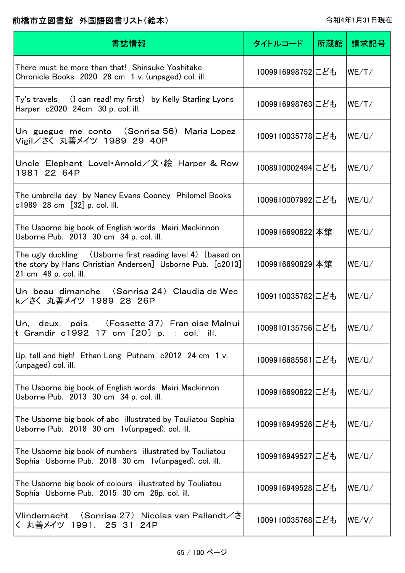| 書誌情報                                                                                                                                                              | タイトルコード          | 所蔵館 | 請求記号   |
|-------------------------------------------------------------------------------------------------------------------------------------------------------------------|------------------|-----|--------|
| There must be more than that! Shinsuke Yoshitake<br>Chronicle Books 2020 28 cm 1 v. (unpaged) col. ill.                                                           | 1009916998752にども |     | WE/T/  |
| Harper c2020 24cm 30 p. col. ill.                                                                                                                                 | 1009916998763にども |     | WE/T/  |
| Un guegue me conto (Sonrisa 56) Maria Lopez<br>Vigil/さく 丸善メイツ 1989 29 40P                                                                                         | 1009110035778にども |     | WE/U/  |
| Uncle Elephant Lovel·Arnold/文·絵 Harper & Row<br>1981 22 64P                                                                                                       | 1008910002494にども |     | WE/U/  |
| The umbrella day by Nancy Evans Cooney Philomel Books<br>c1989 28 cm [32] p. col. ill.                                                                            | 1009610007992にども |     | WE/U/  |
| The Usborne big book of English words Mairi Mackinnon<br>Usborne Pub. 2013 30 cm 34 p. col. ill.                                                                  | 1009916690822 本館 |     | WE/UV  |
| The ugly duckling $\quad$ (Usborne first reading level 4) [based on $\mid$<br>the story by Hans Christian Andersen] Usborne Pub. [c2013]<br>21 cm 48 p. col. ill. | 1009916690829 本館 |     | WE/U/  |
| Un beau dimanche (Sonrisa 24) Claudia de Wec<br>k/さく 丸善メイツ 1989 28 26P                                                                                            | 1009110035782にども |     | WE/U/  |
| Un, deux, pois. (Fossette 37) Fran oise Malnui<br>t Grandir c1992 17 cm $[20]$ p. : col. ill.                                                                     | 1009810135756にども |     | WE/U/  |
| Up, tall and high! Ethan Long Putnam c2012 24 cm 1 v.<br>(unpaged) col. ill.                                                                                      | 1009916685581にども |     | WE/ U/ |
| The Usborne big book of English words Mairi Mackinnon<br>Usborne Pub. 2013 30 cm 34 p. col. ill.                                                                  | 1009916690822にども |     | WE/U/  |
| The Usborne big book of abc illustrated by Touliatou Sophia<br>Usborne Pub. 2018 30 cm 1v(unpaged). col. ill.                                                     | 1009916949526にども |     | WE/U/  |
| The Usborne big book of numbers illustrated by Touliatou<br>Sophia Usborne Pub. 2018 30 cm 1v(unpaged). col. ill.                                                 | 1009916949527にども |     | WE/U/  |
| The Usborne big book of colours illustrated by Touliatou<br>Sophia Usborne Pub. 2015 30 cm 26p. col. ill.                                                         | 1009916949528にども |     | WE/ U/ |
| Vlindernacht (Sonrisa 27) Nicolas van Pallandt/さ<br>丸善メイツ 1991. 25 31 24P                                                                                         | 1009110035768にども |     | WE/V/  |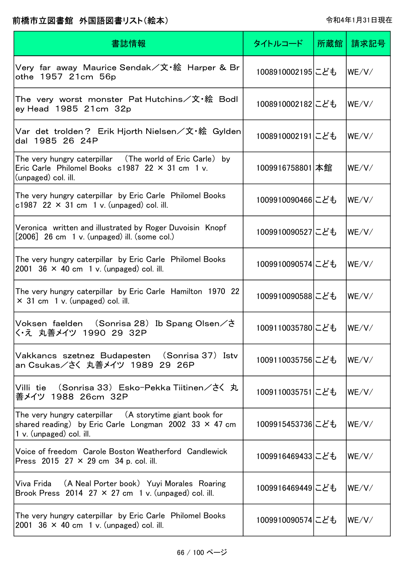| 書誌情報                                                                                                                                                | タイトルコード          | 所蔵館 | 請求記号  |
|-----------------------------------------------------------------------------------------------------------------------------------------------------|------------------|-----|-------|
| Very  far  away  Maurice Sendak/文・絵  Harper & Br<br>othe 1957 21cm 56p                                                                              | 1008910002195にども |     | WE/V/ |
| The very worst monster Pat Hutchins/文・絵 Bodl<br>ey Head 1985 21cm 32p                                                                               | 1008910002182にども |     | WE/V/ |
| Var det trolden? Erik Hjorth Nielsen/文・絵 Gylden<br>dal 1985 26 24P                                                                                  | 1008910002191にども |     | WE/V/ |
| The very hungry caterpillar (The world of Eric Carle)<br>by<br>Eric Carle Philomel Books $c1987$ 22 $\times$ 31 cm 1 v.<br>(unpaged) col. ill.      | 1009916758801 本館 |     | WE/V/ |
| The very hungry caterpillar by Eric Carle Philomel Books<br>c1987 22 $\times$ 31 cm 1 v. (unpaged) col. ill.                                        | 1009910090466にども |     | WE/V/ |
| Veronica written and illustrated by Roger Duvoisin Knopf<br>$[2006]$ 26 cm 1 v. (unpaged) ill. (some col.)                                          | 1009910090527にども |     | WE/V/ |
| The very hungry caterpillar by Eric Carle Philomel Books<br>2001 36 $\times$ 40 cm 1 v. (unpaged) col. ill.                                         | 1009910090574にども |     | WE/V/ |
| The very hungry caterpillar by Eric Carle Hamilton 1970 22<br>$\times$ 31 cm 1 v. (unpaged) col. ill.                                               | 1009910090588にども |     | WE/V/ |
| Voksen faelden (Sonrisa 28) Ib Spang Olsen/さ<br>く・え 丸善メイツ 1990 29 32P                                                                               | 1009110035780にども |     | WE/V/ |
| Vakkancs szetnez Budapesten (Sonrisa 37) Istv<br>an Csukas/さく 丸善メイツ 1989 29 26P                                                                     | 1009110035756にども |     | WE/V/ |
| Villi tie (Sonrisa 33) Esko-Pekka Tiitinen/さく 丸<br>善メイツ 1988 26cm 32P                                                                               | 1009110035751にども |     | WE/V/ |
| The very hungry caterpillar (A storytime giant book for<br>shared reading) by Eric Carle Longman 2002 33 $\times$ 47 cm<br>1 v. (unpaged) col. ill. | 1009915453736にども |     | WE/V/ |
| Voice of freedom Carole Boston Weatherford Candlewick<br>Press 2015 27 $\times$ 29 cm 34 p. col. ill.                                               | 1009916469433にども |     | WE/V/ |
| Viva Frida (A Neal Porter book) Yuyi Morales Roaring<br>Brook Press 2014 27 $\times$ 27 cm 1 v. (unpaged) col. ill.                                 | 1009916469449にども |     | WE/V/ |
| The very hungry caterpillar by Eric Carle Philomel Books<br>2001 $36 \times 40$ cm 1 v. (unpaged) col. ill.                                         | 1009910090574にども |     | WE/V/ |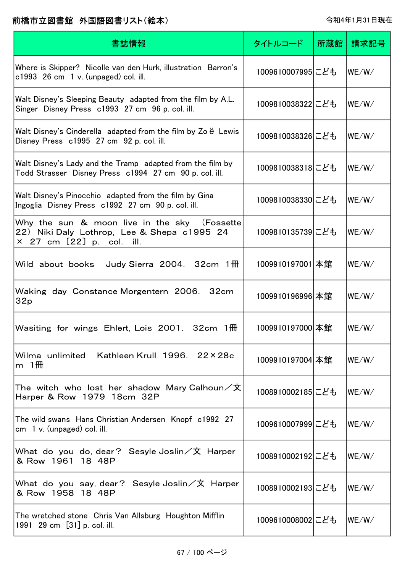| 書誌情報                                                                                                                              | タイトルコード          | 所蔵館 | 請求記号  |
|-----------------------------------------------------------------------------------------------------------------------------------|------------------|-----|-------|
| Where is Skipper? Nicolle van den Hurk, illustration Barron's<br>$c1993$ 26 cm 1 v. (unpaged) col. ill.                           | 1009610007995にども |     | WE/W/ |
| Walt Disney's Sleeping Beauty adapted from the film by A.L.<br>Singer Disney Press c1993 27 cm 96 p. col. ill.                    | 1009810038322にども |     | WE/W/ |
| Walt Disney's Cinderella adapted from the film by Zo $\ddot{e}$ Lewis<br>Disney Press c1995 27 cm 92 p. col. ill.                 | 1009810038326にども |     | WE/W/ |
| Walt Disney's Lady and the Tramp adapted from the film by<br>Todd Strasser Disney Press c1994 27 cm 90 p. col. ill.               | 1009810038318にども |     | WE/W/ |
| Walt Disney's Pinocchio adapted from the film by Gina<br>Ingoglia Disney Press c1992 27 cm 90 p. col. ill.                        | 1009810038330にども |     | WE/W/ |
| Why the sun & moon live in the sky (Fossette<br>22) Niki Daly Lothrop, Lee & Shepa c1995 24<br>$\times$ 27 cm $[22]$ p. col. ill. | 1009810135739にども |     | WE/W/ |
| Wild about books<br>Judy Sierra 2004. $32cm$ 1 $\overline{m}$                                                                     | 1009910197001 本館 |     | WE/W/ |
| Waking day Constance Morgentern 2006. 32cm<br>32p                                                                                 | 1009910196996 本館 |     | WE/W/ |
| Wasiting for wings Ehlert, Lois 2001. 32cm 1 HH                                                                                   | 1009910197000 本館 |     | WE/W/ |
| Wilma unlimited Kathleen Krull 1996. 22×28c<br>m $1$ HH                                                                           | 1009910197004 本館 |     | WE/W/ |
| The witch who lost her shadow Mary Calhoun/文<br>Harper & Row 1979 18cm 32P                                                        | 1008910002185にども |     | WE/W/ |
| The wild swans Hans Christian Andersen Knopf c1992 27<br>cm $1 v$ . (unpaged) col. ill.                                           | 1009610007999にども |     | WE/W/ |
| What do you do, dear? Sesyle Joslin/文 Harper<br>& Row 1961 18 48P                                                                 | 1008910002192にども |     | WE/W/ |
| What do you say, dear? Sesyle Joslin/文 Harper<br>& Row 1958 18 48P                                                                | 1008910002193にども |     | WE/W/ |
| The wretched stone Chris Van Allsburg Houghton Mifflin<br>1991 29 cm [31] p. col. ill.                                            | 1009610008002にども |     | WE/W/ |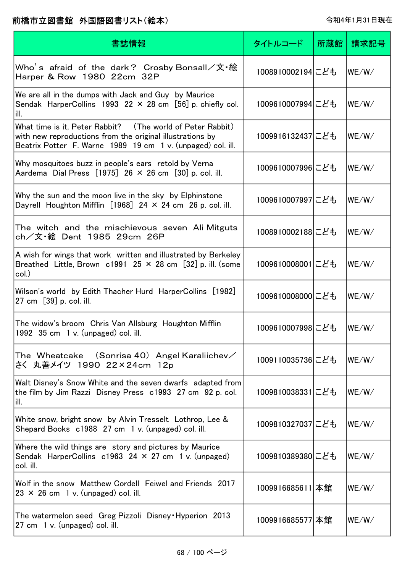| 書誌情報                                                                                                                                                                                   | タイトルコード          | 所蔵館 | 請求記号  |
|----------------------------------------------------------------------------------------------------------------------------------------------------------------------------------------|------------------|-----|-------|
| Who's afraid of the dark? Crosby Bonsall/文・絵<br>Harper & Row 1980 22cm 32P                                                                                                             | 1008910002194にども |     | WE/W/ |
| We are all in the dumps with Jack and Guy by Maurice<br>Sendak HarperCollins 1993 22 $\times$ 28 cm [56] p. chiefly col.<br>ill.                                                       | 1009610007994にども |     | WE/W/ |
| What time is it, Peter Rabbit? (The world of Peter Rabbit)<br>with new reproductions from the original illustrations by<br>Beatrix Potter F. Warne 1989 19 cm 1 v. (unpaged) col. ill. | 1009916132437にども |     | WE/W/ |
| Why mosquitoes buzz in people's ears retold by Verna<br>Aardema Dial Press $[1975]$ 26 $\times$ 26 cm $[30]$ p. col. ill.                                                              | 1009610007996にども |     | WE/W/ |
| Why the sun and the moon live in the sky by Elphinstone<br>Dayrell Houghton Mifflin $[1968]$ 24 × 24 cm 26 p. col. ill.                                                                | 1009610007997にども |     | WE/W/ |
| The witch and the mischievous seven Ali-Mitguts<br>ch/文・絵 Dent 1985 29cm 26P                                                                                                           | 1008910002188にども |     | WE/W/ |
| A wish for wings that work written and illustrated by Berkeley<br>Breathed Little, Brown c1991 25 $\times$ 28 cm [32] p. ill. (some<br>col.)                                           | 1009610008001にども |     | WE/W/ |
| Wilson's world by Edith Thacher Hurd HarperCollins [1982]<br>27 cm [39] p. col. ill.                                                                                                   | 1009610008000にども |     | WE/W/ |
| The widow's broom Chris Van Allsburg Houghton Mifflin<br>1992 $35 \text{ cm}$ 1 v. (unpaged) col. ill.                                                                                 | 1009610007998にども |     | WE/W/ |
| The Wheatcake $\,$ (Sonrisa 40) Angel Karaliichev $\diagup$<br>さく 丸善メイツ 1990 22×24cm 12p                                                                                               | 1009110035736にども |     | WE/W/ |
| Walt Disney's Snow White and the seven dwarfs adapted from<br>the film by Jim Razzi Disney Press c1993 27 cm 92 p. col.<br>ill.                                                        | 1009810038331にども |     | WE/W/ |
| White snow, bright snow by Alvin Tresselt Lothrop, Lee &<br>Shepard Books c1988 27 cm 1 v. (unpaged) col. ill.                                                                         | 1009810327037にども |     | WE/W/ |
| Where the wild things are story and pictures by Maurice<br>Sendak HarperCollins $c1963$ 24 $\times$ 27 cm 1 v. (unpaged)<br>col. ill.                                                  | 1009810389380にども |     | WE/W/ |
| Wolf in the snow Matthew Cordell Feiwel and Friends 2017<br>$23 \times 26$ cm 1 v. (unpaged) col. ill.                                                                                 | 1009916685611 本館 |     | WE/W/ |
| The watermelon seed Greg Pizzoli Disney Hyperion 2013<br>27 cm 1 v. (unpaged) col. ill.                                                                                                | 1009916685577 本館 |     | WE/W/ |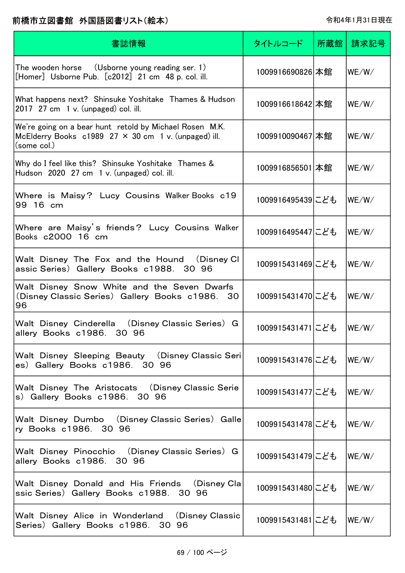| 書誌情報                                                                                                                                  | タイトルコード          | 所蔵館 | 請求記号               |
|---------------------------------------------------------------------------------------------------------------------------------------|------------------|-----|--------------------|
| The wooden horse (Usborne young reading ser. 1)<br>[Homer] Usborne Pub. [c2012] 21 cm 48 p. col. ill.                                 | 1009916690826 本館 |     | WE/W/              |
| What happens next? Shinsuke Yoshitake Thames & Hudson<br>2017 27 cm 1 v. (unpaged) col. ill.                                          | 1009916618642 本館 |     | WE/W/              |
| We're going on a bear hunt retold by Michael Rosen M.K.<br>McElderry Books c1989 $27 \times 30$ cm 1 v. (unpaged) ill.<br>(some col.) | 1009910090467 本館 |     | WE/W/              |
| Why do I feel like this? Shinsuke Yoshitake Thames &<br>Hudson 2020 27 cm 1 v. (unpaged) col. ill.                                    | 1009916856501 本館 |     | WE/W/              |
| Where is Maisy? Lucy Cousins Walker Books c19<br>99 16 cm                                                                             | 1009916495439にども |     | WE/W/              |
| Where are Maisy's friends? Lucy Cousins Walker<br>Books c2000 16 cm                                                                   | 1009916495447にども |     | WE/W/              |
| Walt Disney The Fox and the Hound (Disney CI<br>assic Series) Gallery Books c1988. 30 96                                              | 1009915431469にども |     | WE/W/              |
| Walt Disney Snow White and the Seven Dwarfs<br>(Disney Classic Series) Gallery Books c1986.<br>30<br>96                               | 1009915431470にども |     | WE/W/              |
| Walt Disney Cinderella (Disney Classic Series) G<br>allery Books c1986.<br>30 96                                                      | 1009915431471にども |     | WE/W/              |
| Walt Disney Sleeping Beauty (Disney Classic Seri)<br>es) Gallery Books c1986. 30 96                                                   | 1009915431476にども |     | W <sub>E</sub> /W/ |
| Walt Disney The Aristocats (Disney Classic Serie<br>s) Gallery Books c1986. 30 96                                                     | 1009915431477にども |     | lwe/w/             |
| Walt Disney Dumbo (Disney Classic Series) Galle<br>ry Books c1986. 30 96                                                              | 1009915431478にども |     | WE/W/              |
| Walt Disney Pinocchio (Disney Classic Series) G<br>allery Books c1986. 30 96                                                          | 1009915431479にども |     | W <sub>E</sub> /W/ |
| Walt Disney Donald and His Friends (Disney Cla<br>ssic Series) Gallery Books c1988. 30 96                                             | 1009915431480にども |     | W <sub>E</sub> /W/ |
| Walt Disney Alice in Wonderland (Disney Classic<br>Series) Gallery Books c1986. 30 96                                                 | 1009915431481にども |     | WE/W/              |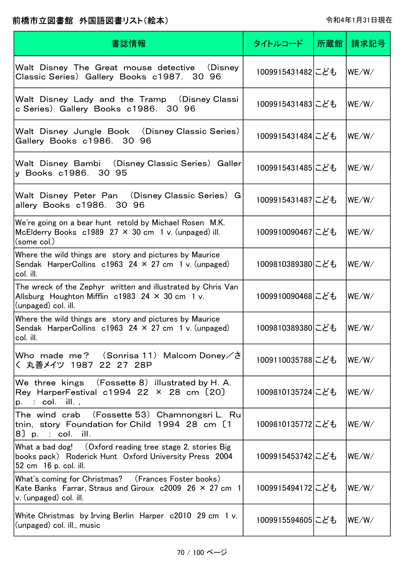| 書誌情報                                                                                                                                              | タイトルコード          | 所蔵館 | 請求記号  |
|---------------------------------------------------------------------------------------------------------------------------------------------------|------------------|-----|-------|
| Walt Disney The Great mouse detective<br>(Disney)<br>Classic Series)Gallery Books c1987. 30 96                                                    | 1009915431482にども |     | WE/W/ |
| Walt Disney Lady and the Tramp (Disney Classi<br>c Series) Gallery Books c1986. 30 96                                                             | 1009915431483にども |     | WE/W/ |
| Walt Disney Jungle Book (Disney Classic Series)<br>Gallery Books c1986. 30 96                                                                     | 1009915431484にども |     | WE/W/ |
| (Disney Classic Series) Galler<br>Walt Disney Bambi<br>y Books c1986. 30 95                                                                       | 1009915431485にども |     | WE/W/ |
| Walt Disney Peter Pan (Disney Classic Series) G<br>allery Books c1986. 30 96                                                                      | 1009915431487にども |     | WE/W/ |
| We're going on a bear hunt retold by Michael Rosen M.K.<br>McElderry Books $c1989$ 27 $\times$ 30 cm 1 v. (unpaged) ill.<br>(some col.)           | 1009910090467にども |     | WE/W/ |
| Where the wild things are story and pictures by Maurice<br>Sendak HarperCollins $c1963$ 24 $\times$ 27 cm 1 v. (unpaged)<br>col. ill.             | 1009810389380にども |     | WE/W/ |
| The wreck of the Zephyr written and illustrated by Chris Van<br>Allsburg Houghton Mifflin $c1983$ 24 $\times$ 30 cm 1 v.<br>(unpaged) col. ill.   | 1009910090468にども |     | WE/W/ |
| Where the wild things are story and pictures by Maurice<br>Sendak HarperCollins $c1963$ 24 $\times$ 27 cm 1 v. (unpaged)<br>col. ill.             | 1009810389380にども |     | WE/W/ |
| Who made me? $(Sonrisa 11)$ Malcom Doney $\angle \xi$<br>く 丸善メイツ 1987 22 27 28P                                                                   | 1009110035788にども |     | WE/W/ |
| We three kings $( Fossette 8)$ illustrated by H. A.<br>Rey HarperFestival c1994 22 $\times$ 28 cm $[20]$<br>$p.$ : col. ill.,                     | 1009810135724にども |     | WE/W/ |
| The wind crab (Fossette 53)Chamnongsri L. Ru<br>tnin, story Foundation for Child 1994 28 cm [1<br>8) p. : col.<br>ill.                            | 1009810135772にども |     | WE/W/ |
| What a bad dog! (Oxford reading tree stage 2, stories Big<br>books pack) Roderick Hunt Oxford University Press 2004<br>52 cm 16 p. col. ill.      | 1009915453742にども |     | WE/W/ |
| What's coming for Christmas? (Frances Foster books)<br>Kate Banks Farrar, Straus and Giroux $c2009$ 26 $\times$ 27 cm 1<br>v. (unpaged) col. ill. | 1009915494172にども |     | WE/W/ |
| White Christmas by Irving Berlin Harper c2010 29 cm 1 v.<br>(unpaged) col. ill., music                                                            | 1009915594605にども |     | WE/W/ |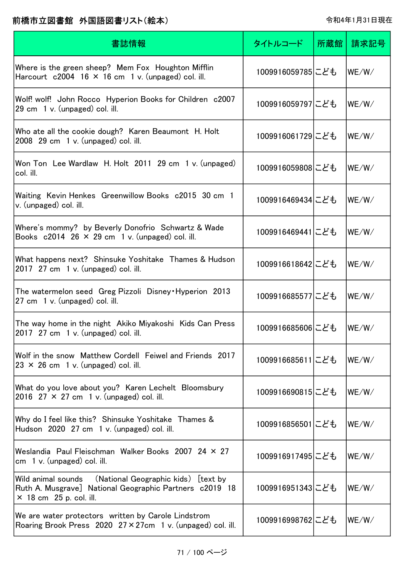| 書誌情報                                                                                                                                                   | タイトルコード          | 所蔵館 | 請求記号  |
|--------------------------------------------------------------------------------------------------------------------------------------------------------|------------------|-----|-------|
| Where is the green sheep? Mem Fox Houghton Mifflin<br>Harcourt $c2004$ 16 $\times$ 16 cm 1 v. (unpaged) col. ill.                                      | 1009916059785にども |     | WE/W/ |
| Wolf! wolf! John Rocco Hyperion Books for Children c2007<br>29 cm 1 v. (unpaged) col. ill.                                                             | 1009916059797にども |     | WE/W/ |
| Who ate all the cookie dough? Karen Beaumont H. Holt<br>$2008$ 29 cm 1 v. (unpaged) col. ill.                                                          | 1009916061729にども |     | WE/W/ |
| Won Ton Lee Wardlaw H. Holt 2011 29 cm 1 v. (unpaged)<br>col. ill.                                                                                     | 1009916059808にども |     | WE/W/ |
| Waiting Kevin Henkes Greenwillow Books c2015 30 cm 1<br>v. (unpaged) col. ill.                                                                         | 1009916469434にども |     | WE/W/ |
| Where's mommy? by Beverly Donofrio Schwartz & Wade<br>Books $c2014$ 26 $\times$ 29 cm 1 v. (unpaged) col. ill.                                         | 1009916469441にども |     | WE/W/ |
| What happens next? Shinsuke Yoshitake Thames & Hudson<br>2017 $27 \text{ cm}$ 1 v. (unpaged) col. ill.                                                 | 1009916618642にども |     | WE/W/ |
| The watermelon seed Greg Pizzoli Disney Hyperion 2013<br>27 cm 1 v. (unpaged) col. ill.                                                                | 1009916685577にども |     | WE/W/ |
| The way home in the night Akiko Miyakoshi Kids Can Press<br>2017 27 cm 1 v. (unpaged) col. ill.                                                        | 1009916685606にども |     | WE/W/ |
| Wolf in the snow Matthew Cordell Feiwel and Friends 2017<br>$23 \times 26$ cm 1 v. (unpaged) col. ill.                                                 | 1009916685611にども |     | WE/W/ |
| What do you love about you? Karen Lechelt Bloomsbury<br>2016 27 $\times$ 27 cm 1 v. (unpaged) col. ill.                                                | 1009916690815にども |     | WE/W/ |
| Why do I feel like this? Shinsuke Yoshitake Thames &<br>Hudson 2020 27 cm 1 v. (unpaged) col. ill.                                                     | 1009916856501にども |     | WE/W/ |
| Weslandia Paul Fleischman Walker Books 2007 24 × 27<br>cm $1 v$ . (unpaged) col. ill.                                                                  | 1009916917495にども |     | WE/W/ |
| (National Geographic kids) [text by<br>Wild animal sounds<br>Ruth A. Musgrave] National Geographic Partners c2019 18<br>$\times$ 18 cm 25 p. col. ill. | 1009916951343にども |     | WE/W/ |
| We are water protectors written by Carole Lindstrom<br>Roaring Brook Press 2020 27 × 27cm 1 v. (unpaged) col. ill.                                     | 1009916998762にども |     | WE/W/ |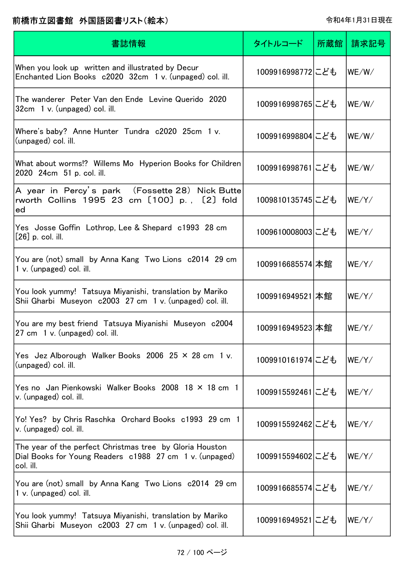| 書誌情報                                                                                                                             | タイトルコード          | 所蔵館 | 請求記号  |
|----------------------------------------------------------------------------------------------------------------------------------|------------------|-----|-------|
| When you look up written and illustrated by Decur<br>Enchanted Lion Books c2020 32cm 1 v. (unpaged) col. ill.                    | 1009916998772にども |     | WE/W/ |
| The wanderer Peter Van den Ende Levine Querido 2020<br>32cm 1 v. (unpaged) col. ill.                                             | 1009916998765にども |     | WE/W/ |
| Where's baby? Anne Hunter Tundra c2020 25cm 1 v.<br>(unpaged) col. ill.                                                          | 1009916998804にども |     | WE/W/ |
| What about worms!? Willems Mo Hyperion Books for Children<br>2020 24cm 51 p. col. ill.                                           | 1009916998761にども |     | WE/W/ |
| A year in Percy's park (Fossette 28)Nick Butte<br>rworth Collins 1995 23 cm [100] p., [2] fold<br>ed                             | 1009810135745にども |     | WE/Y/ |
| Yes Josse Goffin Lothrop, Lee & Shepard c1993 28 cm<br>$[26]$ p. col. ill.                                                       | 1009610008003にども |     | WE/Y/ |
| You are (not) small by Anna Kang Two Lions c2014 29 cm<br>1 v. (unpaged) col. ill.                                               | 1009916685574 本館 |     | WE/Y/ |
| You look yummy! Tatsuya Miyanishi, translation by Mariko<br>Shii Gharbi Museyon c2003 27 cm 1 v. (unpaged) col. ill.             | 1009916949521 本館 |     | WE/Y  |
| You are my best friend Tatsuya Miyanishi Museyon c2004<br>27 cm 1 v. (unpaged) col. ill.                                         | 1009916949523 本館 |     | WE/Y/ |
| Yes Jez Alborough Walker Books 2006 25 × 28 cm 1 v.<br>(unpaged) col. ill.                                                       | 1009910161974にども |     | WE/Y/ |
| Yes no Jan Pienkowski Walker Books 2008 18 × 18 cm 1<br>v. (unpaged) col. ill.                                                   | 1009915592461にども |     | WE/Y/ |
| Yo! Yes? by Chris Raschka Orchard Books c1993 29 cm 1<br>v. (unpaged) col. ill.                                                  | 1009915592462にども |     | WE/Y/ |
| The year of the perfect Christmas tree by Gloria Houston<br>Dial Books for Young Readers c1988 27 cm 1 v. (unpaged)<br>col. ill. | 1009915594602にども |     | WE/Y/ |
| You are (not) small by Anna Kang Two Lions c2014 29 cm<br>1 v. (unpaged) col. ill.                                               | 1009916685574にども |     | WE/Y/ |
| You look yummy! Tatsuya Miyanishi, translation by Mariko<br>Shii Gharbi Museyon c2003 27 cm 1 v. (unpaged) col. ill.             | 1009916949521にども |     | WE/Y/ |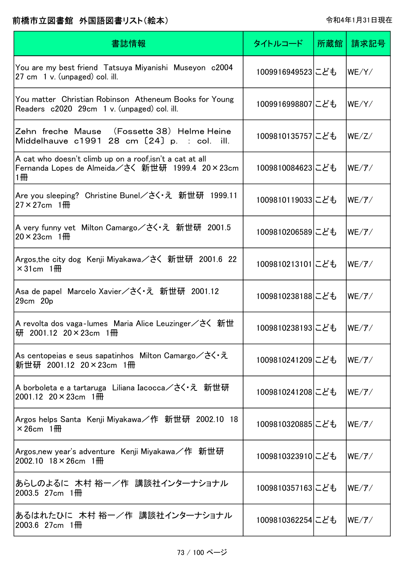| 書誌情報                                                                                                              | タイトルコード          | 所蔵館 | 請求記号              |
|-------------------------------------------------------------------------------------------------------------------|------------------|-----|-------------------|
| You are my best friend Tatsuya Miyanishi Museyon c2004<br>27 cm 1 v. (unpaged) col. ill.                          | 1009916949523にども |     | WE/Y/             |
| You matter Christian Robinson Atheneum Books for Young<br>Readers c2020 29cm 1 v. (unpaged) col. ill.             | 1009916998807にども |     | WE/Y/             |
| Zehn freche Mause (Fossette 38) Helme Heine<br>Middelhauve c1991 28 cm [24] p. : col. ill.                        | 1009810135757にども |     | WE/Z/             |
| A cat who doesn't climb up on a roof, isn't a cat at all<br>Fernanda Lopes de Almeida/さく 新世研 1999.4 20×23cm<br>1冊 | 1009810084623にども |     | $WE/\mathcal{T}/$ |
| Are you sleeping? Christine Bunel/さく・え 新世研 1999.11<br>$27 \times 27$ cm 1 HH                                      | 1009810119033にども |     | WE/T/             |
| A very funny vet Milton Camargo/さく・え 新世研 2001.5<br>$20 \times 23$ cm 1 <del>M</del>                               | 1009810206589にども |     | $WE/\mathcal{T}/$ |
| Argos, the city dog Kenji Miyakawa / さく 新世研 2001.6 22<br>$\times$ 31cm 1 HH                                       | 1009810213101にども |     | $WE/\mathcal{T}/$ |
| Asa de papel Marcelo Xavier/さく・え 新世研 2001.12<br>29cm 20p                                                          | 1009810238188にども |     | WE/T/             |
| A revolta dos vaga-lumes Maria Alice Leuzinger/さく 新世<br>研 2001.12 20×23cm 1冊                                      | 1009810238193にども |     | $WE/{\cal F}/$    |
| As centopeias e seus sapatinhos Milton Camargo/さく・え<br>新世研 2001.12 20×23cm 1冊                                     | 1009810241209にども |     | $WE/{\cal T}/$    |
| A borboleta e a tartaruga Liliana Iacocca/さく・え 新世研<br>2001.12 $20 \times 23$ cm 1 HH                              | 1009810241208にども |     | WE/T/             |
| Argos helps Santa Kenji Miyakawa/作 新世研 2002.10 18<br>$\times$ 26cm 1 <del>m</del>                                 | 1009810320885にども |     | WE/T/             |
| Argos,new year's adventure Kenji Miyakawa/作 新世研<br>2002.10 $18 \times 26$ cm $1 \frac{m}{m}$                      | 1009810323910にども |     | $WE/\mathcal{T}/$ |
| あらしのよるに 木村 裕一/作 講談社インターナショナル<br>$2003.5$ 27cm $1 \frac{m}{m}$                                                     | 1009810357163にども |     | $WE/{\cal F}/$    |
| あるはれたひに 木村 裕一/作 講談社インターナショナル<br>2003.6 27cm $1\text{H}$                                                           | 1009810362254にども |     | $WE/{\cal T}/$    |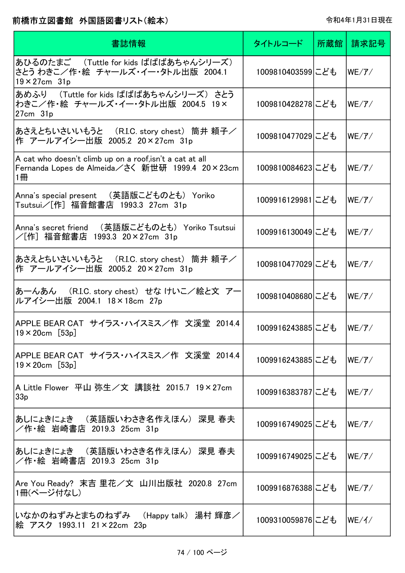| 書誌情報                                                                                                              | タイトルコード          | 所蔵館丨 | 請求記号                         |
|-------------------------------------------------------------------------------------------------------------------|------------------|------|------------------------------|
| あひるのたまご (Tuttle for kids ばばばあちゃんシリーズ)<br>さとう わきこ/作・絵 チャールズ・イー・タトル出版 2004.1<br>$19 \times 27$ cm 31p               | 1009810403599にども |      | $WE/{\cal T}/T$              |
| あめふり (Tuttle for kids ばばばあちゃんシリーズ)さとう<br>わきこ/作・絵 チャールズ・イー・タトル出版 2004.5 19×<br>$27cm$ $31p$                        | 1009810428278にども |      | $WE/{\cal F}/$               |
| あさえとちいさいいもうと (R.I.C. story chest) 筒井 頼子/<br>作 アールアイシー出版 2005.2 20×27cm 31p                                        | 1009810477029にども |      | $WE/{\cal T}/T$              |
| A cat who doesn't climb up on a roof, isn't a cat at all<br>Fernanda Lopes de Almeida/さく 新世研 1999.4 20×23cm<br>1冊 | 1009810084623にども |      | WE/7/                        |
| Anna's special present (英語版こどものとも) Yoriko<br>Tsutsui/[作] 福音館書店 1993.3 27cm 31p                                    | 1009916129981にども |      | WE/7/                        |
| Anna's secret friend (英語版こどものとも) Yoriko Tsutsui<br>/[作] 福音館書店 1993.3 20×27cm 31p                                  | 1009916130049にども |      | WE/7/                        |
| あさえとちいさいいもうと (R.I.C. story chest) 筒井 頼子/<br>作 アールアイシー出版 2005.2 20×27cm 31p                                        | 1009810477029にども |      | $WE/{\cal F}/$               |
| あーんあん (R.I.C. story chest) せな けいこ/絵と文 アー<br>ルアイシー出版 2004.1 18×18cm 27p                                            | 1009810408680にども |      | WE/T/                        |
| APPLE BEAR CAT サイラス・ハイスミス/作 文溪堂 2014.4<br>$19 \times 20$ cm [53p]                                                 | 1009916243885にども |      | $WE/{\cal T}/$               |
| APPLE BEAR CAT サイラス・ハイスミス/作 文溪堂 2014.4<br>$19 \times 20$ cm [53p]                                                 | 1009916243885にども |      | WE/7/                        |
| A Little Flower 平山 弥生/文 講談社 2015.7 19×27cm<br>33 <sub>p</sub>                                                     | 1009916383787にども |      | $WE/{\cal F}/$               |
| あしにょきにょき (英語版いわさき名作えほん) 深見 春夫<br>/作・絵 岩崎書店 2019.3 25cm 31p                                                        | 1009916749025にども |      | $WE/{\cal F}/$               |
| あしにょきにょき (英語版いわさき名作えほん) 深見 春夫<br>/作・絵 岩崎書店 2019.3 25cm 31p                                                        | 1009916749025にども |      | $WE/{\cal F}/$               |
| Are You Ready? 末吉 里花/文 山川出版社 2020.8 27cm<br>1冊(ページ付なし)                                                            | 1009916876388にども |      | $ \mathsf{WE}/\mathcal{T}/ $ |
| いなかのねずみとまちのねずみ (Happy talk) 湯村 輝彦/<br>絵 アスク 1993.11 21×22cm 23p                                                   | 1009310059876にども |      | WE/1/                        |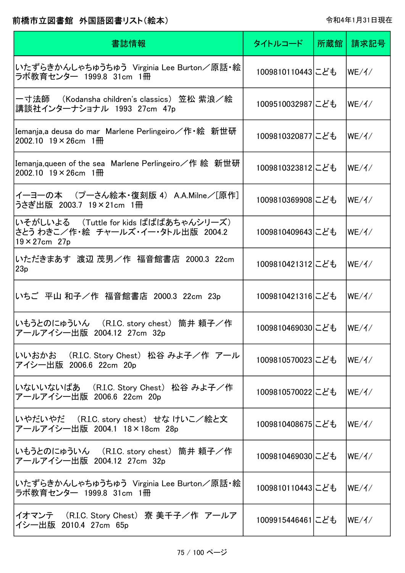| 書誌情報                                                                                                  | タイトルコード          | 所蔵館丨 | 請求記号  |
|-------------------------------------------------------------------------------------------------------|------------------|------|-------|
| いたずらきかんしゃちゅうちゅう Virginia Lee Burton/原話・絵<br>ラボ教育センター 1999.8 31cm 1冊                                   | 1009810110443にども |      | WE/A/ |
| 一寸法師 (Kodansha children's classics) 笠松 紫浪/絵<br>講談社インターナショナル 1993 27cm 47p                             | 1009510032987にども |      | WE/1/ |
| Iemanja,a deusa do mar Marlene Perlingeiro/作 絵 新世研<br>2002.10 $19 \times 26$ cm $1 \text{H}$          | 1009810320877にども |      | WE/1/ |
| Iemanja,queen of the sea Marlene Perlingeiro/作 絵 新世研<br>2002.10 $19 \times 26$ cm $1 \text{H}$        | 1009810323812にども |      | WE/1/ |
| イーヨーの本 (プーさん絵本・復刻版 4) A.A.Milne/[原作]<br>うさぎ出版 2003.7 19×21cm 1冊                                       | 1009810369908にども |      | WE/1/ |
| いそがしいよる (Tuttle for kids ばばばあちゃんシリーズ)<br>さとう わきこ/作・絵  チャールズ・イー・タトル出版  2004.2<br>$19 \times 27$ cm 27p | 1009810409643にども |      | WE/1/ |
| いただきまあす 渡辺 茂男/作 福音館書店 2000.3 22cm<br>23p                                                              | 1009810421312にども |      | WE/1/ |
| いちご 平山 和子/作 福音館書店 2000.3 22cm 23p                                                                     | 1009810421316にども |      | WE/1/ |
| いもうとのにゅういん (R.I.C. story chest) 筒井 頼子/作<br>アールアイシー出版 2004.12 27cm 32p                                 | 1009810469030にども |      | WE/1/ |
| いいおかお (R.I.C. Story Chest) 松谷 みよ子/作 アール<br>アイシー出版 2006.6 22cm 20p                                     | 1009810570023にども |      | WE/1/ |
| いないいないばあ (R.I.C. Story Chest) 松谷 みよ子/作<br>アールアイシー出版 2006.6 22cm 20p                                   | 1009810570022にども |      | WE/1/ |
| いやだいやだ (R.I.C. story chest) せな けいこ/絵と文<br>アールアイシー出版 2004.1 18×18cm 28p                                | 1009810408675にども |      | WE/1/ |
| いもうとのにゅういん (R.I.C. story chest) 筒井 頼子/作<br>アールアイシー出版 2004.12 27cm 32p                                 | 1009810469030にども |      | WE/1/ |
| いたずらきかんしゃちゅうちゅう Virginia Lee Burton/原話・絵<br>ラボ教育センター 1999.8 31cm 1冊                                   | 1009810110443にども |      | WE/1/ |
| イオマンテ (R.I.C. Story Chest) 寮 美千子/作 アールア<br>イシー出版 2010.4 27cm 65p                                      | 1009915446461にども |      | WE/1/ |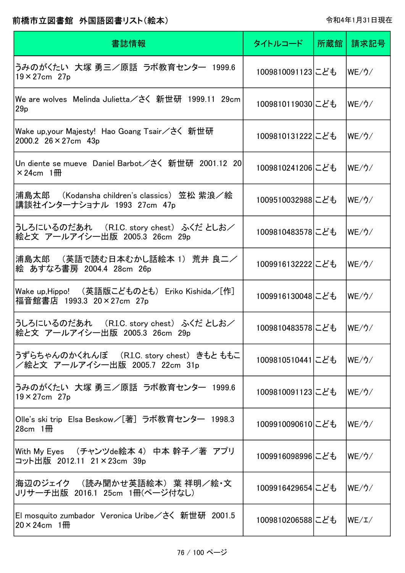| 書誌情報                                                                                    | タイトルコード          | 所蔵館 | 請求記号   |
|-----------------------------------------------------------------------------------------|------------------|-----|--------|
| うみのがくたい 大塚 勇三/原話 ラボ教育センター 1999.6<br>$19 \times 27$ cm 27p                               | 1009810091123にども |     | lWE/ウ∕ |
| 29p                                                                                     | 1009810119030にども |     | WE/2/  |
| Wake up,your Majesty! Hao Goang Tsair/さく 新世研<br>2000.2 $26 \times 27$ cm 43p            | 1009810131222にども |     | WE/2/  |
| Un diente se mueve Daniel Barbot/さく 新世研 2001.12 20 <br>$\times$ 24cm 1 <del>m</del>     | 1009810241206にども |     | WE/2/  |
| 浦島太郎 (Kodansha children's classics) 笠松 紫浪/絵<br>講談社インターナショナル 1993 27cm 47p               | 1009510032988にども |     | WE/2/  |
| うしろにいるのだあれ (R.I.C. story chest) ふくだ としお/<br>絵と文 アールアイシー出版 2005.3 26cm 29p               | 1009810483578にども |     | WE/2/  |
| 浦島太郎 (英語で読む日本むかし話絵本 1) 荒井 良二/<br>絵 あすなろ書房 2004.4 28cm 26p                               | 1009916132222にども |     | WE/2/  |
| Wake up,Hippo! (英語版こどものとも) Eriko Kishida/[作]<br>福音館書店 1993.3 20×27cm 27p                | 1009916130048にども |     | WE/2/  |
| うしろにいるのだあれ (R.I.C. story chest) ふくだ としお/<br> 絵と文 アールアイシー出版 2005.3 26cm 29p              | 1009810483578にども |     | WE/2/  |
| うずらちゃんのかくれんぼ (R.I.C. story chest)きもとももこ<br>/絵と文 アールアイシー出版 2005.7 22cm 31p               | 1009810510441にども |     | lWE/ウ/ |
| うみのがくたい 大塚 勇三/原話 ラボ教育センター 1999.6<br>$19 \times 27$ cm 27p                               | 1009810091123にども |     | lWE/ウ/ |
| Olle's ski trip Elsa Beskow/[著] ラボ教育センター 1998.3<br>$28cm$ 1 $\overline{m}$              | 1009910090610にども |     | WE/ウ/  |
| With My Eyes (チャンツde絵本 4) 中本 幹子/著 アプリ<br>コット出版 2012.11 21×23cm 39p                      | 1009916098996にども |     | WE/2/  |
| 海辺のジェイク (読み聞かせ英語絵本) 葉 祥明/絵・文<br>Jリサーチ出版 2016.1 25cm 1冊(ページ付なし)                          | 1009916429654にども |     | lWE/ウ/ |
| El mosquito zumbador Veronica Uribe / さく 新世研 2001.5<br>$20 \times 24$ cm 1 <del>m</del> | 1009810206588にども |     | WE/L/  |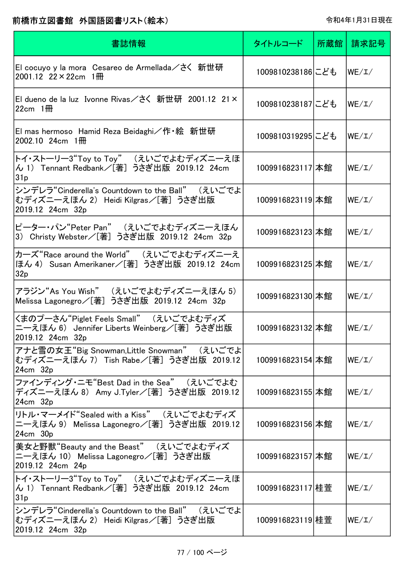| 書誌情報                                                                                                          | タイトルコード          | 所蔵館 | 請求記号  |
|---------------------------------------------------------------------------------------------------------------|------------------|-----|-------|
| El cocuyo y la mora Cesareo de Armellada/さく 新世研<br>2001.12 $22 \times 22$ cm 1 HH                             | 1009810238186にども |     | WE/L/ |
| El dueno de la luz Ivonne Rivas/さく 新世研 2001.12 21×<br>$22cm$ 1 HH                                             | 1009810238187にども |     | WE/L/ |
| El mas hermoso Hamid Reza Beidaghi/作 ·絵 新世研<br>2002.10 24cm $1\overline{m}$                                   | 1009810319295にども |     | WE/L/ |
| トイ・ストーリー3"Toy to Toy" (えいごでよむディズニーえほ<br>ん 1) Tennant Redbank/[著] うさぎ出版 2019.12 24cm<br>31p                    | 1009916823117 本館 |     | WE/L/ |
| シンデレラ"Cinderella's Countdown to the Ball" (えいごでよ<br>むディズニーえほん 2) Heidi Kilgras/[著] うさぎ出版<br>2019.12 24cm 32p  | 1009916823119 本館 |     | WE/L/ |
| ピーター・パン"Peter Pan" (えいごでよむディズニーえほん<br>3) Christy Webster/[著] うさぎ出版 2019.12 24cm 32p                           | 1009916823123 本館 |     | WE/L/ |
| カーズ"Race around the World" (えいごでよむディズニーえ<br>ほん 4) Susan Amerikaner/[著] うさぎ出版 2019.12 24cm<br>32p              | 1009916823125 本館 |     | WE/L/ |
| アラジン"As You Wish" (えいごでよむディズニーえほん 5)<br>Melissa Lagonegro/[著] うさぎ出版 2019.12 24cm 32p                          | 1009916823130 本館 |     | WE/L/ |
| くまのプーさん"Piglet Feels Small" (えいごでよむディズ<br>ニーえほん 6) Jennifer Liberts Weinberg/[著] うさぎ出版<br>2019.12 24cm 32p    | 1009916823132 本館 |     | WE/L/ |
| アナと雪の女王"Big Snowman,Little Snowman" (えいごでよ<br>むディズニーえほん 7) Tish Rabe/[著] うさぎ出版 2019.12<br>24cm 32p            | 1009916823154 本館 |     | WE/L/ |
| ファインディング・ニモ"Best Dad in the Sea" (えいごでよむ<br>ディズニーえほん 8) Amy J.Tyler/[著] うさぎ出版 2019.12<br>24cm 32p             | 1009916823155 本館 |     | WE/L/ |
| リトル・マーメイド"Sealed with a Kiss" (えいごでよむディズ<br>ニーえほん 9) Melissa Lagonegro/[著] うさぎ出版 2019.12<br>24cm 30p          | 1009916823156 本館 |     | WE/L/ |
| 美女と野獣"Beauty and the Beast" (えいごでよむディズ<br>ニーえほん 10) Melissa Lagonegro/[著] うさぎ出版<br>2019.12 24cm 24p           | 1009916823157 本館 |     | WE/L/ |
| トイ・ストーリー3"Toy to Toy" (えいごでよむディズニーえほ<br>ん 1) Tennant Redbank/[著] うさぎ出版 2019.12 24cm<br>31p                    | 1009916823117 桂萱 |     | WE/L/ |
| シンデレラ"Cinderella's Countdown to the Ball" (えいごでよ<br> むディズニーえほん 2) Heidi Kilgras/[著] うさぎ出版<br>2019.12 24cm 32p | 1009916823119 桂萱 |     | WE/L/ |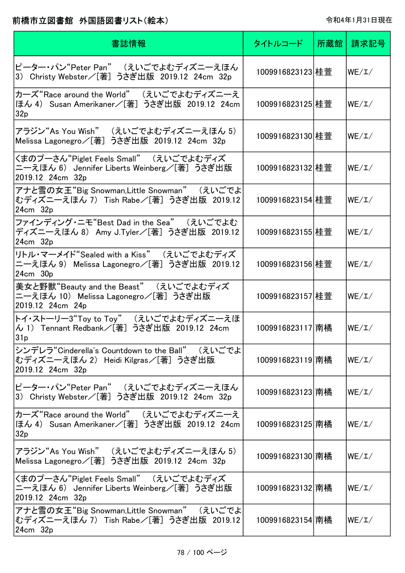| 書誌情報                                                                                                         | タイトルコード          | 所蔵館丨 | 請求記号  |
|--------------------------------------------------------------------------------------------------------------|------------------|------|-------|
| ピーター・パン"Peter Pan" (えいごでよむディズニーえほん<br>3) Christy Webster/[著] うさぎ出版 2019.12 24cm 32p                          | 1009916823123 桂萱 |      | WE/L/ |
| カーズ"Race around the World" (えいごでよむディズニーえ<br>ほん 4) Susan Amerikaner/[著] うさぎ出版 2019.12 24cm<br>32p             | 1009916823125 桂萱 |      | WE/L/ |
| アラジン"As You Wish" (えいごでよむディズニーえほん 5)<br>Melissa Lagonegro/[著] うさぎ出版 2019.12 24cm 32p                         | 1009916823130 桂萱 |      | WE/L/ |
| くまのプーさん"Piglet Feels Small" (えいごでよむディズ<br>ニーえほん 6) Jennifer Liberts Weinberg/[著] うさぎ出版<br>2019.12 24cm 32p   | 1009916823132 桂萱 |      | WE/L/ |
| アナと雪の女王"Big Snowman,Little Snowman" (えいごでよ<br>むディズニーえほん 7) Tish Rabe/[著] うさぎ出版 2019.12<br>24cm 32p           | 1009916823154 桂萱 |      | WE/L/ |
| ファインディング・ニモ"Best Dad in the Sea" (えいごでよむ<br>ディズニーえほん 8) Amy J.Tyler/[著] うさぎ出版 2019.12<br>24cm 32p            | 1009916823155 桂萱 |      | WE/L/ |
| リトル・マーメイド"Sealed with a Kiss" (えいごでよむディズ<br>ニーえほん 9) Melissa Lagonegro/[著] うさぎ出版 2019.12<br>24cm 30p         | 1009916823156 桂萱 |      | WE/L/ |
| 美女と野獣"Beauty and the Beast" (えいごでよむディズ<br>ニーえほん 10) Melissa Lagonegro/[著] うさぎ出版<br>2019.12 24cm 24p          | 1009916823157 桂萱 |      | WE/L/ |
| トイ・ストーリー3"Toy to Toy" (えいごでよむディズニーえほ<br>ん 1) Tennant Redbank/[著] うさぎ出版 2019.12 24cm<br>31p                   | 1009916823117 南橘 |      | WE/L/ |
| シンデレラ"Cinderella's Countdown to the Ball" (えいごでよ<br>むディズニーえほん 2) Heidi Kilgras/[著] うさぎ出版<br>2019.12 24cm 32p | 1009916823119 南橘 |      | WE/L/ |
| ピーター・パン"Peter Pan" (えいごでよむディズニーえほん<br>3) Christy Webster/[著] うさぎ出版 2019.12 24cm 32p                          | 1009916823123 南橘 |      | WE/L/ |
| カーズ"Race around the World" (えいごでよむディズニーえ<br>ほん 4) Susan Amerikaner/[著] うさぎ出版 2019.12 24cm<br>32p             | 1009916823125 南橘 |      | WE/L/ |
| アラジン"As You Wish" (えいごでよむディズニーえほん 5)<br>Melissa Lagonegro/[著] うさぎ出版 2019.12 24cm 32p                         | 1009916823130 南橘 |      | WE/L/ |
| くまのプーさん"Piglet Feels Small" (えいごでよむディズ<br>ニーえほん 6) Jennifer Liberts Weinberg/[著] うさぎ出版<br>2019.12 24cm 32p   | 1009916823132 南橘 |      | WE/L/ |
| アナと雪の女王"Big Snowman,Little Snowman" (えいごでよ<br> むディズニーえほん 7) Tish Rabe/[著] うさぎ出版 2019.12  <br>24cm 32p        | 1009916823154雨橘  |      | WE/L/ |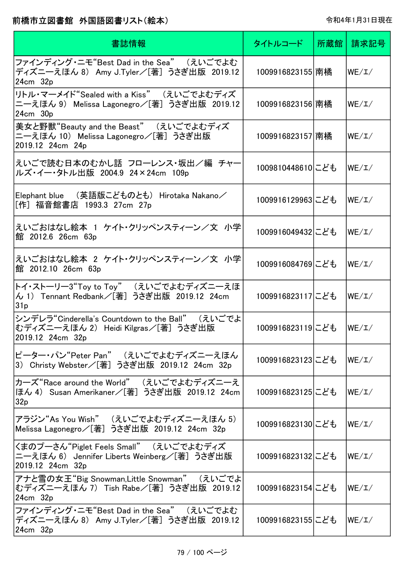| 書誌情報                                                                                                         | タイトルコード          | 所蔵館 | 請求記号  |
|--------------------------------------------------------------------------------------------------------------|------------------|-----|-------|
| ファインディング・ニモ"Best Dad in the Sea" (えいごでよむ<br>ディズニーえほん 8) Amy J.Tyler/[著] うさぎ出版 2019.12<br>24cm 32p            | 1009916823155 南橘 |     | WE/L/ |
| リトル・マーメイド"Sealed with a Kiss" (えいごでよむディズ<br>ニーえほん 9) Melissa Lagonegro/[著] うさぎ出版 2019.12<br>$24cm$ $30p$     | 1009916823156 南橘 |     | WE/L/ |
| 美女と野獣"Beauty and the Beast" (えいごでよむディズ<br>ニーえほん 10) Melissa Lagonegro/[著] うさぎ出版<br>2019.12 24cm 24p          | 1009916823157 南橘 |     | WE/L/ |
| えいごで読む日本のむかし話 フローレンス・坂出/編 チャー<br>ルズ・イー・タトル出版 2004.9 24×24cm 109p                                             | 1009810448610にども |     | WE/L/ |
| Elephant blue (英語版こどものとも) Hirotaka Nakano/<br>[作] 福音館書店 1993.3 27cm 27p                                      | 1009916129963にども |     | WE/L/ |
| えいごおはなし絵本 1 ケイト・クリッペンスティーン/文 小学<br>館 2012.6 26cm 63p                                                         | 1009916049432にども |     | WE/L/ |
| えいごおはなし絵本 2 ケイト・クリッペンスティーン/文 小学<br>館 2012.10 26cm 63p                                                        | 1009916084769にども |     | WE/L/ |
| トイ・ストーリー3"Toy to Toy" (えいごでよむディズニーえほ<br>ん 1) Tennant Redbank/[著] うさぎ出版 2019.12 24cm<br>31p                   | 1009916823117にども |     | WE/L/ |
| シンデレラ"Cinderella's Countdown to the Ball" (えいごでよ<br>むディズニーえほん 2) Heidi Kilgras/[著] うさぎ出版<br>2019.12 24cm 32p | 1009916823119にども |     | WE/L/ |
| ピーター・パン"Peter Pan" (えいごでよむディズニーえほん<br>3) Christy Webster/[著] うさぎ出版 2019.12 24cm 32p                          | 1009916823123にども |     | WE/L/ |
| カーズ"Race around the World" (えいごでよむディズニーえ<br>ほん 4) Susan Amerikaner/[著] うさぎ出版 2019.12 24cm<br>32p             | 1009916823125にども |     | WE/L/ |
| アラジン"As You Wish" (えいごでよむディズニーえほん 5)<br>Melissa Lagonegro/[著] うさぎ出版 2019.12 24cm 32p                         | 1009916823130にども |     | WE/L/ |
| くまのプーさん"Piglet Feels Small" (えいごでよむディズ<br>ニーえほん 6) Jennifer Liberts Weinberg/[著] うさぎ出版<br>2019.12 24cm 32p   | 1009916823132にども |     | WE/L/ |
| アナと雪の女王"Big Snowman,Little Snowman" (えいごでよ<br>むディズニーえほん 7) Tish Rabe/[著] うさぎ出版 2019.12<br>24cm 32p           | 1009916823154にども |     | WE/L/ |
| ファインディング・ニモ"Best Dad in the Sea" (えいごでよむ<br>ディズニーえほん 8) Amy J.Tyler/[著] うさぎ出版 2019.12<br>24cm 32p            | 1009916823155にども |     | WE/L/ |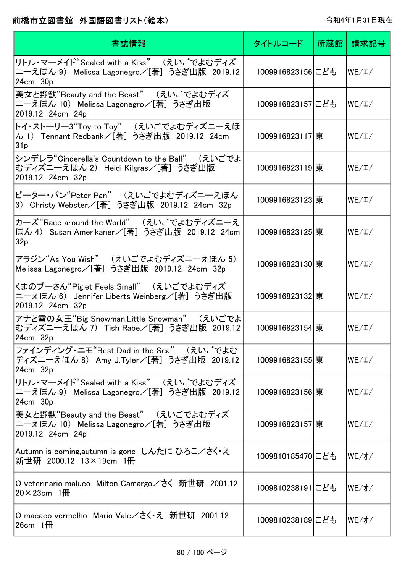| 書誌情報                                                                                                         | タイトルコード          | 所蔵館 | 請求記号           |
|--------------------------------------------------------------------------------------------------------------|------------------|-----|----------------|
| リトル・マーメイド"Sealed with a Kiss" (えいごでよむディズ<br>ニーえほん 9) Melissa Lagonegro/[著] うさぎ出版 2019.12<br>24cm 30p         | 1009916823156にども |     | WE/L/          |
| 美女と野獣"Beauty and the Beast" (えいごでよむディズ<br>ニーえほん 10) Melissa Lagonegro/[著] うさぎ出版<br>2019.12 24cm 24p          | 1009916823157にども |     | WE/L/          |
| トイ・ストーリー3"Toy to Toy" (えいごでよむディズニーえほ<br>ん 1) Tennant Redbank/[著] うさぎ出版 2019.12 24cm<br>31p                   | 1009916823117 東  |     | WE/L/          |
| シンデレラ"Cinderella's Countdown to the Ball" (えいごでよ<br>むディズニーえほん 2) Heidi Kilgras/[著] うさぎ出版<br>2019.12 24cm 32p | 1009916823119 東  |     | WE/L/          |
| ピーター・パン"Peter Pan" (えいごでよむディズニーえほん<br>3) Christy Webster/[著] うさぎ出版 2019.12 24cm 32p                          | 1009916823123 東  |     | WE/L/          |
| カーズ"Race around the World" (えいごでよむディズニーえ<br>ほん 4) Susan Amerikaner/[著] うさぎ出版 2019.12 24cm<br>32p             | 1009916823125 東  |     | WE/L/          |
| アラジン"As You Wish" (えいごでよむディズニーえほん 5)<br>Melissa Lagonegro/[著] うさぎ出版 2019.12 24cm 32p                         | 1009916823130 東  |     | WE/L/          |
| くまのプーさん"Piglet Feels Small" (えいごでよむディズ<br>ニーえほん 6) Jennifer Liberts Weinberg/[著] うさぎ出版<br>2019.12 24cm 32p   | 1009916823132 東  |     | WE/L/          |
| アナと雪の女王"Big Snowman,Little Snowman" (えいごでよ<br>むディズニーえほん 7) Tish Rabe/[著] うさぎ出版 2019.12  <br>24cm 32p         | 1009916823154 東  |     | WE/L/          |
| ファインディング·ニモ"Best Dad in the Sea" (えいごでよむ<br>ディズニーえほん 8) Amy J.Tyler/[著] うさぎ出版 2019.12<br>24cm 32p            | 1009916823155 東  |     | WE/L/          |
| リトル・マーメイド"Sealed with a Kiss" (えいごでよむディズ<br>ニーえほん 9) Melissa Lagonegro/[著] うさぎ出版 2019.12<br>24cm 30p         | 1009916823156 東  |     | WE/L/          |
| 美女と野獣"Beauty and the Beast" (えいごでよむディズ<br>ニーえほん 10) Melissa Lagonegro/[著] うさぎ出版<br>2019.12 24cm 24p          | 1009916823157 東  |     | WE/L/          |
| Autumn is coming,autumn is gone しんたに ひろこ/さく・え<br>新世研 2000.12 13×19cm 1冊                                      | 1009810185470にども |     | $WE/$ オ $/$    |
| O veterinario maluco Milton Camargo/さく 新世研 2001.12<br>$20 \times 23$ cm 1 <del>M</del>                       | 1009810238191にども |     | $WE/\tau$ /    |
| O macaco vermelho Mario Vale/さく・え 新世研 2001.12<br>$26cm$ 1 HH                                                 | 1009810238189にども |     | $WE/\nuparrow$ |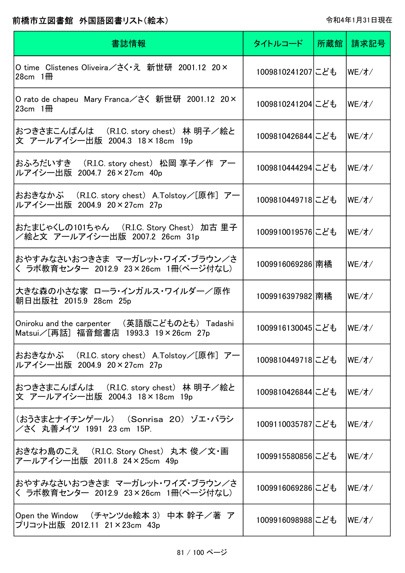| 書誌情報                                                                                     | タイトルコード          | 所蔵館 | 請求記号                             |
|------------------------------------------------------------------------------------------|------------------|-----|----------------------------------|
| O time Clistenes Oliveira/さく え 新世研 2001.12 20×<br>$28cm$ 1 HH                            | 1009810241207にども |     | $WE/\n7$                         |
| O rato de chapeu Mary Franca/さく 新世研 2001.12 20×<br>$23cm$ 1 HH                           | 1009810241204にども |     | WE/1/                            |
| おつきさまこんばんは (R.I.C. story chest)林 明子/絵と<br>文 アールアイシー出版 2004.3 18×18cm 19p                 | 1009810426844にども |     | $WE/\nuparrow$                   |
| おふろだいすき (R.I.C. story chest) 松岡 享子/作 アー<br>ルアイシー出版 2004.7 26×27cm 40p                    | 1009810444294にども |     | $WE/\n7$                         |
| おおきなかぶ (R.I.C. story chest) A.Tolstoy/[原作] アー<br>ルアイシー出版 2004.9 20×27cm 27p              | 1009810449718にども |     | WE/1/                            |
| おたまじゃくしの101ちゃん (R.I.C. Story Chest)加古 里子<br>/絵と文 アールアイシー出版 2007.2 26cm 31p               | 1009910019576にども |     | $WE/\nuparrow$                   |
| おやすみなさいおつきさま マーガレット・ワイズ・ブラウン/さ<br>く ラボ教育センター 2012.9 23×26cm 1冊(ページ付なし)                   | 1009916069286 南橘 |     | WE/1/                            |
| 大きな森の小さな家 ローラ・インガルス・ワイルダー/原作<br>朝日出版社 2015.9 28cm 25p                                    | 1009916397982 南橘 |     | $WE/\nuparrow$                   |
| (英語版こどものとも) Tadashi<br>Oniroku and the carpenter<br>Matsui∕[再話] 福音館書店 1993.3 19×26cm 27p | 1009916130045にども |     | $WE/\n7$                         |
| おおきなかぶ (R.I.C. story chest) A.Tolstoy/[原作] アー<br>ルアイシー出版 2004.9 20×27cm 27p              | 1009810449718にども |     | WE/1/                            |
| おつきさまこんばんは (R.I.C. story chest) 林 明子/絵と<br>文 アールアイシー出版 2004.3 18×18cm 19p                | 1009810426844にども |     | $WE/\n7$                         |
| (おうさまとナイチンゲール) (Sonrisa 20)ゾエ・バラシ<br>/さく 丸善メイツ 1991 23 cm 15P.                           | 1009110035787にども |     | lWE/オ/                           |
| おきなわ島のこえ (R.I.C. Story Chest) 丸木 俊/文・画<br>アールアイシー出版 2011.8 24×25cm 49p                   | 1009915580856にども |     | $ WE/\nuparrow /$                |
| おやすみなさいおつきさま マーガレット・ワイズ・ブラウン/さ<br>く ラボ教育センター 2012.9 23×26cm 1冊(ページ付なし)                   | 1009916069286にども |     | WE/1/                            |
| Open the Window (チャンツde絵本 3) 中本 幹子/著 ア<br>プリコット出版 2012.11 21×23cm 43p                    | 1009916098988にども |     | $ \mathsf{WE}/\mathsf{Z}\rangle$ |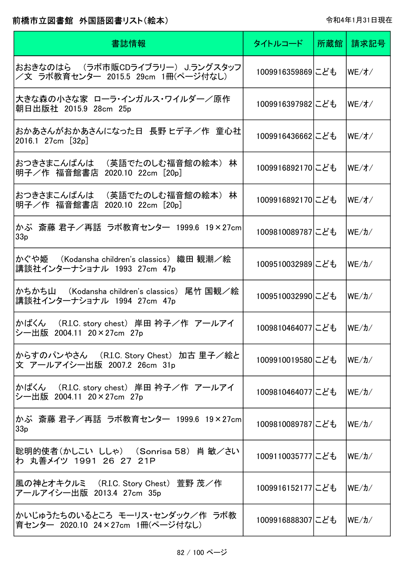| 書誌情報                                                                       | タイトルコード          | 所蔵館 | 請求記号                              |
|----------------------------------------------------------------------------|------------------|-----|-----------------------------------|
| おおきなのはら (ラボ市販CDライブラリー) J.ラングスタッフ<br>/文 ラボ教育センター 2015.5 29cm 1冊(ページ付なし)     | 1009916359869にども |     | $WE/$ $\tau$ /                    |
| 大きな森の小さな家 ローラ・インガルス・ワイルダー/原作<br>朝日出版社 2015.9 28cm 25p                      | 1009916397982にども |     | $WE/$ $\tau$ /                    |
| おかあさんがおかあさんになった日 長野 ヒデ子/作 童心社<br>2016.1 27cm [32p]                         | 1009916436662にども |     | WE/1/                             |
| おつきさまこんばんは (英語でたのしむ福音館の絵本)<br>林<br>明子/作 福音館書店 2020.10 22cm [20p]           | 1009916892170にども |     | WE/7/                             |
| おつきさまこんばんは (英語でたのしむ福音館の絵本)<br>林<br>明子/作 福音館書店<br>2020.10 22cm [20p]        | 1009916892170にども |     | $WE/\pi/$                         |
| かぶ 斎藤 君子/再話 ラボ教育センター 1999.6 19×27cm <br>33 <sub>p</sub>                    | 1009810089787にども |     | $WE/ \hbar/$                      |
| かぐや姫 (Kodansha children's classics) 織田 観潮/絵<br>講談社インターナショナル 1993 27cm 47p  | 1009510032989にども |     | $WE/ \hbar/$                      |
| かちかち山 (Kodansha children's classics) 尾竹 国観/絵<br>講談社インターナショナル 1994 27cm 47p | 1009510032990にども |     | $WE/ \hbar/$                      |
| かばくん (R.I.C. story chest) 岸田 衿子/作 アールアイ<br>シー出版<br>2004.11 20 × 27cm 27p   | 1009810464077にども |     | $ \mathsf{WE}/\mathsf{1}\rangle/$ |
| からすのパンやさん (R.I.C. Story Chest) 加古 里子/絵と<br>文 アールアイシー出版 2007.2 26cm 31p     | 1009910019580にども |     | lWE/カ/                            |
| かばくん (R.I.C. story chest) 岸田 衿子/作 アールアイ<br>シー出版 2004.11 20×27cm 27p        | 1009810464077にども |     | lWE/カ/                            |
| かぶ 斎藤 君子/再話 ラボ教育センター 1999.6 19×27cm <br>33 <sub>p</sub>                    | 1009810089787にども |     | lWE/カ/                            |
| 聡明的使者(かしこい ししゃ) (Sonrisa 58) 肖 敏/さい<br>わ 丸善メイツ 1991 26 27 21P              | 1009110035777にども |     | lWE/カ/                            |
| 風の神とオキクルミ (R.I.C. Story Chest) 萱野 茂/作<br>アールアイシー出版 2013.4 27cm 35p         | 1009916152177にども |     | lWE/カ/                            |
| かいじゅうたちのいるところ モーリス・センダック/作 ラボ教<br>育センター 2020.10 24×27cm 1冊(ページ付なし)         | 1009916888307にども |     | WE/カ/                             |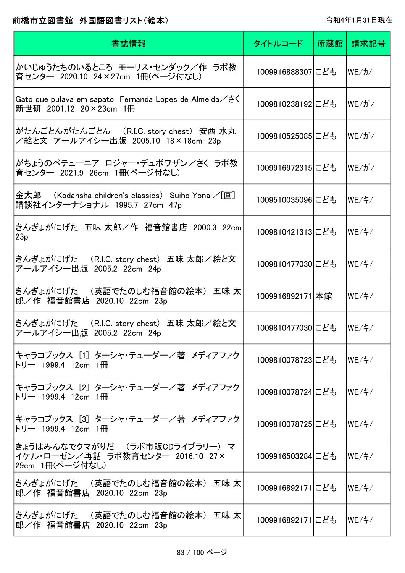| 書誌情報                                                                                  | タイトルコード          | 所蔵館 | 請求記号              |
|---------------------------------------------------------------------------------------|------------------|-----|-------------------|
| かいじゅうたちのいるところ モーリス・センダック/作 ラボ教<br>育センター 2020.10 24×27cm 1冊(ページ付なし)                    | 1009916888307にども |     | $WE/ \hbar/$      |
| Gato que pulava em sapato Fernanda Lopes de Almeida/さく<br>新世研 2001.12 20×23cm 1冊      | 1009810238192にども |     | $WE/J^{\dagger}/$ |
| がたんごとんがたんごとん (R.I.C. story chest) 安西 水丸<br>/絵と文 アールアイシー出版 2005.10 18×18cm 23p         | 1009810525085にども |     | $WE/J^{\dagger}/$ |
| がちょうのペチューニア ロジャー・デュボワザン/さく ラボ教<br>育センター 2021.9 26cm 1冊(ページ付なし)                        | 1009916972315にども |     | WE/ガ/             |
| 金太郎  (Kodansha children's classics) Suiho Yonai/[画]<br>講談社インターナショナル 1995.7 27cm 47p   | 1009510035096にども |     | WE/4/             |
| きんぎょがにげた 五味 太郎/作 福音館書店 2000.3 22cm <br>23p                                            | 1009810421313にども |     | $WE/+$            |
| きんぎょがにげた (R.I.C. story chest) 五味 太郎/絵と文<br>アールアイシー出版 2005.2 22cm 24p                  | 1009810477030にども |     | $WE/+$            |
| きんぎょがにげた (英語でたのしむ福音館の絵本) 五味 太 <br>郎/作 福音館書店 2020.10 22cm 23p                          | 1009916892171 本館 |     | WE/4/             |
| きんぎょがにげた (R.I.C. story chest) 五味 太郎/絵と文<br>アールアイシー出版 2005.2 22cm 24p                  | 1009810477030にども |     | WE/4/             |
| キャラコブックス[1]ターシャ・テューダー/著 メディアファク<br>トリー 1999.4 12cm 1冊                                 | 1009810078723にども |     | $WE/\ddagger/$    |
| キャラコブックス [2] ターシャ・テューダー/著 メディアファク<br>トリー 1999.4 12cm 1冊                               | 1009810078724にども |     | WE/4/             |
| キャラコブックス「3]ターシャ・テューダー/著 メディアファク<br>トリー 1999.4 12cm 1冊                                 | 1009810078725にども |     | WE/4/             |
| きょうはみんなでクマがりだ (ラボ市販CDライブラリー) マ<br>イケル・ローゼン/再話 ラボ教育センター 2016.10 27×<br>29cm 1冊(ページ付なし) | 1009916503284にども |     | WE/4/             |
| きんぎょがにげた (英語でたのしむ福音館の絵本) 五味 太 <br>郎/作 福音館書店 2020.10 22cm 23p                          | 1009916892171にども |     | WE/F/             |
| きんぎょがにげた (英語でたのしむ福音館の絵本) 五味 太<br>郎/作 福音館書店 2020.10 22cm 23p                           | 1009916892171にども |     | WE/ f /           |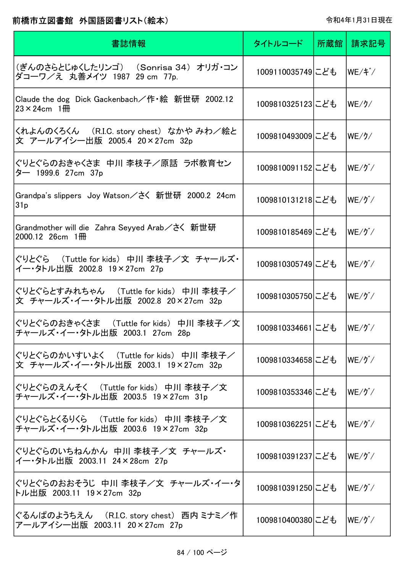| 書誌情報                                                                               | タイトルコード          | 所蔵館 請求記号                             |
|------------------------------------------------------------------------------------|------------------|--------------------------------------|
| (ぎんのさらとじゅくしたリンゴ) (Sonrisa 34) オリガ・コン<br>ダコーワ/え 丸善メイツ 1987 29 cm 77p.               | 1009110035749にども | lwE/ギ/                               |
| Claude the dog Dick Gackenbach/作・絵 新世研 2002.12<br>$23 \times 24$ cm 1 <del>M</del> | 1009810325123にども | $ \mathsf{WE}/\mathcal{H}\rangle$    |
| くれよんのくろくん ( R.I.C. story chest) なかや みわ/絵と<br>文 アールアイシー出版 2005.4 20×27cm 32p        | 1009810493009にども | WE/J/                                |
| ぐりとぐらのおきゃくさま 中川 李枝子/原話 ラボ教育セン<br>ター 1999.6 27cm 37p                                | 1009810091152にども | $WE/J^{\ast}/$                       |
| Grandpa's slippers Joy Watson/さく 新世研 2000.2 24cm<br>31p                            | 1009810131218にども | $WE/J^{\ast}/$                       |
| Grandmother will die Zahra Seyyed Arab/さく 新世研<br>$2000.12$ 26cm $1\overline{m}$    | 1009810185469にども | $WE/J^{\ast}/$                       |
| ぐりとぐら (Tuttle for kids) 中川 李枝子/文 チャールズ・<br>イー・タトル出版 2002.8 19×27cm 27p             | 1009810305749にども | $WE/J^{\ast}/$                       |
| ぐりとぐらとすみれちゃん (Tuttle for kids) 中川 李枝子/<br>文 チャールズ・イー・タトル出版 2002.8 20×27cm 32p      | 1009810305750にども | $WE/J^{\ast}/$                       |
| ぐりとぐらのおきゃくさま (Tuttle for kids) 中川 李枝子/文<br>チャールズ・イー・タトル出版 2003.1 27cm 28p          | 1009810334661にども | $ \mathsf{WE}/\mathfrak{H}^*\!/ $    |
| ぐりとぐらのかいすいよく (Tuttle for kids) 中川 李枝子/<br>文 チャールズ・イー・タトル出版 2003.1 19×27cm 32p      | 1009810334658にども | $WE/J^{\ast}/$                       |
| ぐりとぐらのえんそく (Tuttle for kids) 中川 李枝子/文<br>チャールズ・イー・タトル出版 2003.5 19×27cm 31p         | 1009810353346にども | $ \mathsf{WE}/\mathfrak{H}^*\!/ $    |
| ぐりとぐらとくるりくら (Tuttle for kids) 中川 李枝子/文<br>チャールズ・イー・タトル出版 2003.6 19×27cm 32p        | 1009810362251にども | $ \mathsf{WE}/\mathfrak{H}^*\!/$     |
| ぐりとぐらのいちねんかん 中川 李枝子/文 チャールズ・<br>イー・タトル出版 2003.11 24×28cm 27p                       | 1009810391237にども | $ \mathsf{WE}/\mathfrak{H}^*\!/ $    |
| ぐりとぐらのおおそうじ 中川 李枝子/文 チャールズ・イー・タ<br>トル出版 2003.11 19×27cm 32p                        | 1009810391250にども | $ \mathsf{WE}/\mathfrak{H}^*\rangle$ |
| ぐるんぱのようちえん (R.I.C. story chest) 西内 ミナミ/作<br>アールアイシー出版 2003.11 20×27cm 27p          | 1009810400380にども | $ \mathsf{WE}/\mathfrak{H}^*\!/$     |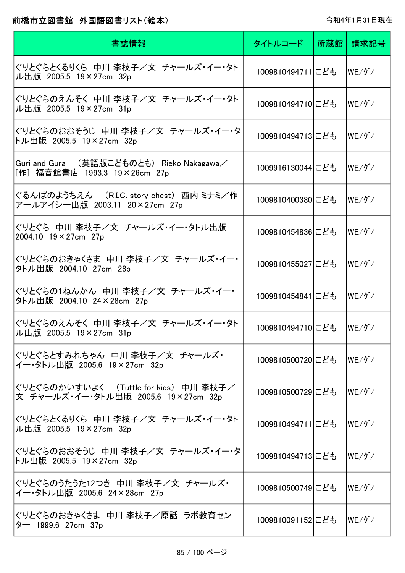| 書誌情報                                                                          | タイトルコード          | 所蔵館 | 請求記号                            |
|-------------------------------------------------------------------------------|------------------|-----|---------------------------------|
| ぐりとぐらとくるりくら 中川 李枝子/文 チャールズ・イー・タト<br>ル出版 2005.5 19×27cm 32p                    | 1009810494711にども |     | $WE/J^*/$                       |
| ぐりとぐらのえんそく 中川 李枝子/文 チャールズ・イー・タト<br>ル出版 2005.5 19×27cm 31p                     | 1009810494710にども |     | $WE/J^{\ast}/$                  |
| ぐりとぐらのおおそうじ 中川 李枝子/文 チャールズ・イー・タ <br>トル出版 2005.5 19×27cm 32p                   | 1009810494713にども |     | $WE/J^*/$                       |
| Guri and Gura (英語版こどものとも) Rieko Nakagawa/<br>[作] 福音館書店 1993.3 19×26cm 27p     | 1009916130044にども |     | $WE/J^*/$                       |
| ぐるんぱのようちえん (R.I.C. story chest) 西内 ミナミ/作<br>アールアイシー出版 2003.11 20×27cm 27p     | 1009810400380にども |     | $WE/J^*/$                       |
| ぐりとぐら 中川 李枝子/文 チャールズ・イー・タトル出版<br>2004.10 19 × 27cm 27p                        | 1009810454836にども |     | $WE/J^*/$                       |
| ぐりとぐらのおきゃくさま 中川 李枝子/文 チャールズ・イー・<br>タトル出版 2004.10 27cm 28p                     | 1009810455027にども |     | $WE/J^{\star}/$                 |
| ぐりとぐらの1ねんかん 中川 李枝子/文 チャールズ・イー・<br>タトル出版 2004.10 24×28cm 27p                   | 1009810454841にども |     | $WE/J^*/$                       |
| ぐりとぐらのえんそく 中川 李枝子/文 チャールズ・イー・タト<br>ル出版 2005.5 19×27cm 31p                     | 1009810494710にども |     | $WE/J^{\check{}}/$              |
| ぐりとぐらとすみれちゃん 中川 李枝子/文 チャールズ・<br>イー・タトル出版 2005.6 19×27cm 32p                   | 1009810500720にども |     | $WE/J^{\check{}}/$              |
| ぐりとぐらのかいすいよく (Tuttle for kids) 中川 李枝子/<br>文 チャールズ・イー・タトル出版 2005.6 19×27cm 32p | 1009810500729にども |     | $WE/J^*/$                       |
| ぐりとぐらとくるりくら 中川 李枝子/文 チャールズ・イー・タト<br>ル出版 2005.5 19×27cm 32p                    | 1009810494711にども |     | $WE/J^{\ast}/$                  |
| ぐりとぐらのおおそうじ 中川 李枝子/文 チャールズ・イー・タ<br>トル出版 2005.5 19×27cm 32p                    | 1009810494713にども |     | $WE/J^{\ast}/$                  |
| ぐりとぐらのうたうた12つき 中川 李枝子/文 チャールズ・<br>イー・タトル出版 2005.6 24×28cm 27p                 | 1009810500749にども |     | $WE/J^{\ast}/$                  |
| ぐりとぐらのおきゃくさま 中川 李枝子/原話 ラボ教育セン<br>ター 1999.6 27cm 37p                           | 1009810091152にども |     | $ \mathsf{WE}/\mathfrak{H}^*/ $ |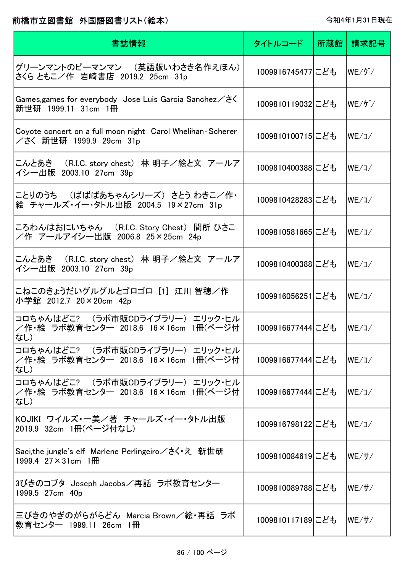| 書誌情報                                                                                                 | タイトルコード           | 所蔵館 | 請求記号                           |
|------------------------------------------------------------------------------------------------------|-------------------|-----|--------------------------------|
| グリーンマントのピーマンマン (英語版いわさき名作えほん)<br>さくら ともこ/作 岩崎書店 2019.2 25cm 31p                                      | 1009916745477にども  |     | $ \mathsf{WE}/\mathcal{P}^*/ $ |
| Games,games for everybody Jose Luis Garcia Sanchez $\angle$ $\gtrsim$ $\zeta$<br>新世研 1999.11 31cm 1冊 | 1009810119032にども  |     | $ \mathsf{WE}/\mathsf{f}^*/ $  |
| Coyote concert on a full moon night Carol Whelihan-Scherer<br>/さく 新世研 1999.9 29cm 31p                | 1009810100715にども  |     | WE/J                           |
| こんとあき (R.I.C. story chest)林 明子/絵と文 アールア<br>イシー出版 2003.10 27cm 39p                                    | 1009810400388にども  |     | WE/J                           |
| ことりのうち (ばばばあちゃんシリーズ) さとう わきこ/作・<br>絵 チャールズ・イー・タトル出版 2004.5 19×27cm 31p                               | 1009810428283にども  |     | WE/J/                          |
| ころわんはおにいちゃん (R.I.C. Story Chest) 間所 ひさこ<br>/作 アールアイシー出版 2006.8 25×25cm 24p                           | 1009810581665にども  |     | WE/J                           |
| こんとあき  (R.I.C. story chest) 林 明子/絵と文 アールア<br>イシー出版 2003.10 27cm 39p                                  | 1009810400388にども  |     | WE/J                           |
| こねこのきょうだいグルグルとゴロゴロ[1] 江川 智穂/作<br>小学館 2012.7 20×20cm 42p                                              | 1009916056251にども  |     | WE/J/                          |
| コロちゃんはどこ? (ラボ市販CDライブラリー) エリック・ヒル<br>/作・絵 ラボ教育センター 2018.6 16×16cm 1冊(ページ付<br>なし)                      | 1009916677444 こども |     | WE/J                           |
| コロちゃんはどこ? (ラボ市販CDライブラリー) エリック・ヒル<br> /作・絵 ラボ教育センター 2018.6 16×16cm 1冊(ページ付<br>はし)                     | 1009916677444 こども |     | WE/J/                          |
| コロちゃんはどこ? (ラボ市販CDライブラリー) エリック・ヒル<br>/作・絵 ラボ教育センター 2018.6 16×16cm 1冊(ページ付<br>はし)                      | 1009916677444 こども |     | WE/J/                          |
| KOJIKI ワイルズ・一美/著 チャールズ・イー・タトル出版<br> 2019.9 32cm 1冊(ページ付なし)                                           | 1009916798122 こども |     | WE/コ/                          |
| Saci,the jungle's elf Marlene Perlingeiro/さく え 新世研<br>1999.4 $27 \times 31$ cm $1 \frac{m}{m}$       | 1009810084619にども  |     | $WE/ \frac{H}{L}$              |
| 3びきのコブタ Joseph Jacobs/再話 ラボ教育センター<br>1999.5 27cm 40p                                                 | 1009810089788にども  |     | lWE/サ/                         |
| 三びきのやぎのがらがらどん Marcia Brown/絵・再話 ラボ<br> 教育センター 1999.11 26cm 1冊                                        | 1009810117189にども  |     | WE/ H /                        |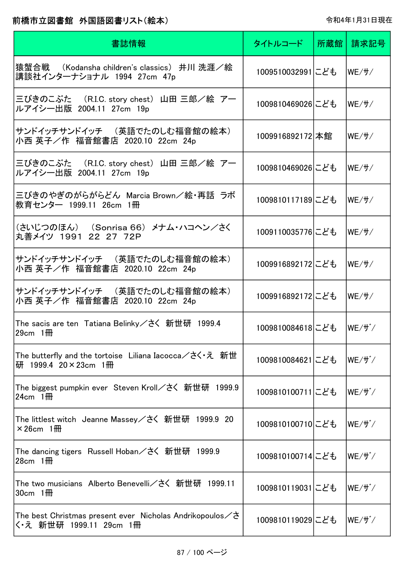| 書誌情報                                                                                                 | タイトルコード          | 所蔵館丨 | 請求記号   |
|------------------------------------------------------------------------------------------------------|------------------|------|--------|
| 猿蟹合戦 (Kodansha children's classics) 井川 洗涯/絵<br>講談社インターナショナル 1994 27cm 47p                            | 1009510032991にども |      | lWE/サ/ |
| 三びきのこぶた (R.I.C. story chest) 山田 三郎/絵 アー<br>ルアイシー出版 2004.11 27cm 19p                                  | 1009810469026にども |      | lWE/サ/ |
| サンドイッチサンドイッチ (英語でたのしむ福音館の絵本)<br>小西 英子/作 福音館書店 2020.10 22cm 24p                                       | 1009916892172 本館 |      | WE/ff/ |
| 三びきのこぶた (R.I.C. story chest) 山田 三郎/絵 アー<br>ルアイシー出版 2004.11 27cm 19p                                  | 1009810469026にども |      | WE/#   |
| 三びきのやぎのがらがらどん Marcia Brown/絵・再話 ラボ<br>教育センター 1999.11 26cm 1冊                                         | 1009810117189にども |      | WE/#   |
| (さいじつのほん) (Sonrisa 66) メナム・ハコヘン/さく<br>丸善メイツ 1991 22 27 72P                                           | 1009110035776にども |      | WE/#   |
| サンドイッチサンドイッチ (英語でたのしむ福音館の絵本)<br>小西 英子/作 福音館書店 2020.10 22cm 24p                                       | 1009916892172にども |      | WE/#   |
| サンドイッチサンドイッチ (英語でたのしむ福音館の絵本)<br>小西 英子/作 福音館書店 2020.10 22cm 24p                                       | 1009916892172にども |      | WE/#   |
| The sacis are ten Tatiana Belinky/さく 新世研 1999.4<br>$29cm$ 1 <del>M</del>                             | 1009810084618にども |      | lWE/ザ/ |
| The butterfly and the tortoise Liliana Iacocca/さく・え 新世<br>研 1999.4 20×23cm 1冊                        | 1009810084621にども |      | WE/ザ/  |
| The biggest pumpkin ever Steven Kroll/さく 新世研 1999.9<br>24cm $1$ <del>m</del>                         | 1009810100711にども |      | WE/ff' |
| The littlest witch  Jeanne Massey/さく  新世研  1999.9  20<br>$\times$ 26cm 1 <del>m</del>                | 1009810100710にども |      | WE/ff' |
| The dancing tigers   Russell Hoban/さく  新世研   1999.9<br>28cm $1$ <del>m</del>                         | 1009810100714にども |      | WE/ff' |
| The two musicians Alberto Benevelli/さく 新世研 1999.11<br>$30cm$ 1 HH                                    | 1009810119031にども |      | WE/ff' |
| The best Christmas present ever Nicholas Andrikopoulos $\angle$ $\gtrsim$<br>く・え 新世研 1999.11 29cm 1冊 | 1009810119029にども |      | WE/ザ/  |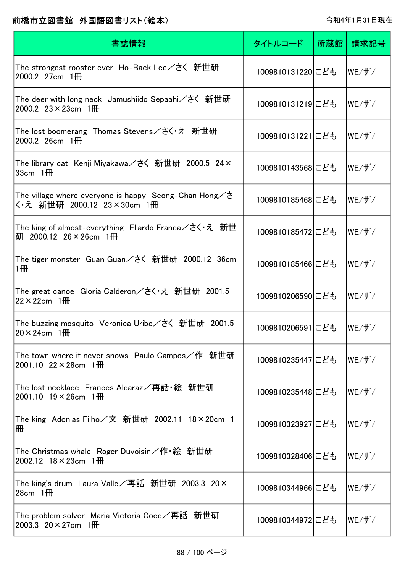| 書誌情報                                                                                          | タイトルコード          | 所蔵館 | 請求記号                   |
|-----------------------------------------------------------------------------------------------|------------------|-----|------------------------|
| The strongest rooster ever Ho-Baek Lee/さく 新世研<br>$2000.2$ 27cm $1$ HH                         | 1009810131220にども |     | lWE/ザ/                 |
| The deer with long neck Jamushiido Sepaahi/さく 新世研<br>2000.2 $23 \times 23$ cm $1 \frac{m}{m}$ | 1009810131219にども |     | WE/ザ`/                 |
| The lost boomerang Thomas Stevens/さく・え 新世研<br>$2000.2$ 26cm $1 \frac{m}{m}$                   | 1009810131221にども |     | WE/ff'                 |
| The library cat Kenji Miyakawa/さく 新世研 2000.5 24×<br>33cm $1$ <del>IIII</del>                  | 1009810143568にども |     | $WE/ {\mathfrak k}^*/$ |
| The village where everyone is happy Seong-Chan Hong $\angle$ さ<br>く・え 新世研 2000.12 23×30cm 1冊  | 1009810185468にども |     | $WE/ {\mathfrak k}^*/$ |
| The king of almost-everything Eliardo Franca/さく・え 新世<br>研 2000.12 26×26cm 1冊                  | 1009810185472にども |     | $WE/ {\mathfrak k}^*/$ |
| The tiger monster Guan Guan/さく 新世研 2000.12 36cm<br>1冊                                         | 1009810185466にども |     | $WE/ {\mathfrak k}^*/$ |
| The great canoe Gloria Calderon/さく・え 新世研 2001.5<br>$22 \times 22$ cm 1 $\overline{m}$         | 1009810206590にども |     | $WE/ {\mathfrak k}^*/$ |
| The buzzing mosquito Veronica Uribe/さく 新世研 2001.5<br>$20 \times 24$ cm 1\\omeg                | 1009810206591にども |     | WE/ff'                 |
| The town where it never snows Paulo Campos/作 新世研<br>$2001.10$ 22 $\times$ 28 cm 1 HH          | 1009810235447にども |     | lWE/ザ/                 |
| The lost necklace Frances Alcaraz/再話・絵 新世研<br>$2001.10$ 19 $\times$ 26cm 1 HH                 | 1009810235448にども |     | $WE/ {\mathfrak k}^*/$ |
| The king Adonias Filho/文 新世研 2002.11 18×20cm 1<br>冊                                           | 1009810323927にども |     | $WE/ff^{\star}/f$      |
| The Christmas whale   Roger Duvoisin/作・絵  新世研<br>2002.12 $18 \times 23$ cm $1 \text{H}$       | 1009810328406にども |     | $WE/ {\mathfrak k}^*/$ |
| The king's drum Laura Valle╱再話  新世研  2003.3  20×<br>$28cm$ 1 $\overline{m}$                   | 1009810344966にども |     | lWE/ザ/                 |
| The problem solver  Maria Victoria Coce/再話  新世研<br>2003.3 20 $\times$ 27cm 1 HH               | 1009810344972にども |     | WE/ザ゙/                 |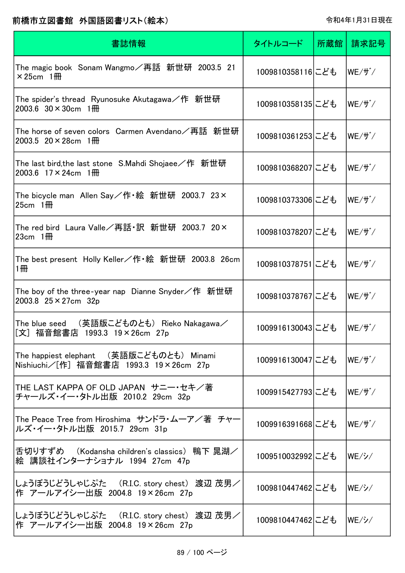| 書誌情報                                                                                             | タイトルコード          | 所蔵館 | 請求記号                             |
|--------------------------------------------------------------------------------------------------|------------------|-----|----------------------------------|
| The magic book Sonam Wangmo/再話  新世研  2003.5  21<br>$\times$ 25cm 1 <del>m</del>                  | 1009810358116にども |     | lWE/ザ/                           |
| The spider's thread  Ryunosuke Akutagawa/作  新世研<br>2003.6 $30 \times 30$ cm $1 \frac{m}{m}$      | 1009810358135にども |     | WE/ff'                           |
| The horse of seven colors  Carmen Avendano/再話  新世研<br>2003.5 20 $\times$ 28cm 1 <del>m</del>     | 1009810361253にども |     | WE/ff'                           |
| The last bird,the last stone  S.Mahdi Shojaee/作  新世研<br>2003.6 $17 \times 24$ cm $1 \frac{m}{m}$ | 1009810368207にども |     | WE/ff'/                          |
| The bicycle man   Allen Say/作・絵  新世研  2003.7   23×<br>$25cm$ 1 HH                                | 1009810373306にども |     | WE/ff'                           |
| The red bird  Laura Valle/再話・訳  新世研  2003.7  20×<br>23cm $1$ <del>m</del>                        | 1009810378207にども |     | WE/ff'                           |
| The best present Holly Keller/作・絵 新世研 2003.8 26cm<br>1冊                                          | 1009810378751にども |     | WE/ff'                           |
| The boy of the three-year nap Dianne Snyder/作 新世研<br>2003.8 $25 \times 27$ cm 32p                | 1009810378767にども |     | WE/ff'                           |
| (英語版こどものとも) Rieko Nakagawa/<br>The blue seed<br>[文] 福音館書店 1993.3 19×26cm 27p                     | 1009916130043にども |     | WE/ff'                           |
| The happiest elephant (英語版こどものとも) Minami<br>Nishiuchi/[作] 福音館書店 1993.3 19×26cm 27p               | 1009916130047にども |     | lWE/ザ/                           |
| THE LAST KAPPA OF OLD JAPAN サニー・セキ/著<br>チャールズ・イー・タトル出版 2010.2 29cm 32p                           | 1009915427793にども |     | lWE/ザ/                           |
| The Peace Tree from Hiroshima サンドラ・ムーア/著 チャー<br>ルズ・イー・タトル出版 2015.7 29cm 31p                      | 1009916391668にども |     | lWE/ザ/                           |
| 舌切りすずめ (Kodansha children's classics) 鴨下 晁湖/<br>絵 講談社インターナショナル 1994 27cm 47p                     | 1009510032992にども |     | $ \mathsf{WE}/\dot{\mathsf{V}} $ |
| しょうぼうじどうしゃじぷた (R.I.C. story chest) 渡辺 茂男/<br>作 アールアイシー出版 2004.8 19×26cm 27p                      | 1009810447462にども |     | $ \mathsf{WE}/\dot{\mathsf{V}} $ |
| しょうぼうじどうしゃじぷた (R.I.C. story chest) 渡辺 茂男/<br>作 アールアイシー出版 2004.8 19×26cm 27p                      | 1009810447462にども |     | $ \mathsf{WE}/\dot{\mathsf{V}} $ |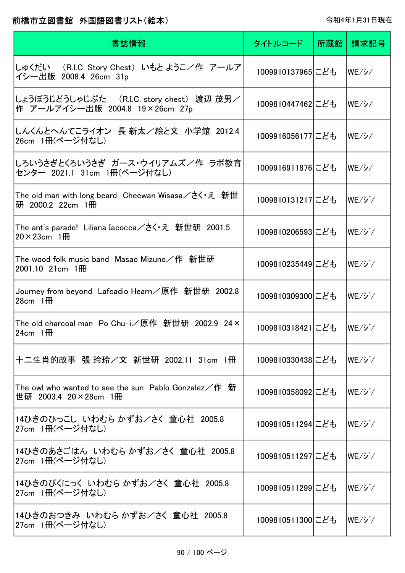| 書誌情報                                                                                  | タイトルコード          | 所蔵館丨 | 請求記号                           |
|---------------------------------------------------------------------------------------|------------------|------|--------------------------------|
| しゅくだい (R.I.C. Story Chest) いもと ようこ/作 アールア <br>イシー出版 2008.4 26cm 31p                   | 1009910137965にども |      | WE/ <i>2</i>                   |
| しょうぼうじどうしゃじぷた (R.I.C. story chest) 渡辺 茂男/<br>作 アールアイシー出版 2004.8 19×26cm 27p           | 1009810447462にども |      | $WE/\cancel{\nu}/$             |
| しんくんとへんてこライオン 長 新太/絵と文 小学館 2012.4<br>26cm 1冊(ページ付なし)                                  | 1009916056177にども |      | WE/Y/                          |
| しろいうさぎとくろいうさぎ ガース・ウイリアムズ/作 ラボ教育<br>センター 2021.1 31cm 1冊(ページ付なし)                        | 1009916911876にども |      | WE/シ/                          |
| The old man with long beard Cheewan Wisasa/さく・え 新世<br>研 2000.2 22cm 1冊                | 1009810131217にども |      | $WE/\check{Y}/X$               |
| The ant's parade! Liliana Iacocca/さく・え 新世研 2001.5<br>$20 \times 23$ cm 1 <del>M</del> | 1009810206593にども |      | $WE/\check{Y}/X$               |
| The wood folk music band  Masao Mizuno/作  新世研<br>$2001.10$ 21cm $1 \frac{m}{m}$       | 1009810235449にども |      | $WE/\check{\mathcal{Y}}$       |
| Journey from beyond Lafcadio Hearn/原作 新世研 2002.8<br>$28cm$ 1 HH                       | 1009810309300にども |      | $WE/\check{Y}/X$               |
| The old charcoal man Po Chu-i/原作 新世研 2002.9 24×<br>24cm $1$ <del>III</del>            | 1009810318421にども |      | $ WE/\dot{\mathcal{V}} /$      |
| 十二生肖的故事 張 玲玲/文 新世研 2002.11 31cm 1冊                                                    | 1009810330438にども |      | $ WE/\check{\mathcal{Y}} /$    |
| The owl who wanted to see the sun Pablo Gonzalez/作 新<br>世研 2003.4 20×28cm 1冊          | 1009810358092にども |      | $WE/\check{\mathcal{V}}$       |
| 14ひきのひっこし いわむら かずお/さく 童心社 2005.8<br>27cm 1冊(ページ付なし)                                   | 1009810511294にども |      | $ \mathsf{WE}/\mathcal{V} /2$  |
| 14ひきのあさごはん いわむら かずお/さく 童心社 2005.8<br>27cm 1冊(ページ付なし)                                  | 1009810511297にども |      | $ \mathsf{WE}/\mathcal{V} /2$  |
| 14ひきのぴくにっく いわむら かずお/さく 童心社 2005.8<br>27cm 1冊(ページ付なし)                                  | 1009810511299にども |      | $ \mathsf{WE}/\mathcal{V} /2$  |
| 14ひきのおつきみ いわむら かずお/さく 童心社 2005.8 <br> 27cm 1冊(ページ付なし)                                 | 1009810511300にども |      | $ \mathsf{WE}/\mathcal{V}^*/ $ |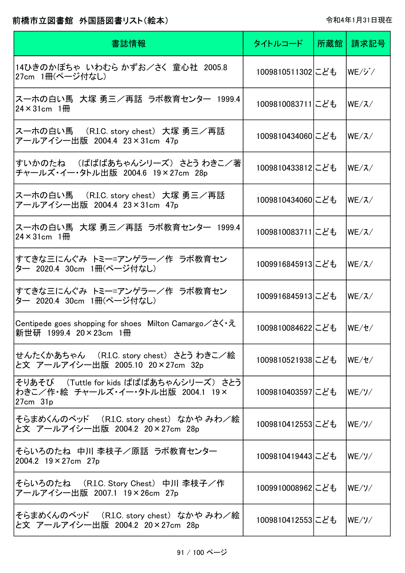| 書誌情報                                                                                                     | タイトルコード          | 所蔵館 請求記号                       |
|----------------------------------------------------------------------------------------------------------|------------------|--------------------------------|
| 14ひきのかぼちゃ いわむら かずお/さく 童心社 2005.8<br>27cm 1冊(ページ付なし)                                                      | 1009810511302にども | $ \mathsf{WE}/\mathcal{V}^*/ $ |
| スーホの白い馬 大塚 勇三/再話 ラボ教育センター 1999.4<br>$24 \times 31$ cm $1 \text{m}$                                       | 1009810083711にども | WE/Z/                          |
| ス一ホの白い馬 (R.I.C. story chest) 大塚 勇三/再話<br>アールアイシー出版 2004.4 23×31cm 47p                                    | 1009810434060にども | WE/Z/                          |
| すいかのたね (ばばばあちゃんシリーズ) さとう わきこ/著<br>チャールズ・イー・タトル出版 2004.6 19×27cm 28p                                      | 1009810433812にども | WE/Z/                          |
| ス一ホの白い馬 (R.I.C. story chest) 大塚 勇三/再話<br>アールアイシー出版 2004.4 23×31cm 47p                                    | 1009810434060にども | WE/Z/                          |
| スーホの白い馬 大塚 勇三/再話 ラボ教育センター 1999.4<br>$24 \times 31$ cm $1$ HH                                             | 1009810083711にども | WE/Z                           |
| すてきな三にんぐみ トミー=アンゲラー/作 ラボ教育セン<br>ター 2020.4 30cm 1冊(ページ付なし)                                                | 1009916845913にども | WE/Z/                          |
| すてきな三にんぐみ トミー=アンゲラー/作 ラボ教育セン<br>タ― 2020.4 30cm 1冊(ページ付なし)                                                | 1009916845913にども | WE/Z/                          |
| Centipede goes shopping for shoes Milton Camargo $\angle \xi \cdot \bar{\zeta}$<br>新世研 1999.4 20×23cm 1冊 | 1009810084622にども | WE/セ/                          |
| せんたくかあちゃん (R.I.C. story chest) さとう わきこ/絵<br>と文 アールアイシー出版 2005.10 20×27cm 32p                             | 1009810521938にども | WE/t/                          |
| そりあそび (Tuttle for kids ばばばあちゃんシリーズ) さとう<br>わきこ/作・絵 チャールズ・イー・タトル出版 2004.1 19×<br>$27cm$ $31p$             | 1009810403597にども | $WE/Y$ /                       |
| そらまめくんのベッド (R.I.C. story chest) なかや みわ/絵<br>と文 アールアイシー出版 2004.2 20×27cm 28p                              | 1009810412553にども | $WE/Y$ /                       |
| そらいろのたね 中川 李枝子/原話 ラボ教育センター<br>2004.2 19 × 27cm 27p                                                       | 1009810419443にども | WE/ソ/                          |
| そらいろのたね (R.I.C. Story Chest) 中川 李枝子/作<br>アールアイシー出版 2007.1 19×26cm 27p                                    | 1009910008962にども | WE/Y                           |
| そらまめくんのベッド (R.I.C. story chest) なかや みわ/絵<br>と文 アールアイシー出版 2004.2 20×27cm 28p                              | 1009810412553にども | WE/Y                           |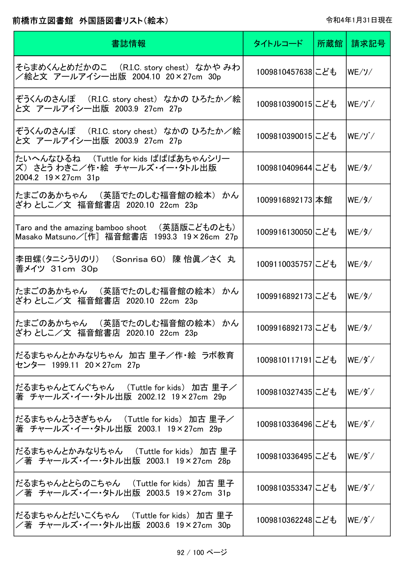| 書誌情報                                                                                          | タイトルコード          | 所蔵館 | 請求記号                              |
|-----------------------------------------------------------------------------------------------|------------------|-----|-----------------------------------|
| そらまめくんとめだかのこ (R.I.C. story chest)なかや みわ<br>/絵と文 アールアイシー出版 2004.10 20×27cm 30p                 | 1009810457638にども |     | WE/Y                              |
| ぞうくんのさんぽ (R.I.C. story chest) なかの ひろたか/絵<br>と文 アールアイシー出版 2003.9 27cm 27p                      | 1009810390015にども |     | $WE/Y^{\checkmark}$               |
| ぞうくんのさんぽ (R.I.C. story chest) なかの ひろたか/絵<br>と文 アールアイシー出版 2003.9 27cm 27p                      | 1009810390015にども |     | $WE/Y^{\prime}/T$                 |
| たいへんなひるね (Tuttle for kids ばばばあちゃんシリー<br>ズ)さとう わきこ/作・絵 チャールズ・イー・タトル出版<br>2004.2 19 × 27cm 31p  | 1009810409644にども |     | WE/9/                             |
| たまごのあかちゃん (英語でたのしむ福音館の絵本) かん<br>ざわ としこ/文 福音館書店 2020.10 22cm 23p                               | 1009916892173 本館 |     | WE/9/                             |
| Taro and the amazing bamboo shoot  (英語版こどものとも)<br>Masako Matsuno/[作] 福音館書店 1993.3 19×26cm 27p | 1009916130050にども |     | WE/9/                             |
| 李田螺(タニシうりのリ)<br>(Sonrisa 60) 陳 怡眞/さく 丸<br>善メイツ 31cm 30p                                       | 1009110035757にども |     | WE/9/                             |
| たまごのあかちゃん (英語でたのしむ福音館の絵本) かん<br>ざわ としこ/文 福音館書店 2020.10 22cm 23p                               | 1009916892173にども |     | WE/9/                             |
| たまごのあかちゃん (英語でたのしむ福音館の絵本) かん<br>ざわ としこ/文 福音館書店 2020.10 22cm 23p                               | 1009916892173にども |     | WE/9/                             |
| だるまちゃんとかみなりちゃん 加古 里子/作・絵 ラボ教育<br>センター 1999.11 20×27cm 27p                                     | 1009810117191にども |     | $WE/\cancel{9}^*/$                |
| だるまちゃんとてんぐちゃん (Tuttle for kids) 加古 里子/<br>著 チャールズ・イー・タトル出版 2002.12 19×27cm 29p                | 1009810327435にども |     | $WE/9^{\degree}/$                 |
| だるまちゃんとうさぎちゃん (Tuttle for kids) 加古 里子/<br>著 チャールズ・イー・タトル出版 2003.1 19×27cm 29p                 | 1009810336496にども |     | $WE/\cancel{9}^*/$                |
| だるまちゃんとかみなりちゃん (Tuttle for kids) 加古 里子<br>/著 チャールズ・イー・タトル出版 2003.1 19×27cm 28p                | 1009810336495にども |     | $WE/9^{\circ}$                    |
| だるまちゃんととらのこちゃん (Tuttle for kids) 加古 里子<br>/著 チャールズ・イー・タトル出版 2003.5 19×27cm 31p                | 1009810353347にども |     | WE/ダ/                             |
| だるまちゃんとだいこくちゃん (Tuttle for kids) 加古 里子<br>/著 チャールズ・イー・タトル出版 2003.6 19×27cm 30p                | 1009810362248にども |     | $ \mathsf{WE}/\mathfrak{H}^*\!/ $ |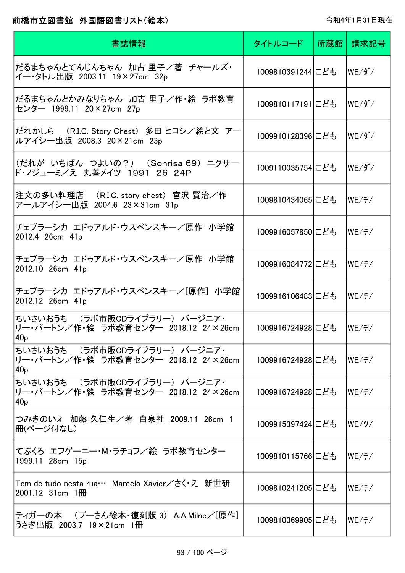| 書誌情報                                                                                       | タイトルコード           | 所蔵館 請求記号                          |
|--------------------------------------------------------------------------------------------|-------------------|-----------------------------------|
| だるまちゃんとてんじんちゃん 加古 里子/著 チャールズ・<br>イー・タトル出版 2003.11 19×27cm 32p                              | 1009810391244にども  | $WE/9^{\circ}$                    |
| だるまちゃんとかみなりちゃん 加古 里子/作・絵 ラボ教育 <br>センター 1999.11 20×27cm 27p                                 | 1009810117191にども  | $ \mathsf{WE}/\mathfrak{H}^*\!/ $ |
| だれかしら (R.I.C. Story Chest) 多田 ヒロシ/絵と文 アー<br>ルアイシー出版 2008.3 20×21cm 23p                     | 1009910128396にども  | $WE/9^{\sim}$                     |
| (だれが いちばん つよいの?) (Sonrisa 69) ニクサー<br>ド・ノジューミ/え 丸善メイツ 1991 26 24P                          | 1009110035754にども  | $WE/3^{\kappa}/$                  |
| 注文の多い料理店 (R.I.C. story chest) 宮沢 賢治/作<br>アールアイシー出版 2004.6 23×31cm 31p                      | 1009810434065にども  | WE/ f /                           |
| チェブラーシカ エドゥアルド・ウスペンスキー/原作 小学館<br>2012.4 26cm 41p                                           | 1009916057850にども  | WE/ f /                           |
| チェブラーシカ エドゥアルド・ウスペンスキー/原作 小学館<br>2012.10 26cm 41p                                          | 1009916084772にども  | WE/ f /                           |
| チェブラーシカ エドゥアルド・ウスペンスキー/[原作] 小学館<br>2012.12 26cm 41p                                        | 1009916106483にども  | WE/ f /                           |
| ちいさいおうち (ラボ市販CDライブラリー) バージニア・<br>リー・バートン/作・絵 ラボ教育センター 2018.12 24×26cm<br>40 <sub>p</sub>   | 1009916724928にども  | WE/f/                             |
| ちいさいおうち (ラボ市販CDライブラリー) バージニア・<br>リー・バートン/作・絵 ラボ教育センター 2018.12 24×26cm<br>40 <sub>p</sub>   | 1009916724928にども  | WE/ f /                           |
| ちいさいおうち (ラボ市販CDライブラリー) バージニア・<br> リー・バートン/作・絵 ラボ教育センター 2018.12 24×26cm <br>40 <sub>p</sub> | 1009916724928にども  | WE/ f /                           |
| つみきのいえ 加藤 久仁生/著 白泉社 2009.11 26cm 1<br>冊(ページ付なし)                                            | 1009915397424 こども | WE/y/                             |
| てぶくろ エフゲーニー・M・ラチョフ/絵 ラボ教育センター<br>1999.11 28cm 15p                                          | 1009810115766にども  | WE/7/                             |
| Tem de tudo nesta rua… Marcelo Xavier/さく・え 新世研<br>$2001.12$ 31cm $1 \frac{m}{m}$           | 1009810241205にども  | WE/7/                             |
| ティガーの本 (プーさん絵本・復刻版 3) A.A.Milne/[原作]<br> うさぎ出版 2003.7 19×21cm 1冊                           | 1009810369905にども  | WE/7/                             |

 $\overline{\phantom{a}}$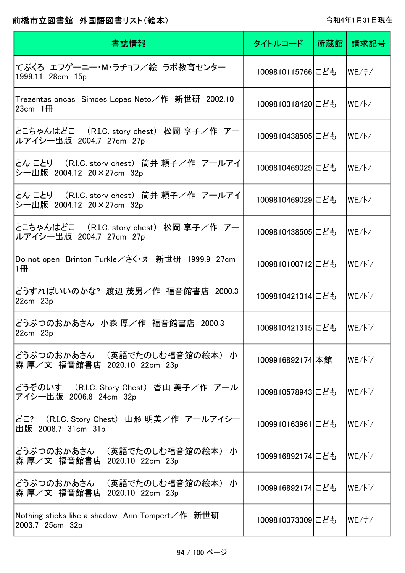| 書誌情報                                                                            | タイトルコード          | 所蔵館丨 | 請求記号            |
|---------------------------------------------------------------------------------|------------------|------|-----------------|
| てぶくろ エフゲーニー・M・ラチョフ/絵 ラボ教育センター<br>1999.11 28cm 15p                               | 1009810115766にども |      | WE/7/           |
| Trezentas oncas   Simoes Lopes Neto/作   新世研  2002.10<br>23cm $1$ <del>III</del> | 1009810318420にども |      | $WE//\sqrt{}$   |
| とこちゃんはどこ (R.I.C. story chest) 松岡 享子/作 アー<br>ルアイシー出版 2004.7 27cm 27p             | 1009810438505にども |      | $WE//\sqrt{}$   |
| とん ことり ― (R.I.C. story chest) 筒井 頼子/作 アールアイ<br>シー出版 2004.12 20×27cm 32p         | 1009810469029にども |      | WE/K            |
| とん ことり ― (R.I.C. story chest) 筒井 頼子/作 アールアイ<br>シー出版 2004.12 20×27cm 32p         | 1009810469029にども |      | WE/K            |
| とこちゃんはどこ (R.I.C. story chest) 松岡 享子/作 アー<br>ルアイシー出版 2004.7 27cm 27p             | 1009810438505にども |      | WE/K            |
| Do not open Brinton Turkle/さく・え 新世研 1999.9 27cm<br>1冊                           | 1009810100712にども |      | WE/ド/           |
| どうすればいいのかな? 渡辺 茂男/作 福音館書店 2000.3<br>$22cm$ $23p$                                | 1009810421314にども |      | WE/ド/           |
| どうぶつのおかあさん 小森 厚/作 福音館書店 2000.3<br>22cm 23p                                      | 1009810421315にども |      | $WE/\n\cdot$    |
| どうぶつのおかあさん (英語でたのしむ福音館の絵本) 小<br>森 厚/文 福音館書店 2020.10 22cm 23p                    | 1009916892174 本館 |      | $WE/\gamma^*$   |
| どうぞのいす (R.I.C. Story Chest)香山 美子/作 アール<br>アイシー出版 2006.8 24cm 32p                | 1009810578943にども |      | $WE/\gamma^*$   |
| どこ? (R.I.C. Story Chest) 山形 明美/作 アールアイシー<br>出版 2008.7 31cm 31p                  | 1009910163961にども |      | $WE/\cancel{k}$ |
| どうぶつのおかあさん (英語でたのしむ福音館の絵本) 小<br>森 厚/文 福音館書店 2020.10 22cm 23p                    | 1009916892174にども |      | WE/ド/           |
| どうぶつのおかあさん (英語でたのしむ福音館の絵本) 小<br>森 厚/文 福音館書店 2020.10 22cm 23p                    | 1009916892174にども |      | WE/ド/           |
| Nothing sticks like a shadow Ann Tompert/作 新世研<br>2003.7 25cm 32p               | 1009810373309にども |      | WE/ f /         |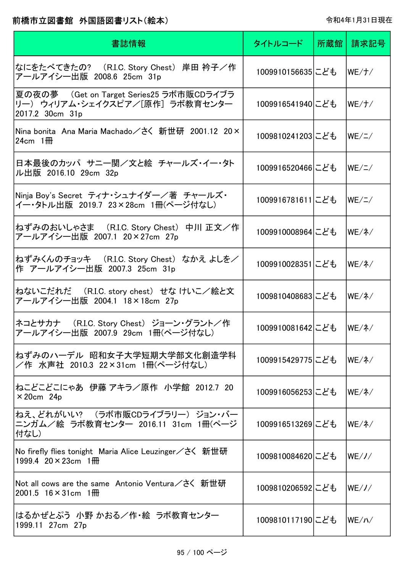| 書誌情報                                                                                            | タイトルコード          | 所蔵館 | 請求記号           |
|-------------------------------------------------------------------------------------------------|------------------|-----|----------------|
| なにをたべてきたの? (R.I.C. Story Chest) 岸田 衿子/作<br>アールアイシー出版 2008.6 25cm 31p                            | 1009910156635にども |     | WE/ f /        |
| 夏の夜の夢 (Get on Target Series25 ラボ市販CDライブラ)<br>リー) ウィリアム・シェイクスピア/[原作] ラボ教育センター<br>2017.2 30cm 31p | 1009916541940にども |     | WE/ f /        |
| Nina bonita Ana Maria Machado/さく 新世研 2001.12 20×<br>24cm $1$ <del>III</del>                     | 1009810241203にども |     | $WE / \angle$  |
| 日本最後のカッパ サニー関/文と絵 チャールズ・イー・タト<br>ル出版 2016.10 29cm 32p                                           | 1009916520466にども |     | $WE / \angle$  |
| Ninja Boy's Secret ティナ・シュナイダー/著 チャールズ・<br>イー・タトル出版 2019.7 23×28cm 1冊(ページ付なし)                    | 1009916781611にども |     | WE / I /       |
| ねずみのおいしゃさま (R.I.C. Story Chest) 中川 正文/作<br>アールアイシー出版 2007.1 20×27cm 27p                         | 1009910008964にども |     | $WE/\lambda$   |
| ねずみくんのチョッキ (R.I.C. Story Chest)なかえ よしを/<br>作 アールアイシー出版 2007.3 25cm 31p                          | 1009910028351にども |     | $WE/\lambda$   |
| ねないこだれだ (R.I.C. story chest) せな けいこ/絵と文<br>アールアイシー出版 2004.1 18×18cm 27p                         | 1009810408683にども |     | $WE/\lambda$ / |
| ネコとサカナ (R.I.C. Story Chest) ジョーン・グラント/作<br>アールアイシー出版 2007.9 29cm 1冊(ページ付なし)                     | 1009910081642にども |     | $WE/\lambda$   |
| ねずみのハーデル 昭和女子大学短期大学部文化創造学科<br>/作 水声社 2010.3 22×31cm 1冊(ページ付なし)                                  | 1009915429775にども |     | lWE/ネ/         |
| ねこどこどこにゃあ 伊藤 アキラ/原作 小学館 2012.7 20<br>$\times$ 20cm 24p                                          | 1009916056253にども |     | $WE/\lambda$   |
| ねえ、どれがいい? (ラボ市販CDライブラリー) ジョン・バー<br>ニンガム/絵 ラボ教育センター 2016.11 31cm 1冊(ページ<br>付なし)                  | 1009916513269にども |     | $WE/\lambda$   |
| No firefly flies tonight Maria Alice Leuzinger/さく 新世研<br>1999.4 $20 \times 23$ cm 1 HH          | 1009810084620にども |     | WE/J/          |
| Not all cows are the same Antonio Ventura/さく 新世研<br>$2001.5$ 16 $\times$ 31 cm 1 HH             | 1009810206592にども |     | WE/J/          |
| はるかぜとぷう 小野 かおる/作・絵 ラボ教育センター<br>1999.11 27cm 27p                                                 | 1009810117190にども |     | WE/N/          |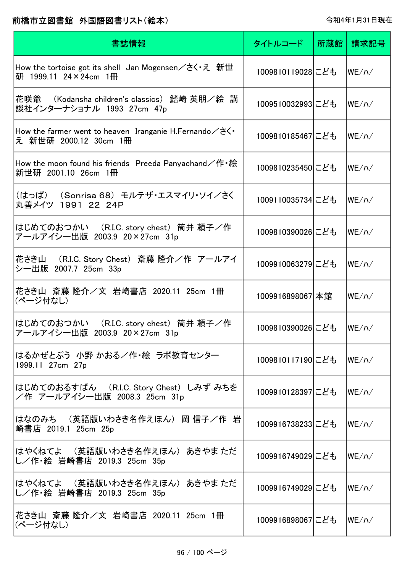| 書誌情報                                                                                                          | タイトルコード          | 所蔵館 | 請求記号  |
|---------------------------------------------------------------------------------------------------------------|------------------|-----|-------|
| How the tortoise got its shell Jan Mogensen $\angle \forall \vec{x} \cdot \vec{x}$ 新世<br>研 1999.11 24×24cm 1冊 | 1009810119028にども |     | WE/N/ |
| 花咲爺 (Kodansha children's classics)鰭崎 英朋/絵 講<br>談社インターナショナル 1993 27cm 47p                                      | 1009510032993にども |     | WE/N/ |
| How the farmer went to heaven Iranganie H. Fernando $\angle$ $\geq$ .<br>え 新世研 2000.12 30cm 1冊                | 1009810185467にども |     | WE/N/ |
| How the moon found his friends Preeda Panyachand/作 ·絵<br>新世研 2001.10 26cm 1冊                                  | 1009810235450にども |     | WE/N/ |
| (はっぱ) (Sonrisa 68) モルテザ・エスマイリ・ソイ/さく<br>丸善メイツ 1991 22 24P                                                      | 1009110035734にども |     | WE/N/ |
| はじめてのおつかい (R.I.C. story chest) 筒井 頼子/作<br>アールアイシー出版 2003.9 20×27cm 31p                                        | 1009810390026にども |     | WE/N/ |
| 花さき山 (R.I.C. Story Chest) 斎藤 隆介/作 アールアイ<br>シー出版 2007.7 25cm 33p                                               | 1009910063279にども |     | WE/N/ |
| 花さき山 斎藤 隆介/文 岩崎書店 2020.11 25cm 1冊<br>(ページ付なし)                                                                 | 1009916898067 本館 |     | WE/N/ |
| はじめてのおつかい (R.I.C. story chest) 筒井 頼子/作<br>アールアイシー出版 2003.9 20×27cm 31p                                        | 1009810390026にども |     | WE/N/ |
| はるかぜとぷう 小野 かおる/作・絵 ラボ教育センター<br>1999.11 27cm 27p                                                               | 1009810117190にども |     | WE/N/ |
| はじめてのおるすばん (R.I.C. Story Chest) しみず みちを<br>/作 アールアイシー出版 2008.3 25cm 31p                                       | 1009910128397にども |     | WE/N/ |
| はなのみち (英語版いわさき名作えほん) 岡 信子/作 岩<br>崎書店 2019.1 25cm 25p                                                          | 1009916738233にども |     | WE/N/ |
| はやくねてよ (英語版いわさき名作えほん) あきやま ただ<br>し/作·絵 岩崎書店 2019.3 25cm 35p                                                   | 1009916749029にども |     | WE/N/ |
| はやくねてよ (英語版いわさき名作えほん) あきやま ただ<br>し/作・絵 岩崎書店 2019.3 25cm 35p                                                   | 1009916749029にども |     | WE/N/ |
| 花さき山 斎藤 隆介/文 岩崎書店 2020.11 25cm 1冊 <br> (ページ付なし)                                                               | 1009916898067にども |     | WE/N/ |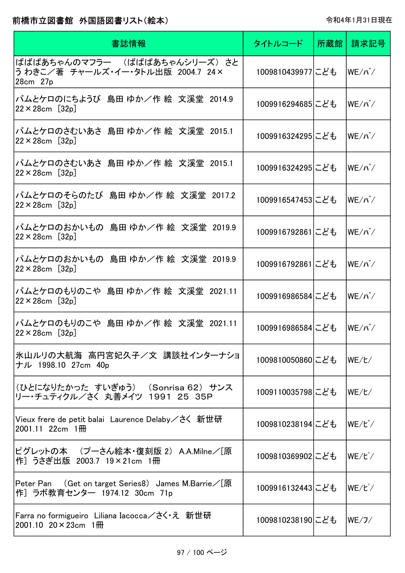| 書誌情報                                                                                  | タイトルコード          | 所蔵館 | 請求記号                          |
|---------------------------------------------------------------------------------------|------------------|-----|-------------------------------|
| ばばばあちゃんのマフラー (ばばばあちゃんシリーズ)さと<br>うわきこ/著 チャールズ・イー・タトル出版 2004.7 24×<br>28cm 27p          | 1009810439977にども |     | $ \mathsf{WE}/\mathsf{N}^*/ $ |
| バムとケロのにちようび 島田 ゆか/作 絵 文溪堂 2014.9<br>$22 \times 28$ cm [32p]                           | 1009916294685にども |     | $WE/N^2$                      |
| バムとケロのさむいあさ 島田 ゆか/作 絵 文溪堂 2015.1<br>$22 \times 28$ cm [32p]                           | 1009916324295にども |     | $WE/\Lambda^2$                |
| バムとケロのさむいあさ 島田 ゆか/作 絵 文溪堂 2015.1<br>$22 \times 28$ cm [32p]                           | 1009916324295にども |     | $WE/N^2$                      |
| バムとケロのそらのたび 島田 ゆか/作 絵 文溪堂 2017.2<br>$22 \times 28$ cm [32p]                           | 1009916547453にども |     | $WE/\Lambda^2$                |
| バムとケロのおかいもの 島田 ゆか/作 絵 文溪堂 2019.9<br>$22 \times 28$ cm [32p]                           | 1009916792861にども |     | $WE/\Lambda^2$                |
| バムとケロのおかいもの 島田 ゆか/作 絵 文溪堂 2019.9<br>$22 \times 28$ cm [32p]                           | 1009916792861にども |     | $WE/\Lambda^2$                |
| バムとケロのもりのこや 島田 ゆか/作 絵 文溪堂 2021.11<br>$22 \times 28$ cm [32p]                          | 1009916986584にども |     | $ \mathsf{WE}/\mathsf{N}^*/ $ |
| バムとケロのもりのこや 島田 ゆか/作 絵 文溪堂 2021.11<br>$22 \times 28$ cm [32p]                          | 1009916986584にども |     | $ WE/N^2/$                    |
| 氷山ルリの大航海 高円宮妃久子/文 講談社インターナショ<br>ナル 1998.10 27cm 40p                                   | 1009810050860にども |     | WE/E/                         |
| (ひとになりたかった すいぎゅう) (Sonrisa 62) サンス<br>リー・チュティクル/さく 丸善メイツ 1991 25 35P                  | 1009110035798にども |     | WE/L/                         |
| Vieux frere de petit balai Laurence Delaby/さく 新世研<br>$2001.11$ 22cm $1 \frac{m}{m}$   | 1009810238194にども |     | lWE∕ビ⁄                        |
| ピグレットの本 (プーさん絵本・復刻版 2) A.A.Milne/[原<br>作] うさぎ出版 2003.7 19×21cm 1冊                     | 1009810369902にども |     | lWE∕ピ⁄                        |
| Peter Pan (Get on target Series8) James M.Barrie / [原<br>作] ラボ教育センター 1974.12 30cm 71p | 1009916132443にども |     | lWE∕ピ⁄                        |
| Farra no formigueiro Liliana Iacocca/さく え 新世研<br>2001.10 $20 \times 23$ cm 1 HH       | 1009810238190にども |     | WE/J/                         |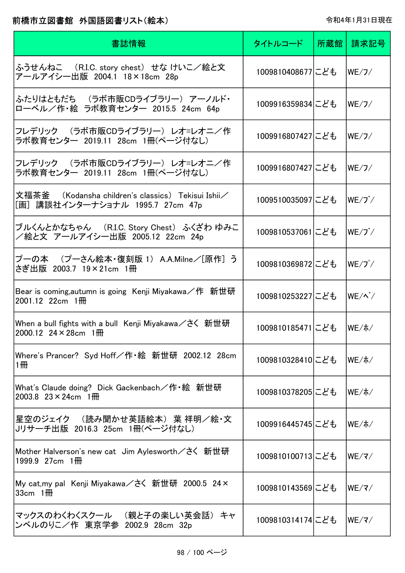| 書誌情報                                                                                     | タイトルコード          | 所蔵館 | 請求記号                        |
|------------------------------------------------------------------------------------------|------------------|-----|-----------------------------|
| ふうせんねこ (R.I.C. story chest) せな けいこ/絵と文<br>アールアイシー出版 2004.1 18×18cm 28p                   | 1009810408677にども |     | WE/J/                       |
| ふたりはともだち (ラボ市販CDライブラリー)アーノルド・<br>ローベル/作·絵 ラボ教育センター 2015.5 24cm 64p                       | 1009916359834にども |     | WE/J/                       |
| フレデリック (ラボ市販CDライブラリー) レオ=レオニ/作<br>ラボ教育センター 2019.11 28cm 1冊(ページ付なし)                       | 1009916807427にども |     | WE/J/                       |
| フレデリック (ラボ市販CDライブラリー) レオ=レオニ/作<br>ラボ教育センター 2019.11 28cm 1冊(ページ付なし)                       | 1009916807427にども |     | WE/J/                       |
| 文福茶釜  (Kodansha children's classics)  Tekisui Ishii/<br>[画]講談社インターナショナル 1995.7 27cm 47p  | 1009510035097にども |     | $WE/J^{\dagger}/$           |
| ブルくんとかなちゃん ( R.I.C. Story Chest) ふくざわ ゆみこ<br>/絵と文 アールアイシー出版 2005.12 22cm 24p             | 1009810537061にども |     | $WE/J^{\dagger}/$           |
| プーの本 (プーさん絵本・復刻版 1) A.A.Milne/[原作] う<br>さぎ出版 2003.7 19×21cm 1冊                           | 1009810369872にども |     | $WE/J^{\circ}/$             |
| Bear is coming, autumn is going Kenji Miyakawa / 作 新世研<br>$2001.12$ 22cm $1 \frac{m}{m}$ | 1009810253227にども |     | $WE/\wedge^*/$              |
| When a bull fights with a bull Kenji Miyakawa/さく 新世研<br>2000.12 24 $\times$ 28cm 1 HH    | 1009810185471にども |     | $WE/\pi/$                   |
| Where's Prancer? Syd Hoff/作・絵 新世研 2002.12 28cm<br>1冊                                     | 1009810328410にども |     | $WE/\pi/$                   |
| What's Claude doing? Dick Gackenbach/作・絵 新世研<br>2003.8 $23 \times 24$ cm 1\ttps://       | 1009810378205にども |     | $WE/\hbar/$                 |
| 星空のジェイク (読み聞かせ英語絵本) 葉 祥明/絵・文<br>Jリサーチ出版 2016.3 25cm 1冊(ページ付なし)                           | 1009916445745にども |     | WE/ホ/                       |
| Mother Halverson's new cat Jim Aylesworth/さく 新世研<br>1999.9 27cm 1 HH                     | 1009810100713にども |     | WE/Z/                       |
| My cat,my pal Kenji Miyakawa/さく 新世研 2000.5 24×<br>33cm $1$ <del>III</del>                | 1009810143569にども |     | $WE/\overline{\mathcal{Z}}$ |
| マックスのわくわくスクール (親と子の楽しい英会話)キャ<br>ンベルのりこ/作 東京学参 2002.9 28cm 32p                            | 1009810314174にども |     | $WE/\overline{\mathbf{v}}$  |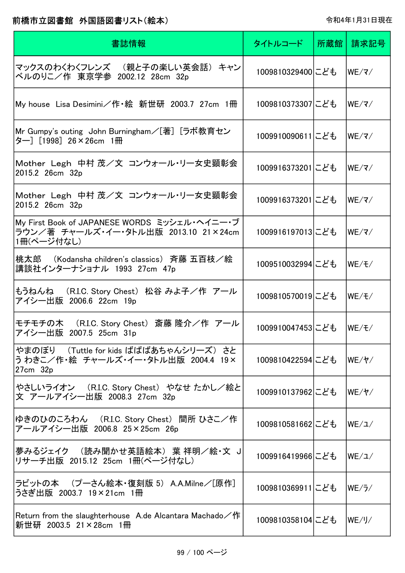| 書誌情報                                                                                               | タイトルコード          | 所蔵館丨 | 請求記号                                  |
|----------------------------------------------------------------------------------------------------|------------------|------|---------------------------------------|
| マックスのわくわくフレンズ (親と子の楽しい英会話) キャン <br>ベルのりこ/作 東京学参 2002.12 28cm 32p                                   | 1009810329400にども |      | $ \mathsf{WE}/\mathsf{Z}/\mathsf{Z} $ |
| My house Lisa Desimini/作・絵 新世研 2003.7 27cm 1冊                                                      | 1009810373307にども |      | $WE/\overline{\mathbf{x}}/$           |
| Mr Gumpy's outing John Burningham/[著] [ラボ教育セン<br>ター][1998] 26×26cm 1冊                              | 1009910090611にども |      | WE/Z/                                 |
| Mother Legh 中村 茂/文 コンウォール・リー女史顕彰会<br>2015.2 26cm 32p                                               | 1009916373201にども |      | WE/Z/                                 |
| Mother Legh 中村 茂/文 コンウォール・リー女史顕彰会<br>2015.2 26cm 32p                                               | 1009916373201にども |      | WE/Z/                                 |
| My First Book of JAPANESE WORDS ミッシェル・ヘイニー・ブ<br>ラウン/著 チャールズ・イー・タトル出版 2013.10 21×24cm<br>1冊(ページ付なし) | 1009916197013にども |      | WE/Z/                                 |
| 桃太郎 (Kodansha children's classics) 斉藤 五百枝/絵<br>講談社インターナショナル 1993 27cm 47p                          | 1009510032994にども |      | WE/7                                  |
| もうねんね (R.I.C. Story Chest) 松谷 みよ子/作 アール<br>アイシー出版 2006.6 22cm 19p                                  | 1009810570019にども |      | lWE∕∓⁄                                |
| モチモチの木 (R.I.C. Story Chest) 斎藤 隆介/作 アール<br>アイシー出版 2007.5 25cm 31p                                  | 1009910047453にども |      | WE/Ŧ/                                 |
| やまのぼり (Tuttle for kids ばばばあちゃんシリーズ) さと<br>う わきこ/作・絵 チャールズ・イー・タトル出版 2004.4 19×<br>27cm 32p          | 1009810422594にども |      | $WE/\Upsilon$                         |
| やさしいライオン (R.I.C. Story Chest) やなせ たかし/絵と<br>文 アールアイシー出版 2008.3 27cm 32p                            | 1009910137962にども |      | $ \mathsf{WE}/\mathsf{Y}/ $           |
| ゆきのひのころわん (R.I.C. Story Chest) 間所 ひさこ/作<br>アールアイシー出版 2006.8 25×25cm 26p                            | 1009810581662にども |      | WE/L/                                 |
| 夢みるジェイク (読み聞かせ英語絵本)葉 祥明/絵・文 J <br>リサーチ出版 2015.12 25cm 1冊(ページ付なし)                                   | 1009916419966にども |      | lWE∕⊐∕                                |
| ラビットの本 (プーさん絵本・復刻版 5) A.A.Milne/[原作]<br>うさぎ出版 2003.7 19×21cm 1冊                                    | 1009810369911にども |      | WE/5/                                 |
| Return from the slaughterhouse A.de Alcantara Machado/作<br>新世研 2003.5 21×28cm 1冊                   | 1009810358104にども |      | WE/J/                                 |